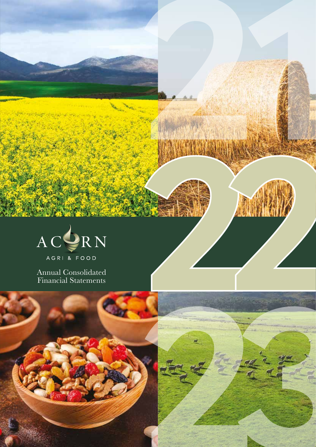

Annual Consolidated Financial Statements

**D**

**ANNUAL CONSOLIDATED FINANCIAL STATEMENTS** (continued) **21**

**23**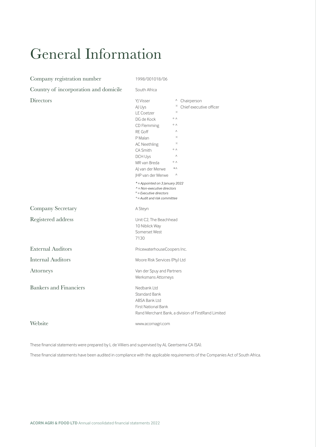# General Information

| Company registration number           | 1998/001018/06                                                                                                                                                                                                                                                                                                                             |                                                                                                                                                                                                                                   |
|---------------------------------------|--------------------------------------------------------------------------------------------------------------------------------------------------------------------------------------------------------------------------------------------------------------------------------------------------------------------------------------------|-----------------------------------------------------------------------------------------------------------------------------------------------------------------------------------------------------------------------------------|
| Country of incorporation and domicile | South Africa                                                                                                                                                                                                                                                                                                                               |                                                                                                                                                                                                                                   |
| Directors                             | YJ Visser<br>AJ Uys<br>LE Coetzer<br>DG de Kock<br>CD Flemming<br><b>RE</b> Goff<br>P Malan<br><b>AC Neethling</b><br>CA Smith<br>DCH Uys<br>MR van Breda<br>Al van der Merwe<br>JHP van der Merwe<br>*= Appointed on 3 January 2022<br>$^{\prime}$ = Non-executive directors<br>$x =$ Executive directors<br>° = Audit and risk committee | <sup>^</sup> Chairperson<br>Chief executive officer<br>$\,$ $\,$ $\,$<br>$\bowtie$<br>$\circ \wedge$<br>$\circ \wedge$<br>$\wedge$<br>$\mathbbm{Z}$<br>¤<br>$\circ \wedge$<br>$\wedge$<br>$\circ \wedge$<br>$*\wedge$<br>$\wedge$ |
| Company Secretary                     | A Steyn                                                                                                                                                                                                                                                                                                                                    |                                                                                                                                                                                                                                   |
| Registered address                    | Unit C2, The Beachhead<br>10 Niblick Way<br>Somerset West<br>7130                                                                                                                                                                                                                                                                          |                                                                                                                                                                                                                                   |
| <b>External Auditors</b>              | PricewaterhouseCoopers Inc.                                                                                                                                                                                                                                                                                                                |                                                                                                                                                                                                                                   |
| <b>Internal Auditors</b>              | Moore Risk Services (Pty) Ltd                                                                                                                                                                                                                                                                                                              |                                                                                                                                                                                                                                   |
| Attorneys                             | Van der Spuy and Partners<br>Werksmans Attorneys                                                                                                                                                                                                                                                                                           |                                                                                                                                                                                                                                   |
| <b>Bankers and Financiers</b>         | Nedbank Ltd<br>Standard Bank<br>ABSA Bank Ltd<br><b>First National Bank</b>                                                                                                                                                                                                                                                                | Rand Merchant Bank, a division of FirstRand Limited                                                                                                                                                                               |
| Website                               | www.acornagri.com                                                                                                                                                                                                                                                                                                                          |                                                                                                                                                                                                                                   |

These financial statements were prepared by L de Villiers and supervised by AL Geertsema CA (SA).

These financial statements have been audited in compliance with the applicable requirements of the Companies Act of South Africa.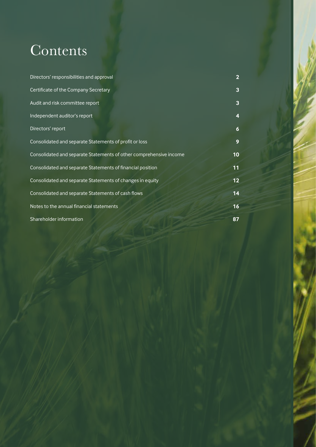# **Contents**

| Directors' responsibilities and approval                           | $\overline{2}$ |
|--------------------------------------------------------------------|----------------|
| Certificate of the Company Secretary                               | 3              |
| Audit and risk committee report                                    | 3              |
| Independent auditor's report                                       | 4              |
| Directors' report                                                  | 6              |
| Consolidated and separate Statements of profit or loss             | 9              |
| Consolidated and separate Statements of other comprehensive income | 10             |
| Consolidated and separate Statements of financial position         | 11             |
| Consolidated and separate Statements of changes in equity          | 12             |
| Consolidated and separate Statements of cash flows                 | 14             |
| Notes to the annual financial statements                           | 16             |
| Shareholder information                                            | 87             |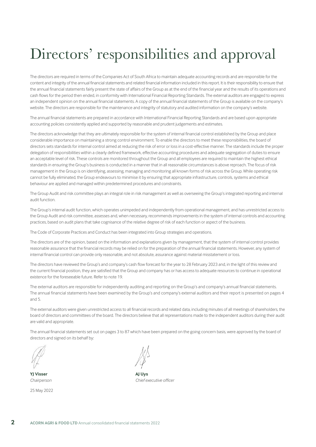# Directors' responsibilities and approval

The directors are required in terms of the Companies Act of South Africa to maintain adequate accounting records and are responsible for the content and integrity of the annual financial statements and related financial information included in this report. It is their responsibility to ensure that the annual financial statements fairly present the state of affairs of the Group as at the end of the financial year and the results of its operations and cash flows for the period then ended, in conformity with International Financial Reporting Standards. The external auditors are engaged to express an independent opinion on the annual financial statements. A copy of the annual financial statements of the Group is available on the company's website. The directors are responsible for the maintenance and integrity of statutory and audited information on the company's website.

The annual financial statements are prepared in accordance with International Financial Reporting Standards and are based upon appropriate accounting policies consistently applied and supported by reasonable and prudent judgements and estimates.

The directors acknowledge that they are ultimately responsible for the system of internal financial control established by the Group and place considerable importance on maintaining a strong control environment. To enable the directors to meet these responsibilities, the board of directors sets standards for internal control aimed at reducing the risk of error or loss in a cost-effective manner. The standards include the proper delegation of responsibilities within a clearly defined framework, effective accounting procedures and adequate segregation of duties to ensure an acceptable level of risk. These controls are monitored throughout the Group and all employees are required to maintain the highest ethical standards in ensuring the Group's business is conducted in a manner that in all reasonable circumstances is above reproach. The focus of risk management in the Group is on identifying, assessing, managing and monitoring all known forms of risk across the Group. While operating risk cannot be fully eliminated, the Group endeavours to minimise it by ensuring that appropriate infrastructure, controls, systems and ethical behaviour are applied and managed within predetermined procedures and constraints.

The Group Audit and risk committee plays an integral role in risk management as well as overseeing the Group's integrated reporting and internal audit function.

The Group's internal audit function, which operates unimpeded and independently from operational management, and has unrestricted access to the Group Audit and risk committee, assesses and, when necessary, recommends improvements in the system of internal controls and accounting practices, based on audit plans that take cognisance of the relative degree of risk of each function or aspect of the business.

The Code of Corporate Practices and Conduct has been integrated into Group strategies and operations.

The directors are of the opinion, based on the information and explanations given by management, that the system of internal control provides reasonable assurance that the financial records may be relied on for the preparation of the annual financial statements. However, any system of internal financial control can provide only reasonable, and not absolute, assurance against material misstatement or loss.

The directors have reviewed the Group's and company's cash flow forecast for the year to 28 February 2023 and, in the light of this review and the current financial position, they are satisfied that the Group and company has or has access to adequate resources to continue in operational existence for the foreseeable future. Refer to note 19.

The external auditors are responsible for independently auditing and reporting on the Group's and company's annual financial statements. The annual financial statements have been examined by the Group's and company's external auditors and their report is presented on pages 4 and 5.

The external auditors were given unrestricted access to all financial records and related data, including minutes of all meetings of shareholders, the board of directors and committees of the board. The directors believe that all representations made to the independent auditors during their audit are valid and appropriate.

The annual financial statements set out on pages 3 to 87 which have been prepared on the going concern basis, were approved by the board of directors and signed on its behalf by:

**YJ Visser AJ Uys**

25 May 2022

*Chairperson Chief executive officer*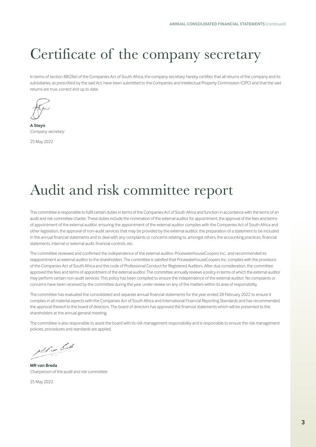# Certificate of the company secretary

In terms of section 88(2)(e) of the Companies Act of South Africa, the company secretary hereby certifies that all returns of the company and its subsidiaries, as prescribed by the said Act, have been submitted to the Companies and Intellectual Property Commission (CIPC) and that the said returns are true, correct and up to date.

**A Steyn** *Company secretary*

25 May 2022

# Audit and risk committee report

This committee is responsible to fulfil certain duties in terms of the Companies Act of South Africa and function in accordance with the terms of an audit and risk committee charter. These duties include the nomination of the external auditor for appointment, the approval of the fees and terms of appointment of the external auditor, ensuring the appointment of the external auditor complies with the Companies Act of South Africa and other legislation, the approval of non-audit services that may be provided by the external auditor, the preparation of a statement to be included in the annual financial statements and to deal with any complaints or concerns relating to, amongst others, the accounting practices, financial statements, internal or external audit, financial controls, etc.

The committee reviewed and confirmed the independence of the external auditor, PricewaterhouseCoopers Inc., and recommended its reappointment as external auditor to the shareholders. The committee is satisfied that PricewaterhouseCoopers Inc. complies with the provisions of the Companies Act of South Africa and the code of Professional Conduct for Registered Auditors. After due consideration, the committee approved the fees and terms of appointment of the external auditor. The committee annually reviews a policy in terms of which the external auditor may perform certain non-audit services. This policy has been compiled to ensure the independence of the external auditor. No complaints or concerns have been received by the committee during the year under review on any of the matters within its area of responsibility.

The committee has evaluated the consolidated and separate annual financial statements for the year ended 28 February 2022 to ensure it complies in all material aspects with the Companies Act of South Africa and International Financial Reporting Standards and has recommended the approval thereof to the board of directors. The board of directors has approved the financial statements which will be presented to the shareholders at the annual general meeting.

The committee is also responsible to assist the board with its risk management responsibility and is responsible to ensure the risk management policies, procedures and standards are applied.

 $M_{\rm s}$  bob

**MR van Breda** *Chairperson of the audit and risk committee*

25 May 2022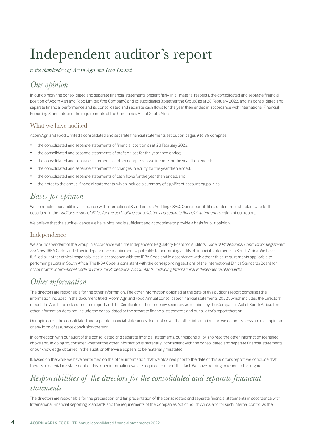# Independent auditor's report

*to the shareholders of Acorn Agri and Food Limited*

# *Our opinion*

In our opinion, the consolidated and separate financial statements present fairly, in all material respects, the consolidated and separate financial position of Acorn Agri and Food Limited (the Company) and its subsidiaries (together the Group) as at 28 February 2022, and its consolidated and separate financial performance and its consolidated and separate cash flows for the year then ended in accordance with International Financial Reporting Standards and the requirements of the Companies Act of South Africa.

## What we have audited

Acorn Agri and Food Limited's consolidated and separate financial statements set out on pages 9 to 86 comprise:

- the consolidated and separate statements of financial position as at 28 February 2022;
- the consolidated and separate statements of profit or loss for the year then ended;
- the consolidated and separate statements of other comprehensive income for the year then ended;
- the consolidated and separate statements of changes in equity for the year then ended;
- the consolidated and separate statements of cash flows for the year then ended; and
- the notes to the annual financial statements, which include a summary of significant accounting policies.

# *Basis for opinion*

We conducted our audit in accordance with International Standards on Auditing (ISAs). Our responsibilities under those standards are further described in the *Auditor's responsibilities for the audit of the consolidated and separate financial statements* section of our report.

We believe that the audit evidence we have obtained is sufficient and appropriate to provide a basis for our opinion.

## Independence

We are independent of the Group in accordance with the Independent Regulatory Board for Auditors' *Code of Professional Conduct for Registered Auditors* (IRBA Code) and other independence requirements applicable to performing audits of financial statements in South Africa. We have fulfilled our other ethical responsibilities in accordance with the IRBA Code and in accordance with other ethical requirements applicable to performing audits in South Africa. The IRBA Code is consistent with the corresponding sections of the International Ethics Standards Board for Accountants' *International Code of Ethics for Professional Accountants (including International Independence Standards)*.

# *Other information*

The directors are responsible for the other information. The other information obtained at the date of this auditor's report comprises the information included in the document titled "Acorn Agri and Food Annual consolidated financial statements 2022", which includes the Directors' report, the Audit and risk committee report and the Certificate of the company secretary as required by the Companies Act of South Africa. The other information does not include the consolidated or the separate financial statements and our auditor's report thereon.

Our opinion on the consolidated and separate financial statements does not cover the other information and we do not express an audit opinion or any form of assurance conclusion thereon.

In connection with our audit of the consolidated and separate financial statements, our responsibility is to read the other information identified above and, in doing so, consider whether the other information is materially inconsistent with the consolidated and separate financial statements or our knowledge obtained in the audit, or otherwise appears to be materially misstated.

If, based on the work we have performed on the other information that we obtained prior to the date of this auditor's report, we conclude that there is a material misstatement of this other information, we are required to report that fact. We have nothing to report in this regard.

# *Responsibilities of the directors for the consolidated and separate financial statements*

The directors are responsible for the preparation and fair presentation of the consolidated and separate financial statements in accordance with International Financial Reporting Standards and the requirements of the Companies Act of South Africa, and for such internal control as the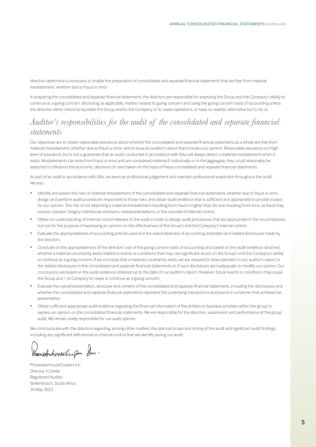directors determine is necessary to enable the preparation of consolidated and separate financial statements that are free from material misstatement, whether due to fraud or error.

In preparing the consolidated and separate financial statements, the directors are responsible for assessing the Group and the Company's ability to continue as a going concern, disclosing, as applicable, matters related to going concern and using the going concern basis of accounting unless the directors either intend to liquidate the Group and/or the Company or to cease operations, or have no realistic alternative but to do so.

# *Auditor's responsibilities for the audit of the consolidated and separate financial statements*

Our objectives are to obtain reasonable assurance about whether the consolidated and separate financial statements as a whole are free from material misstatement, whether due to fraud or error, and to issue an auditor's report that includes our opinion. Reasonable assurance is a high level of assurance, but is not a guarantee that an audit conducted in accordance with ISAs will always detect a material misstatement when it exists. Misstatements can arise from fraud or error and are considered material if, individually or in the aggregate, they could reasonably be expected to influence the economic decisions of users taken on the basis of these consolidated and separate financial statements.

As part of an audit in accordance with ISAs, we exercise professional judgement and maintain professional scepticism throughout the audit. We also:

- Identify and assess the risks of material misstatement of the consolidated and separate financial statements, whether due to fraud or error, design and perform audit procedures responsive to those risks, and obtain audit evidence that is sufficient and appropriate to provide a basis for our opinion. The risk of not detecting a material misstatement resulting from fraud is higher than for one resulting from error, as fraud may involve collusion, forgery, intentional omissions, misrepresentations, or the override of internal control.
- Obtain an understanding of internal control relevant to the audit in order to design audit procedures that are appropriate in the circumstances, but not for the purpose of expressing an opinion on the effectiveness of the Group's and the Company's internal control.
- Evaluate the appropriateness of accounting policies used and the reasonableness of accounting estimates and related disclosures made by the directors.
- Conclude on the appropriateness of the directors' use of the going concern basis of accounting and, based on the audit evidence obtained, whether a material uncertainty exists related to events or conditions that may cast significant doubt on the Group's and the Company's ability to continue as a going concern. If we conclude that a material uncertainty exists, we are required to draw attention in our auditor's report to the related disclosures in the consolidated and separate financial statements or, if such disclosures are inadequate, to modify our opinion. Our conclusions are based on the audit evidence obtained up to the date of our auditor's report. However, future events or conditions may cause the Group and / or Company to cease to continue as a going concern.
- Evaluate the overall presentation, structure and content of the consolidated and separate financial statements, including the disclosures, and whether the consolidated and separate financial statements represent the underlying transactions and events in a manner that achieves fair presentation.
- Obtain sufficient appropriate audit evidence regarding the financial information of the entities or business activities within the group to express an opinion on the consolidated financial statements. We are responsible for the direction, supervision and performance of the group audit. We remain solely responsible for our audit opinion.

We communicate with the directors regarding, among other matters, the planned scope and timing of the audit and significant audit findings, including any significant deficiencies in internal control that we identify during our audit.

Verenectuherselverfun den.

PricewaterhouseCoopers Inc. Director: H Zeelie Registered Auditor Stellenbosch, South Africa 26 May 2022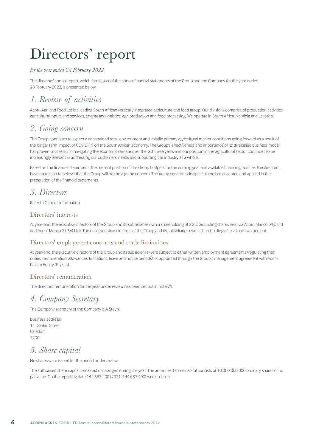# Directors' report

### *for the year ended 28 February 2022*

The directors' annual report, which forms part of the annual financial statements of the Group and the Company for the year ended 28 February 2022, is presented below.

# *1. Review of activities*

Acorn Agri and Food Ltd is a leading South African vertically integrated agriculture and food group. Our divisions comprise of production activities, agricultural inputs and services, energy and logistics, agri production and food processing. We operate in South Africa, Namibia and Lesotho.

# *2. Going concern*

The Group continues to expect a constrained retail environment and volatile primary agricultural market conditions going forward as a result of the longer term impact of COVID-19 on the South African economy. The Group's effectiveness and importance of its diversified business model has proven successful in navigating the economic climate over the last three years and our position in the agricultural sector continues to be increasingly relevant in addressing our customers' needs and supporting the industry as a whole.

Based on the financial statements, the present position of the Group budgets for the coming year and available financing facilities, the directors have no reason to believe that the Group will not be a going concern. The going concern principle is therefore accepted and applied in the preparation of the financial statements.

## *3. Directors*

Refer to General Information.

## Directors' interests

At year-end, the executive directors of the Group and its subsidiaries own a shareholding of 3.3% (excluding shares held via Acorn Manco (Pty) Ltd and Acorn Manco 2 (Pty) Ltd). The non-executive directors of the Group and its subsidiaries own a shareholding of less than two percent.

## Directors' employment contracts and trade limitations

At year-end, the executive directors of the Group and its subsidiaries were subject to either written employment agreements (regulating their duties, remuneration, allowances, limitations, leave and notice periods), or appointed through the Group's management agreement with Acorn Private Equity (Pty) Ltd.

## Directors' remuneration

The directors' remuneration for the year under review has been set out in note 21.

## *4. Company Secretary*

The Company secretary of the Company is A Steyn:

Business address: 11 Donkin Street Caledon 7230

## *5. Share capital*

No shares were issued for the period under review.

The authorised share capital remained unchanged during the year. The authorised share capital consists of 10 000 000 000 ordinary shares of no par value. On the reporting date 144 687 400 (2021: 144 687 400) were in issue.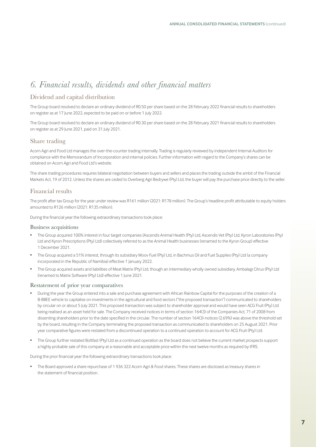## *6. Financial results, dividends and other financial matters*

### Dividend and capital distribution

The Group board resolved to declare an ordinary dividend of R0.50 per share based on the 28 February 2022 financial results to shareholders on register as at 17 June 2022, expected to be paid on or before 1 July 2022.

The Group board resolved to declare an ordinary dividend of R0.30 per share based on the 28 February 2021 financial results to shareholders on register as at 29 June 2021, paid on 31 July 2021.

### Share trading

Acorn Agri and Food Ltd manages the over-the-counter trading internally. Trading is regularly reviewed by independent Internal Auditors for compliance with the Memorandum of Incorporation and internal policies. Further information with regard to the Company's shares can be obtained on Acorn Agri and Food Ltd's website.

The share trading procedures requires bilateral negotiation between buyers and sellers and places the trading outside the ambit of the Financial Markets Act, 19 of 2012. Unless the shares are ceded to Overberg Agri Bedrywe (Pty) Ltd, the buyer will pay the purchase price directly to the seller.

### Financial results

The profit after tax Group for the year under review was R161 million (2021: R178 million). The Group's headline profit attributable to equity holders amounted to R126 million (2021: R135 million).

During the financial year the following extraordinary transactions took place:

#### Business acquisitions

- The Group acquired 100% interest in four target companies (Ascendis Animal Health (Pty) Ltd, Ascendis Vet (Pty) Ltd, Kyron Laboratories (Pty) Ltd and Kyron Prescriptions (Pty) Ltd) collectively referred to as the Animal Health businesses (renamed to the Kyron Group) effective 1 December 2021.
- The Group acquired a 51% interest, through its subsidiary Moov Fuel (Pty) Ltd, in Bachmus Oil and Fuel Supplies (Pty) Ltd (a company incorporated in the Republic of Namibia) effective 1 January 2022.
- The Group acquired assets and liabilities of Meat Matrix (Pty) Ltd, though an intermediary wholly owned subsidiary, Ambalagi Citrus (Pty) Ltd (renamed to Matrix Software (Pty) Ltd) effective 1 June 2021.

#### Restatement of prior year comparatives

- During the year the Group entered into a sale and purchase agreement with African Rainbow Capital for the purposes of the creation of a B-BBEE vehicle to capitalise on investments in the agricultural and food sectors ("the proposed transaction") communicated to shareholders by circular on or about 5 July 2021. This proposed transaction was subject to shareholder approval and would have seen ACG Fruit (Pty) Ltd being realised as an asset held for sale. The Company received notices in terms of section 164(3) of the Companies Act, 71 of 2008 from dissenting shareholders prior to the date specified in the circular. The number of section 164(3)-notices (2.69%) was above the threshold set by the board, resulting in the Company terminating the proposed transaction as communicated to shareholders on 25 August 2021. Prior year comparative figures were restated from a discontinued operation to a continued operation to account for ACG Fruit (Pty) Ltd.
- The Group further restated Boltfast (Pty) Ltd as a continued operation as the board does not believe the current market prospects support a highly probable sale of this company at a reasonable and acceptable price within the next twelve months as required by IFRS.

During the prior financial year the following extraordinary transactions took place:

• The Board approved a share repurchase of 1 936 322 Acorn Agri & Food shares. These shares are disclosed as treasury shares in the statement of financial position.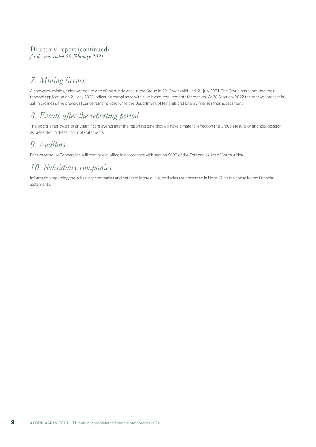## Directors' report (continued) *for the year ended 28 February 2021*

# *7. Mining licence*

A converted mining right awarded to one of the subsidiaries in the Group in 2012 was valid until 21 July 2021. The Group has submitted their renewal application on 21 May 2021 indicating compliance with all relevant requirements for renewal. At 28 February 2022 the renewal process is still in progress. The previous licence remains valid while the Department of Minerals and Energy finalises their assessment.

# *8. Events after the reporting period*

The board is not aware of any significant events after the reporting date that will have a material effect on the Group's results or financial position as presented in these financial statements.

# *9. Auditors*

PricewaterhouseCoopers Inc. will continue in office in accordance with section 90(6) of the Companies Act of South Africa.

# *10. Subsidiary companies*

Information regarding the subsidiary companies and details of interest in subsidiaries are presented in Note 12 to the consolidated financial statements.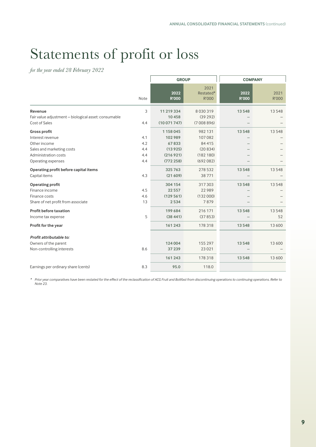# Statements of profit or loss

*for the year ended 28 February 2022*

|                                                                       |      | <b>GROUP</b>        |                                   | <b>COMPANY</b>       |               |
|-----------------------------------------------------------------------|------|---------------------|-----------------------------------|----------------------|---------------|
|                                                                       | Note | 2022<br>R'000       | 2021<br>Restated*<br><b>R'000</b> | 2022<br><b>R'000</b> | 2021<br>R'000 |
| Revenue                                                               | 3    | 11 219 334          | 8 0 3 0 3 1 9                     | 13548                | 13548         |
| Fair value adjustment - biological asset: consumable<br>Cost of Sales | 4.4  | 10458<br>(10071747) | (39 292)<br>(7008896)             |                      |               |
| <b>Gross profit</b>                                                   |      | 1158045             | 982 131                           | 13548                | 13 5 48       |
| Interest revenue                                                      | 4.1  | 102989              | 107082                            |                      |               |
| Other income                                                          | 4.2  | 67833               | 84415                             |                      |               |
| Sales and marketing costs                                             | 4.4  | (13925)             | (20834)                           |                      |               |
| Administration costs                                                  | 4.4  | (216921)            | (182180)                          |                      |               |
| Operating expenses                                                    | 4.4  | (772258)            | (692082)                          |                      |               |
| Operating profit before capital items                                 |      | 325763              | 278 532                           | 13548                | 13 548        |
| Capital items                                                         | 4.3  | (21609)             | 38771                             |                      |               |
| <b>Operating profit</b>                                               |      | 304 154             | 317 303                           | 13548                | 13 548        |
| Finance income                                                        | 4.5  | 22 5 5 7            | 22 9 89                           |                      |               |
| Finance costs                                                         | 4.6  | (129561)            | (132000)                          |                      |               |
| Share of net profit from associate                                    | 13   | 2534                | 7879                              |                      |               |
| Profit before taxation                                                |      | 199 684             | 216 171                           | 13548                | 13548         |
| Income tax expense                                                    | 5    | (38441)             | (37853)                           |                      | 52            |
| Profit for the year                                                   |      | 161 243             | 178 318                           | 13548                | 13 600        |
| Profit attributable to:                                               |      |                     |                                   |                      |               |
| Owners of the parent                                                  |      | 124 004             | 155 297                           | 13 548               | 13 600        |
| Non-controlling interests                                             | 8.6  | 37 239              | 23 0 21                           |                      |               |
|                                                                       |      | 161 243             | 178 318                           | 13548                | 13 600        |
| Earnings per ordinary share (cents)                                   | 8.3  | 95.0                | 118.0                             |                      |               |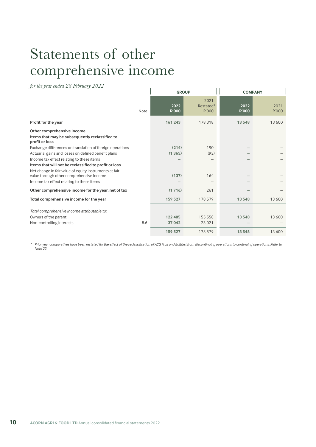# Statements of other comprehensive income

*for the year ended 28 February 2022*

|                                                                                                    |      | <b>GROUP</b>         |                            | <b>COMPANY</b> |                      |
|----------------------------------------------------------------------------------------------------|------|----------------------|----------------------------|----------------|----------------------|
|                                                                                                    | Note | 2022<br><b>R'000</b> | 2021<br>Restated*<br>R'000 | 2022<br>R'000  | 2021<br><b>R'000</b> |
| Profit for the year                                                                                |      | 161 243              | 178 318                    | 13548          | 13 600               |
| Other comprehensive income                                                                         |      |                      |                            |                |                      |
| Items that may be subsequently reclassified to<br>profit or loss                                   |      |                      |                            |                |                      |
| Exchange differences on translation of foreign operations                                          |      | (214)                | 190                        |                |                      |
| Actuarial gains and losses on defined benefit plans                                                |      | (1365)               | (93)                       |                |                      |
| Income tax effect relating to these items                                                          |      |                      |                            |                |                      |
| Items that will not be reclassified to profit or loss                                              |      |                      |                            |                |                      |
| Net change in fair value of equity instruments at fair<br>value through other comprehensive income |      | (137)                | 164                        |                |                      |
| Income tax effect relating to these items                                                          |      |                      |                            |                |                      |
| Other comprehensive income for the year, net of tax                                                |      | (1716)               | 261                        |                |                      |
| Total comprehensive income for the year                                                            |      | 159 527              | 178 579                    | 13548          | 13 600               |
| Total comprehensive income attributable to:                                                        |      |                      |                            |                |                      |
| Owners of the parent                                                                               |      | 122 485              | 155 558                    | 13548          | 13 600               |
| Non-controlling interests                                                                          | 8.6  | 37042                | 23 0 21                    |                |                      |
|                                                                                                    |      | 159 527              | 178 579                    | 13548          | 13 600               |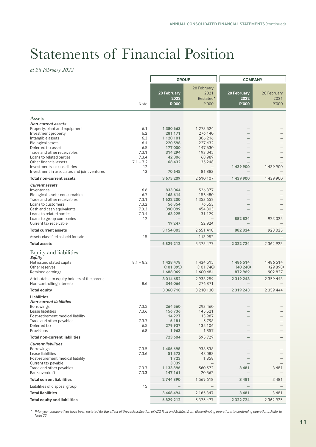# Statements of Financial Position

*at 28 February 2022*

|                                                                                                                    | <b>GROUP</b>                        |                                           | <b>COMPANY</b>                      |                              |
|--------------------------------------------------------------------------------------------------------------------|-------------------------------------|-------------------------------------------|-------------------------------------|------------------------------|
| Note                                                                                                               | 28 February<br>2022<br><b>R'000</b> | 28 February<br>2021<br>Restated*<br>R'000 | 28 February<br>2022<br><b>R'000</b> | 28 February<br>2021<br>R'000 |
| Assets<br><b>Non-current assets</b><br>Property, plant and equipment<br>6.1                                        | 1380663                             | 1 273 524                                 |                                     |                              |
| Investment property<br>6.2<br>6.3<br>Intangible assets                                                             | 281 171<br>1 120 101                | 276 140<br>306 216                        |                                     |                              |
| <b>Biological assets</b><br>6.4<br>6.5<br>Deferred tax asset                                                       | 220 598<br>177 000                  | 227 432<br>147 630                        |                                     |                              |
| Trade and other receivables<br>7.3.1<br>Loans to related parties<br>7.3.4<br>$7.1 - 7.2$<br>Other financial assets | 314 294<br>42 3 0 6<br>68 432       | 193 045<br>68 9 89<br>35 2 48             |                                     |                              |
| 12<br>Investments in subsidiaries<br>13<br>Investment in associates and joint ventures                             | $\overline{\phantom{0}}$<br>70 645  | 81883                                     | 1 439 900                           | 1 439 900                    |
| <b>Total non-current assets</b>                                                                                    | 3675209                             | 2610107                                   | 1439900                             | 1439900                      |
| <b>Current assets</b>                                                                                              |                                     |                                           |                                     |                              |
| 6.6<br>Inventories<br>6.7<br>Biological assets: consumables                                                        | 833064<br>168 614                   | 526 377<br>156 480                        |                                     |                              |
| 7.3.1<br>Trade and other receivables                                                                               | 1622200                             | 1 3 5 3 6 5 2                             |                                     |                              |
| Loans to customers<br>7.3.2<br>7.3.3                                                                               | 568554                              | 76 553<br>454 303                         |                                     |                              |
| Cash and cash equivalents<br>7.3.4<br>Loans to related parties                                                     | 390099<br>63925                     | 31 1 29                                   |                                     |                              |
| Loans to group companies<br>12<br>Current tax receivable                                                           | 19 247                              | 52 9 24                                   | 882824                              | 923025                       |
| <b>Total current assets</b>                                                                                        | 3 1 5 4 0 0 3                       | 2 651 418                                 | 882824                              | 923025                       |
| 15<br>Assets classified as held for sale                                                                           |                                     | 113 952                                   |                                     |                              |
| <b>Total assets</b>                                                                                                | 6829212                             | 5 3 7 5 4 7 7                             | 2322724                             | 2 3 6 2 9 2 5                |
| Equity and liabilities<br>Equity                                                                                   |                                     |                                           |                                     |                              |
| Net issued stated capital<br>$8.1 - 8.2$<br>Other reserves                                                         | 1428478<br>(101895)                 | 1 434 515<br>(101740)                     | 1486514<br>(40240)                  | 1486514<br>(29898)           |
| Retained earnings                                                                                                  | 1688069                             | 1 600 484                                 | 872969                              | 902827                       |
| Attributable to equity holders of the parent<br>8.6<br>Non-controlling interests                                   | 3014652<br>346 066                  | 2933259<br>276 871                        | 2 3 1 9 2 4 3                       | 2 3 5 9 4 4 3                |
| <b>Total equity</b>                                                                                                | 3360718                             | 3 2 1 0 1 3 0                             | 2 3 1 9 2 4 3                       | 2 3 5 9 4 4 4                |
| <b>Liabilities</b><br><b>Non-current liabilities</b>                                                               |                                     |                                           |                                     |                              |
| 7.3.5<br><b>Borrowings</b><br>7.3.6<br>Lease liabilities                                                           | 264 560<br>156736                   | 293 460<br>145 521                        |                                     |                              |
| Post-retirement medical liability                                                                                  | 14 2 27                             | 13 9 8 7                                  |                                     |                              |
| Trade and other payables<br>7.3.7                                                                                  | 6 181                               | 5798                                      |                                     |                              |
| 6.5<br>Deferred tax<br>Provisions<br>6.8                                                                           | 279 937<br>1963                     | 135 106<br>1857                           |                                     |                              |
| <b>Total non-current liabilities</b>                                                                               | 723 604                             | 595729                                    |                                     |                              |
| <b>Current liabilities</b>                                                                                         |                                     |                                           |                                     |                              |
| 7.3.5<br><b>Borrowings</b><br>7.3.6<br>Lease liabilities                                                           | 1406698<br>51 573                   | 938 538<br>48 0 88                        |                                     |                              |
| Post-retirement medical liability                                                                                  | 1723                                | 1858                                      |                                     |                              |
| Current tax payable                                                                                                | 3839                                |                                           |                                     |                              |
| 7.3.7<br>Trade and other payables<br>Bank overdraft<br>7.3.3                                                       | 1 133 896<br>147 161                | 560 572<br>20562                          | 3481                                | 3481                         |
| <b>Total current liabilities</b>                                                                                   | 2744890                             | 1569618                                   | 3481                                | 3481                         |
| 15<br>Liabilities of disposal group                                                                                | $\qquad \qquad -$                   |                                           |                                     |                              |
| <b>Total liabilities</b>                                                                                           | 3468494                             | 2 1 6 5 3 4 7                             | 3481                                | 3481                         |
| <b>Total equity and liabilities</b>                                                                                | 6829212                             | 5375477                                   | 2 3 2 7 2 4                         | 2 3 6 2 9 2 5                |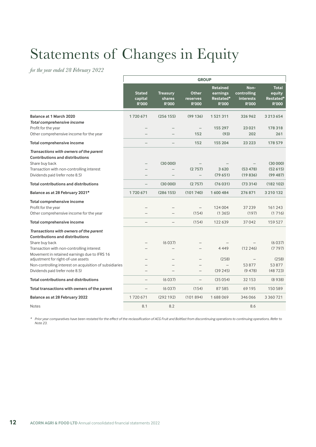# Statements of Changes in Equity

*for the year ended 28 February 2022*

|                                                                                  |                                   |                                           | <b>GROUP</b>                             |                                                   |                                                         |                                              |
|----------------------------------------------------------------------------------|-----------------------------------|-------------------------------------------|------------------------------------------|---------------------------------------------------|---------------------------------------------------------|----------------------------------------------|
|                                                                                  | <b>Stated</b><br>capital<br>R'000 | <b>Treasury</b><br>shares<br><b>R'000</b> | <b>Other</b><br>reserves<br><b>R'000</b> | <b>Retained</b><br>earnings<br>Restated*<br>R'000 | Non-<br>controlling<br><b>interests</b><br><b>R'000</b> | <b>Total</b><br>equity<br>Restated*<br>R'000 |
| <b>Balance at 1 March 2020</b>                                                   | 1720 671                          | (256 155)                                 | (99136)                                  | 1521311                                           | 326 962                                                 | 3 2 1 3 6 5 4                                |
| Total comprehensive income                                                       |                                   |                                           |                                          |                                                   |                                                         |                                              |
| Profit for the year<br>Other comprehensive income for the year                   |                                   |                                           | 152                                      | 155 297<br>(93)                                   | 23021<br>202                                            | 178318<br>261                                |
| Total comprehensive income                                                       |                                   |                                           | 152                                      | 155 204                                           | 23 2 23                                                 | 178 579                                      |
|                                                                                  |                                   |                                           |                                          |                                                   |                                                         |                                              |
| Transactions with owners of the parent<br><b>Contributions and distributions</b> |                                   |                                           |                                          |                                                   |                                                         |                                              |
| Share buy back                                                                   |                                   | (30000)                                   |                                          |                                                   |                                                         | (30000)                                      |
| Transaction with non-controlling interest                                        |                                   |                                           | (2757)                                   | 3620                                              | (53478)                                                 | (52615)                                      |
| Dividends paid (refer note 8.5)                                                  |                                   |                                           |                                          | (79651)                                           | (19836)                                                 | (99487)                                      |
| <b>Total contributions and distributions</b>                                     | $\overline{\phantom{0}}$          | (30000)                                   | (2757)                                   | (76031)                                           | (73314)                                                 | (182102)                                     |
| Balance as at 28 February 2021*                                                  | 1720 671                          | (286 155)                                 | (101740)                                 | 1600484                                           | 276871                                                  | 3 2 1 0 1 3 2                                |
| Total comprehensive income                                                       |                                   |                                           |                                          |                                                   |                                                         |                                              |
| Profit for the year                                                              |                                   |                                           |                                          | 124 004                                           | 37 239                                                  | 161243                                       |
| Other comprehensive income for the year                                          |                                   |                                           | (154)                                    | (1365)                                            | (197)                                                   | (1716)                                       |
| Total comprehensive income                                                       |                                   |                                           | (154)                                    | 122 639                                           | 37042                                                   | 159 527                                      |
| Transactions with owners of the parent                                           |                                   |                                           |                                          |                                                   |                                                         |                                              |
| <b>Contributions and distributions</b><br>Share buy back                         |                                   | (6037)                                    |                                          |                                                   |                                                         | (6037)                                       |
| Transaction with non-controlling interest                                        |                                   |                                           |                                          | 4 4 4 9                                           | (12246)                                                 | (7797)                                       |
| Movement in retained earnings due to IFRS 16                                     |                                   |                                           |                                          |                                                   |                                                         |                                              |
| adjustment for right-of-use assets                                               |                                   |                                           |                                          | (258)                                             |                                                         | (258)                                        |
| Non-controlling interest on acquisition of subsidiaries                          |                                   |                                           |                                          |                                                   | 53877                                                   | 53877                                        |
| Dividends paid (refer note 8.5)                                                  |                                   |                                           |                                          | (39245)                                           | (9478)                                                  | (48723)                                      |
| <b>Total contributions and distributions</b>                                     | $\overline{\phantom{0}}$          | (6037)                                    |                                          | (35054)                                           | 32 153                                                  | (8938)                                       |
| Total transactions with owners of the parent                                     |                                   | (6037)                                    | (154)                                    | 87585                                             | 69 195                                                  | 150589                                       |
| Balance as at 28 February 2022                                                   | 1720 671                          | (292192)                                  | (101894)                                 | 1688069                                           | 346 066                                                 | 3 3 6 0 7 2 1                                |
| <b>Notes</b>                                                                     | 8.1                               | 8.2                                       |                                          |                                                   | 8.6                                                     |                                              |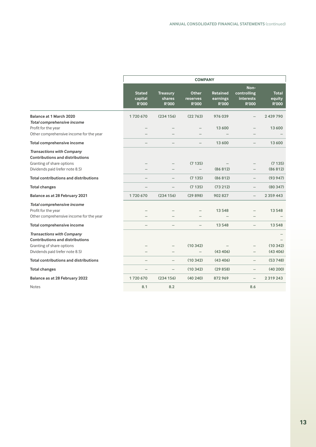٦

|                                                                            |                                   |                                           | <b>COMPANY</b>                           |                                             |                                                         |                                        |
|----------------------------------------------------------------------------|-----------------------------------|-------------------------------------------|------------------------------------------|---------------------------------------------|---------------------------------------------------------|----------------------------------------|
|                                                                            | <b>Stated</b><br>capital<br>R'000 | <b>Treasury</b><br>shares<br><b>R'000</b> | <b>Other</b><br>reserves<br><b>R'000</b> | <b>Retained</b><br>earnings<br><b>R'000</b> | Non-<br>controlling<br><b>interests</b><br><b>R'000</b> | <b>Total</b><br>equity<br><b>R'000</b> |
| <b>Balance at 1 March 2020</b>                                             | 1720 670                          | (234156)                                  | (22763)                                  | 976039                                      |                                                         | 2439790                                |
| Total comprehensive income                                                 |                                   |                                           |                                          |                                             |                                                         |                                        |
| Profit for the year                                                        |                                   |                                           |                                          | 13 600                                      |                                                         | 13 600                                 |
| Other comprehensive income for the year                                    |                                   |                                           |                                          |                                             |                                                         |                                        |
| Total comprehensive income                                                 |                                   |                                           |                                          | 13 600                                      |                                                         | 13 600                                 |
| <b>Transactions with Company</b><br><b>Contributions and distributions</b> |                                   |                                           |                                          |                                             |                                                         |                                        |
| Granting of share options                                                  |                                   |                                           | (7135)                                   |                                             |                                                         | (7135)                                 |
| Dividends paid (refer note 8.5)                                            |                                   |                                           |                                          | (86812)                                     |                                                         | (86812)                                |
| <b>Total contributions and distributions</b>                               |                                   |                                           | (7135)                                   | (86812)                                     |                                                         | (93947)                                |
| <b>Total changes</b>                                                       |                                   |                                           | (7135)                                   | (73212)                                     |                                                         | (80347)                                |
| Balance as at 28 February 2021                                             | 1720 670                          | (234 156)                                 | (29898)                                  | 902827                                      | $\overline{\phantom{0}}$                                | 2 3 5 9 4 4 3                          |
| Total comprehensive income                                                 |                                   |                                           |                                          |                                             |                                                         |                                        |
| Profit for the year                                                        |                                   |                                           |                                          | 13548                                       |                                                         | 13548                                  |
| Other comprehensive income for the year                                    |                                   |                                           |                                          |                                             |                                                         |                                        |
| Total comprehensive income                                                 |                                   |                                           |                                          | 13548                                       | $\overline{\phantom{0}}$                                | 13548                                  |
| <b>Transactions with Company</b><br><b>Contributions and distributions</b> |                                   |                                           |                                          |                                             |                                                         |                                        |
| Granting of share options                                                  |                                   |                                           | (10342)                                  |                                             |                                                         | (10342)                                |
| Dividends paid (refer note 8.5)                                            |                                   | $\overline{\phantom{0}}$                  | $\overline{\phantom{0}}$                 | (43, 406)                                   | $\overline{\phantom{0}}$                                | (43, 406)                              |
| <b>Total contributions and distributions</b>                               |                                   | $\overline{\phantom{0}}$                  | (10342)                                  | (43, 406)                                   | $\overline{\phantom{0}}$                                | (53748)                                |
| <b>Total changes</b>                                                       |                                   | $\qquad \qquad$                           | (10342)                                  | (29858)                                     | —                                                       | (40 200)                               |
| Balance as at 28 February 2022                                             | 1720670                           | (234156)                                  | (40240)                                  | 872969                                      | $\overline{\phantom{0}}$                                | 2319243                                |
| <b>Notes</b>                                                               | 8.1                               | 8.2                                       |                                          |                                             | 8.6                                                     |                                        |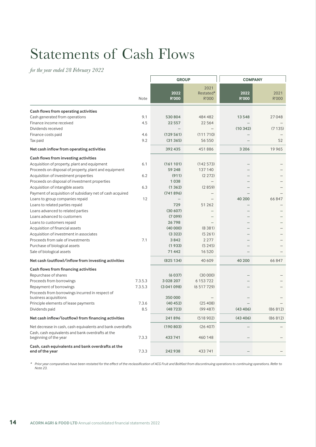# Statements of Cash Flows

*for the year ended 28 February 2022*

|                                                                                      |            | <b>GROUP</b>         |                            | <b>COMPANY</b>       |               |
|--------------------------------------------------------------------------------------|------------|----------------------|----------------------------|----------------------|---------------|
|                                                                                      | Note       | 2022<br><b>R'000</b> | 2021<br>Restated*<br>R'000 | 2022<br><b>R'000</b> | 2021<br>R'000 |
| Cash flows from operating activities                                                 |            |                      |                            |                      |               |
| Cash generated from operations                                                       | 9.1        | 530 804              | 484 482                    | 13548                | 27048         |
| Finance income received                                                              | 4.5        | 22 5 5 7             | 22 5 6 4                   |                      |               |
| Dividends received                                                                   |            |                      |                            | (10342)              | (7135)        |
| Finance costs paid<br>Tax paid                                                       | 4.6<br>9.2 | (129561)<br>(31365)  | (111710)<br>56 550         |                      | 52            |
| Net cash inflow from operating activities                                            |            | 392 435              | 451886                     | 3 2 0 6              | 19 9 65       |
|                                                                                      |            |                      |                            |                      |               |
| Cash flows from investing activities<br>Acquisition of property, plant and equipment | 6.1        | (161101)             | (142573)                   |                      |               |
| Proceeds on disposal of property, plant and equipment                                |            | 59 248               | 137140                     |                      |               |
| Acquisition of investment properties                                                 | 6.2        | (911)                | (2 272)                    |                      |               |
| Proceeds on disposal of investment properties                                        |            | 1038                 |                            |                      |               |
| Acquisition of intangible assets                                                     | 6.3        | (1362)               | (2859)                     |                      |               |
| Payment of acquisition of subsidiary net of cash acquired                            |            | (741896)             |                            |                      |               |
| Loans to group companies repaid<br>Loans to related parties repaid                   | 12         | 729                  | 51 262                     | 40 200               | 66847         |
| Loans advanced to related parties                                                    |            | (30607)              |                            |                      |               |
| Loans advanced to customers                                                          |            | (7099)               |                            |                      |               |
| Loans to customers repaid                                                            |            | 26798                |                            |                      |               |
| Acquisition of financial assets                                                      |            | (40000)              | (8381)                     |                      |               |
| Acquisition of investment in associates                                              |            | (3322)               | (5261)                     |                      |               |
| Proceeds from sale of investments                                                    | 7.1        | 3842                 | 2 2 7 7                    |                      |               |
| Purchase of biological assets                                                        |            | (1933)               | (5245)                     |                      |               |
| Sale of biological assets                                                            |            | 71442                | 16520                      |                      |               |
| Net cash (outflow)/inflow from investing activities                                  |            | (825134)             | 40 609                     | 40 200               | 66847         |
| Cash flows from financing activities                                                 |            |                      |                            |                      |               |
| Repurchase of shares                                                                 |            | (6037)               | (30000)                    |                      |               |
| Proceeds from borrowings                                                             | 7.3.5.3    | 3 0 28 20 7          | 6 153 722                  |                      |               |
| Repayment of borrowings<br>Proceeds from borrowings incurred in respect of           | 7.3.5.3    | (3041098)            | (6517729)                  |                      |               |
| business acquisitions                                                                |            | 350 000              |                            |                      |               |
| Principle elements of lease payments                                                 | 7.3.6      | (40452)              | (25, 408)                  |                      |               |
| Dividends paid                                                                       | 8.5        | (48723)              | (99487)                    | (43406)              | (86812)       |
| Net cash inflow/(outflow) from financing activities                                  |            | 241896               | (518902)                   | (43 406)             | (86812)       |
| Net decrease in cash, cash equivalents and bank overdrafts                           |            | (190 803)            | (26 407)                   |                      |               |
| Cash, cash equivalents and bank overdrafts at the<br>beginning of the year           | 7.3.3      | 433741               | 460 148                    |                      |               |
| Cash, cash equivalents and bank overdrafts at the<br>end of the year                 | 7.3.3      | 242 938              | 433741                     |                      |               |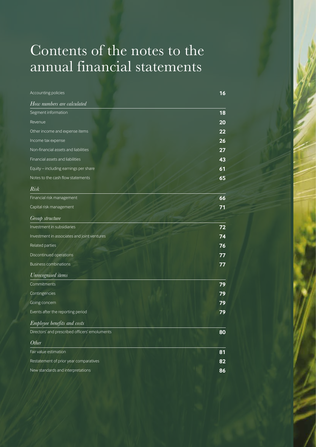# Contents of the notes to the annual financial statements

| Accounting policies                            | 16 |
|------------------------------------------------|----|
| How numbers are calculated                     |    |
| Segment information                            | 18 |
| Revenue                                        | 20 |
| Other income and expense items                 | 22 |
| Income tax expense                             | 26 |
| Non-financial assets and liabilities           | 27 |
| Financial assets and liabilities               | 43 |
| Equity - including earnings per share          | 61 |
| Notes to the cash flow statements              | 65 |
| Risk                                           |    |
| Financial risk management                      | 66 |
| Capital risk management                        | 71 |
| Group structure                                |    |
| Investment in subsidiaries                     | 72 |
| Investment in associates and joint ventures    | 74 |
| Related parties                                | 76 |
| Discontinued operations                        | 77 |
| <b>Business combinations</b>                   | 77 |
| Unrecognised items                             |    |
| Commitments                                    | 79 |
| Contingencies                                  | 79 |
| Going concern                                  | 79 |
| Events after the reporting period              | 79 |
| Employee benefits and costs                    |    |
| Directors' and prescribed officers' emoluments | 80 |
| Other                                          |    |
| Fair value estimation                          | 81 |
| Restatement of prior year comparatives         | 82 |
| New standards and interpretations              | 86 |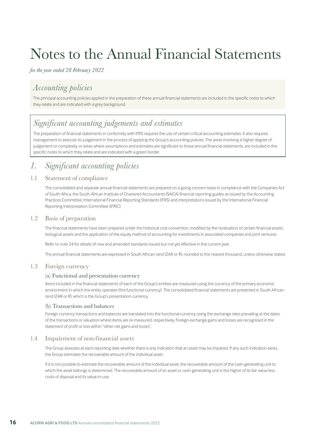# Notes to the Annual Financial Statements

*for the year ended 28 February 2022*

# *Accounting policies*

The principal accounting policies applied in the preparation of these annual financial statements are included in the specific notes to which they relate and are indicated with a grey background.

# *Significant accounting judgements and estimates*

The preparation of financial statements in conformity with IFRS requires the use of certain critical accounting estimates. It also requires management to exercise its judgement in the process of applying the Group's accounting policies. The areas involving a higher degree of judgement or complexity, or areas where assumptions and estimates are significant to these annual financial statements, are included in the specific notes to which they relate and are indicated with a green border.

# *1. Significant accounting policies*

## 1.1 Statement of compliance

The consolidated and separate annual financial statements are prepared on a going concern basis in compliance with the Companies Act of South Africa, the South African Institute of Chartered Accountants (SAICA) financial reporting guides as issued by the Accounting Practices Committee, International Financial Reporting Standards (IFRS) and interpretations issued by the International Financial Reporting Interpretation Committee (IFRIC).

## 1.2 Basis of preparation

The financial statements have been prepared under the historical cost convention, modified by the revaluation of certain financial assets, biological assets and the application of the equity method of accounting for investments in associated companies and joint ventures.

Refer to note 24 for details of new and amended standards issued but not yet effective in the current year.

The annual financial statements are expressed in South African rand (ZAR or R), rounded to the nearest thousand, unless otherwise stated.

## 1.3 Foreign currency

### (a) Functional and presentation currency

Items included in the financial statements of each of the Group's entities are measured using the currency of the primary economic environment in which the entity operates (the functional currency). The consolidated financial statements are presented in South African rand (ZAR or R), which is the Group's presentation currency.

### (b) Transactions and balances

Foreign currency transactions and balances are translated into the functional currency using the exchange rates prevailing at the dates of the transactions or valuation where items are re-measured, respectively. Foreign exchange gains and losses are recognised in the statement of profit or loss within "other net gains and losses".

### 1.4 Impairment of non-financial assets

The Group assesses at each reporting date whether there is any indication that an asset may be impaired. If any such indication exists, the Group estimates the recoverable amount of the individual asset.

If it is not possible to estimate the recoverable amount of the individual asset, the recoverable amount of the cash-generating unit to which the asset belongs is determined. The recoverable amount of an asset or cash-generating unit is the higher of its fair value less costs of disposal and its value-in-use.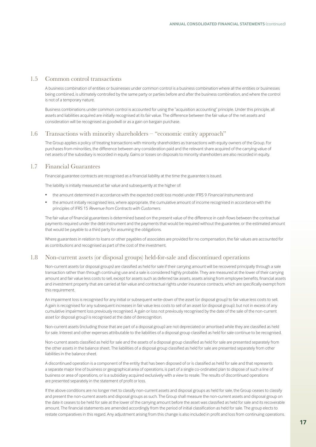### 1.5 Common control transactions

A business combination of entities or businesses under common control is a business combination where all the entities or businesses being combined, is ultimately controlled by the same party or parties before and after the business combination, and where the control is not of a temporary nature.

Business combinations under common control is accounted for using the "acquisition accounting" principle. Under this principle, all assets and liabilities acquired are initially recognised at its fair value. The difference between the fair value of the net assets and consideration will be recognised as goodwill or as a gain on bargain purchase.

#### 1.6 Transactions with minority shareholders – "economic entity approach"

The Group applies a policy of treating transactions with minority shareholders as transactions with equity owners of the Group. For purchases from minorities, the difference between any consideration paid and the relevant share acquired of the carrying value of net assets of the subsidiary is recorded in equity. Gains or losses on disposals to minority shareholders are also recorded in equity.

### 1.7 Financial Guarantees

Financial guarantee contracts are recognised as a financial liability at the time the guarantee is issued.

The liability is initially measured at fair value and subsequently at the higher of:

- the amount determined in accordance with the expected credit loss model under IFRS 9 *Financial Instruments* and
- the amount initially recognised less, where appropriate, the cumulative amount of income recognised in accordance with the principles of IFRS 15 *Revenue from Contracts with Customers*.

The fair value of financial guarantees is determined based on the present value of the difference in cash flows between the contractual payments required under the debt instrument and the payments that would be required without the guarantee, or the estimated amount that would be payable to a third party for assuming the obligations.

Where guarantees in relation to loans or other payables of associates are provided for no compensation, the fair values are accounted for as contributions and recognised as part of the cost of the investment.

#### 1.8 Non-current assets (or disposal groups) held-for-sale and discontinued operations

Non-current assets (or disposal groups) are classified as held for sale if their carrying amount will be recovered principally through a sale transaction rather than through continuing use and a sale is considered highly probable. They are measured at the lower of their carrying amount and fair value less costs to sell, except for assets such as deferred tax assets, assets arising from employee benefits, financial assets and investment property that are carried at fair value and contractual rights under insurance contracts, which are specifically exempt from this requirement.

An impairment loss is recognised for any initial or subsequent write-down of the asset (or disposal group) to fair value less costs to sell. A gain is recognised for any subsequent increases in fair value less costs to sell of an asset (or disposal group), but not in excess of any cumulative impairment loss previously recognised. A gain or loss not previously recognised by the date of the sale of the non-current asset (or disposal group) is recognised at the date of derecognition.

Non-current assets (including those that are part of a disposal group) are not depreciated or amortised while they are classified as held for sale. Interest and other expenses attributable to the liabilities of a disposal group classified as held for sale continue to be recognised.

Non-current assets classified as held for sale and the assets of a disposal group classified as held for sale are presented separately from the other assets in the balance sheet. The liabilities of a disposal group classified as held for sale are presented separately from other liabilities in the balance sheet.

A discontinued operation is a component of the entity that has been disposed of or is classified as held for sale and that represents a separate major line of business or geographical area of operations, is part of a single co-ordinated plan to dispose of such a line of business or area of operations, or is a subsidiary acquired exclusively with a view to resale. The results of discontinued operations are presented separately in the statement of profit or loss.

If the above conditions are no longer met to classify non-current assets and disposal groups as held for sale, the Group ceases to classify and present the non-current assets and disposal groups as such. The Group shall measure the non-current assets and disposal group on the date it ceases to be held for sale at the lower of the carrying amount before the asset was classified as held for sale and its recoverable amount. The financial statements are amended accordingly from the period of initial classification as held for sale. The group elects to restate comparatives in this regard. Any adjustment arising from this change is also included in profit and loss from continuing operations.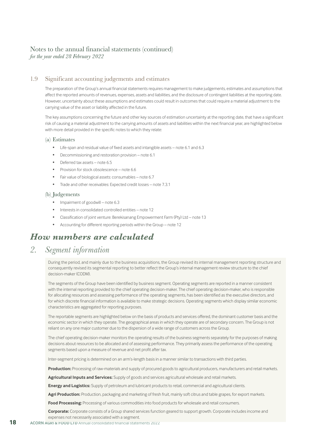## 1.9 Significant accounting judgements and estimates

The preparation of the Group's annual financial statements requires management to make judgements, estimates and assumptions that affect the reported amounts of revenues, expenses, assets and liabilities, and the disclosure of contingent liabilities at the reporting date. However, uncertainty about these assumptions and estimates could result in outcomes that could require a material adjustment to the carrying value of the asset or liability affected in the future.

The key assumptions concerning the future and other key sources of estimation uncertainty at the reporting date, that have a significant risk of causing a material adjustment to the carrying amounts of assets and liabilities within the next financial year, are highlighted below with more detail provided in the specific notes to which they relate:

#### (a) Estimates

- Life-span and residual value of fixed assets and intangible assets note 6.1 and 6.3
- Decommissioning and restoration provision note 6.1
- Deferred tax assets note 6.5
- Provision for stock obsolescence note 6.6
- Fair value of biological assets: consumables note 6.7
- Trade and other receivables: Expected credit losses note 7.3.1

#### (b) Judgements

- Impairment of goodwill note 6.3
- Interests in consolidated controlled entities note 12
- Classification of joint venture: Berekisanang Empowerment Farm (Pty) Ltd note 13
- Accounting for different reporting periods within the Group note 12

# *How numbers are calculated*

## *2. Segment information*

During the period, and mainly due to the business acquisitions, the Group revised its internal management reporting structure and consequently revised its segmental reporting to better reflect the Group's internal management review structure to the chief decision-maker (CODM).

The segments of the Group have been identified by business segment. Operating segments are reported in a manner consistent with the internal reporting provided to the chief operating decision-maker. The chief operating decision-maker, who is responsible for allocating resources and assessing performance of the operating segments, has been identified as the executive directors, and for which discrete financial information is available to make strategic decisions. Operating segments which display similar economic characteristics are aggregated for reporting purposes.

The reportable segments are highlighted below on the basis of products and services offered, the dominant customer basis and the economic sector in which they operate. The geographical areas in which they operate are of secondary concern. The Group is not reliant on any one major customer due to the dispersion of a wide range of customers across the Group.

The chief operating decision-maker monitors the operating results of the business segments separately for the purposes of making decisions about resources to be allocated and of assessing performance. They primarily assess the performance of the operating segments based upon a measure of revenue and net profit after tax.

Inter-segment pricing is determined on an arm's-length basis in a manner similar to transactions with third parties.

**Production:** Processing of raw-materials and supply of procured goods to agricultural producers, manufacturers and retail markets.

**Agricultural Inputs and Services:** Supply of goods and services agricultural wholesale and retail markets.

**Energy and Logistics:** Supply of petroleum and lubricant products to retail, commercial and agricultural clients.

**Agri Production:** Production, packaging and marketing of fresh fruit, mainly soft citrus and table grapes, for export markets.

Food Processing: Processing of various commodities into food products for wholesale and retail consumers.

**Corporate:** Corporate consists of a Group shared services function geared to support growth. Corporate includes income and expenses not necessarily associated with a segment.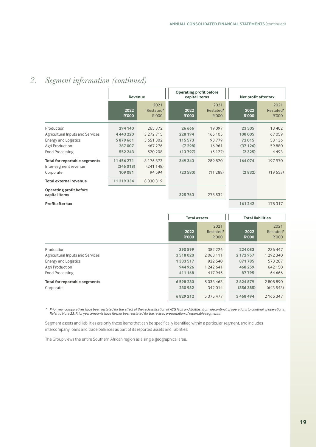# *2. Segment information (continued)*

|                                                 | Revenue              |                            | <b>Operating profit before</b><br>capital items |                            | Net profit after tax |                                   |
|-------------------------------------------------|----------------------|----------------------------|-------------------------------------------------|----------------------------|----------------------|-----------------------------------|
|                                                 | 2022<br><b>R'000</b> | 2021<br>Restated*<br>R'000 | 2022<br><b>R'000</b>                            | 2021<br>Restated*<br>R'000 | 2022<br>R'000        | 2021<br>Restated*<br><b>R'000</b> |
| Production                                      | 294 140              | 265 372                    | 26 6 6 6                                        | 19 0 9 7                   | 23 5 0 5             | 13 402                            |
| Agricultural Inputs and Services                | 4 4 4 3 2 2 0        | 3 2 7 2 7 1 5              | 228 194                                         | 165 105                    | 108 005              | 67059                             |
| <b>Energy and Logistics</b>                     | 5879661              | 3651302                    | 115 573                                         | 93779                      | 72015                | 53 1 36                           |
| Agri Production                                 | 287 007              | 467276                     | (7298)                                          | 16961                      | (37126)              | 59880                             |
| <b>Food Processing</b>                          | 552 243              | 520 208                    | (13797)                                         | (5122)                     | (2325)               | 4493                              |
| <b>Total for reportable segments</b>            | 11 456 271           | 8176873                    | 349 343                                         | 289820                     | 164074               | 197 970                           |
| Inter-segment revenue                           | (346018)             | (241148)                   |                                                 |                            |                      |                                   |
| Corporate                                       | 109 081              | 94 5 94                    | (23580)                                         | (11288)                    | (2832)               | (19653)                           |
| <b>Total external revenue</b>                   | 11 219 334           | 8030319                    |                                                 |                            |                      |                                   |
| <b>Operating profit before</b><br>capital items |                      |                            | 325 763                                         | 278 532                    |                      |                                   |
| Profit after tax                                |                      |                            |                                                 |                            | 161242               | 178317                            |

|                                  | <b>Total assets</b>  |                            | <b>Total liabilities</b> |                            |
|----------------------------------|----------------------|----------------------------|--------------------------|----------------------------|
|                                  | 2022<br><b>R'000</b> | 2021<br>Restated*<br>R'000 | 2022<br><b>R'000</b>     | 2021<br>Restated*<br>R'000 |
| Production                       | 390 599              | 382 226                    | 224 083                  | 236 447                    |
| Agricultural Inputs and Services | 3518020              | 2068111                    | 2 172 957                | 1292340                    |
| <b>Energy and Logistics</b>      | 1 3 3 5 1 7          | 922 540                    | 871785                   | 573 287                    |
| Agri Production                  | 944 926              | 1 242 641                  | 468 259                  | 642 150                    |
| Food Processing                  | 411 168              | 417945                     | 87795                    | 64 6 6 6                   |
| Total for reportable segments    | 6 598 230            | 5 0 3 3 4 6 3              | 3824879                  | 2808890                    |
| Corporate                        | 230 982              | 342014                     | (356385)                 | (643543)                   |
|                                  | 6829212              | 5 3 7 5 4 7 7              | 3468494                  | 2 1 6 5 3 4 7              |

\* Prior year comparatives have been restated for the effect of the reclassification of ACG Fruit and Boltfast from discontinuing operations to continuing operations.<br>Refer to Note 23. Prior year amounts have further been r

Segment assets and liabilities are only those items that can be specifically identified within a particular segment, and includes intercompany loans and trade balances as part of its reported assets and liabilities.

The Group views the entire Southern African region as a single geographical area.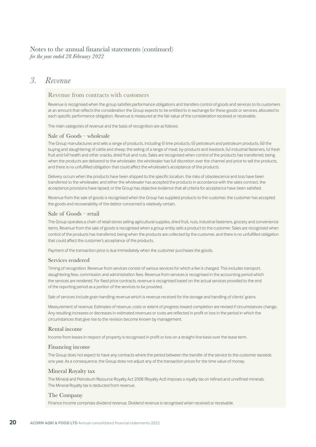## *3. Revenue*

#### Revenue from contracts with customers

Revenue is recognised when the group satisfies performance obligations and transfers control of goods and services to its customers at an amount that reflects the consideration the Group expects to be entitled to in exchange for these goods or services, allocated to each specific performance obligation. Revenue is measured at the fair value of the consideration received or receivable.

The main categories of revenue and the basis of recognition are as follows:

#### Sale of Goods – wholesale

The Group manufactures and sells a range of products, including (i) lime products, (ii) petroleum and petroleum products, (iii) the buying and slaughtering of cattle and sheep; the selling of a range of meat, by-products and livestock, (iv) industrial fasteners, (v) fresh fruit and (vi) health and other snacks, dried fruit and nuts. Sales are recognised when control of the products has transferred, being when the products are delivered to the wholesaler, the wholesaler has full discretion over the channel and price to sell the products. and there is no unfulfilled obligation that could affect the wholesaler's acceptance of the products.

Delivery occurs when the products have been shipped to the specific location, the risks of obsolescence and loss have been transferred to the wholesaler, and either the wholesaler has accepted the products in accordance with the sales contract, the acceptance provisions have lapsed, or the Group has objective evidence that all criteria for acceptance have been satisfied.

Revenue from the sale of goods is recognised when the Group has supplied products to the customer, the customer has accepted the goods and recoverability of the debtor concerned is relatively certain.

#### Sale of Goods – retail

The Group operates a chain of retail stores selling agricultural supplies, dried fruit, nuts, industrial fasteners, grocery and convenience items. Revenue from the sale of goods is recognised when a group entity sells a product to the customer. Sales are recognised when control of the products has transferred, being when the products are collected by the customer, and there is no unfulfilled obligation that could affect the customer's acceptance of the products.

Payment of the transaction price is due immediately when the customer purchases the goods.

#### Services rendered

Timing of recognition: Revenue from services consist of various services for which a fee is charged. This includes transport, slaughtering fees, commission and administration fees. Revenue from services is recognised in the accounting period which the services are rendered. For fixed price contracts, revenue is recognised based on the actual services provided to the end of the reporting period as a portion of the services to be provided.

Sale of services include grain handling revenue which is revenue received for the storage and handling of clients' grains.

Measurement of revenue: Estimates of revenue, costs or extent of progress toward completion are revised if circumstances change. Any resulting increases or decreases in estimated revenues or costs are reflected in profit or loss in the period in which the circumstances that give rise to the revision become known by management.

#### Rental income

Income from leases in respect of property is recognised in profit or loss on a straight-line basis over the lease term.

#### Financing income

The Group does not expect to have any contracts where the period between the transfer of the service to the customer exceeds one year. As a consequence, the Group does not adjust any of the transaction prices for the time value of money.

#### Mineral Royalty tax

The Mineral and Petroleum Resource Royalty Act 2008 (Royalty Act) imposes a royalty tax on refined and unrefined minerals. The Mineral Royalty tax is deducted from revenue.

#### The Company

Finance income comprises dividend revenue. Dividend revenue is recognised when received or receivable.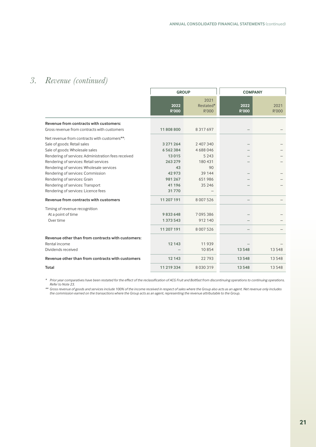# *3. Revenue (continued)*

|                                                     | <b>GROUP</b>         |                                   | <b>COMPANY</b>       |                      |
|-----------------------------------------------------|----------------------|-----------------------------------|----------------------|----------------------|
|                                                     | 2022<br><b>R'000</b> | 2021<br>Restated*<br><b>R'000</b> | 2022<br><b>R'000</b> | 2021<br><b>R'000</b> |
| Revenue from contracts with customers:              |                      |                                   |                      |                      |
| Gross revenue from contracts with customers         | 11808800             | 8 3 1 7 6 9 7                     |                      |                      |
| Net revenue from contracts with customers**:        |                      |                                   |                      |                      |
| Sale of goods: Retail sales                         | 3 271 264            | 2 407 340                         |                      |                      |
| Sale of goods: Wholesale sales                      | 6562384              | 4 688 046                         |                      |                      |
| Rendering of services: Administration fees received | 13015                | 5 2 4 3                           |                      |                      |
| Rendering of services: Retail services              | 263 279              | 180 431                           |                      |                      |
| Rendering of services: Wholesale services           | 43                   | 90                                |                      |                      |
| Rendering of services: Commission                   | 42 973               | 39 144                            |                      |                      |
| Rendering of services: Grain                        | 981 267              | 651986                            |                      |                      |
| Rendering of services: Transport                    | 41 196               | 35 24 6                           |                      |                      |
| Rendering of services: Licence fees                 | 31770                |                                   |                      |                      |
| Revenue from contracts with customers               | 11 207 191           | 8 0 0 7 5 2 6                     |                      |                      |
| Timing of revenue recognition                       |                      |                                   |                      |                      |
| At a point of time                                  | 9833648              | 7095386                           |                      |                      |
| Over time                                           | 1 373 543            | 912 140                           |                      |                      |
|                                                     | 11 207 191           | 8 0 0 7 5 2 6                     |                      |                      |
| Revenue other than from contracts with customers:   |                      |                                   |                      |                      |
| Rental income                                       | 12 143               | 11939                             |                      |                      |
| Dividends received                                  |                      | 10854                             | 13548                | 13548                |
| Revenue other than from contracts with customers    | 12 143               | 22793                             | 13548                | 13548                |
| <b>Total</b>                                        | 11 219 334           | 8 0 3 0 3 1 9                     | 13548                | 13548                |

*\* Prior year comparatives have been restated for the effect of the reclassification of ACG Fruit and Boltfast from discontinuing operations to continuing operations. Refer to Note 23.*

\*\* Gross revenue of goods and services include 100% of the income received in respect of sales where the Group also acts as an agent. Net revenue only includes<br>the commission earned on the transactions where the Group acts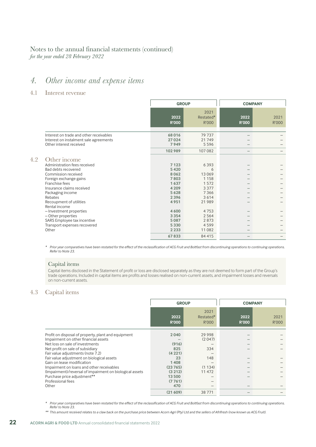# *4. Other income and expense items*

### 4.1 Interest revenue

|     |                                                                                                                                                                                                                                                |                                                                               | <b>GROUP</b>                                                              | <b>COMPANY</b>       |               |
|-----|------------------------------------------------------------------------------------------------------------------------------------------------------------------------------------------------------------------------------------------------|-------------------------------------------------------------------------------|---------------------------------------------------------------------------|----------------------|---------------|
|     |                                                                                                                                                                                                                                                | 2022<br>R'000                                                                 | 2021<br>Restated*<br><b>R'000</b>                                         | 2022<br><b>R'000</b> | 2021<br>R'000 |
|     | Interest on trade and other receivables<br>Interest on instalment sale agreements<br>Other interest received                                                                                                                                   | 68016<br>27024<br>7949                                                        | 79 737<br>21749<br>5 5 9 6                                                |                      |               |
|     |                                                                                                                                                                                                                                                | 102 989                                                                       | 107082                                                                    |                      |               |
| 4.2 | Other income<br>Administration fees received<br>Bad debts recovered<br>Commission received<br>Foreign exchange gains<br>Franchise fees<br>Insurance claims received<br>Packaging income<br>Rebates<br>Recoupment of utilities<br>Rental income | 7 1 2 3<br>5420<br>8062<br>7803<br>1637<br>4 2 0 9<br>5628<br>2 3 9 6<br>4951 | 6 3 9 3<br>6<br>13069<br>1158<br>1572<br>3 3 7 7<br>7366<br>3614<br>21989 |                      |               |
|     | - Investment properties<br>- Other properties<br>SARS Employee tax incentive<br>Transport expenses recovered<br>Other                                                                                                                          | 4600<br>3 3 5 4<br>5087<br>5 3 3 0<br>2 2 3 3                                 | 4753<br>2 5 6 4<br>2873<br>4599<br>11082                                  |                      |               |
|     |                                                                                                                                                                                                                                                | 67833                                                                         | 84 415                                                                    |                      |               |

*\* Prior year comparatives have been restated for the effect of the reclassification of ACG Fruit and Boltfast from discontinuing operations to continuing operations. Refer to Note 23.*

#### Capital items

Capital items disclosed in the Statement of profit or loss are disclosed separately as they are not deemed to form part of the Group's trade operations. Included in capital items are profits and losses realised on non-current assets, and impairment losses and reversals on non-current assets.

### 4.3 Capital items

|                                                          | <b>GROUP</b>         |                            | <b>COMPANY</b>       |               |  |
|----------------------------------------------------------|----------------------|----------------------------|----------------------|---------------|--|
|                                                          | 2022<br><b>R'000</b> | 2021<br>Restated*<br>R'000 | 2022<br><b>R'000</b> | 2021<br>R'000 |  |
| Profit on disposal of property, plant and equipment      | 2040                 | 29 9 9 8                   |                      |               |  |
| Impairment on other financial assets                     |                      | (2.047)                    |                      |               |  |
| Net loss on sale of investments                          | (916)                |                            |                      |               |  |
| Net profit on sale of subsidiary                         | 825                  | 334                        |                      |               |  |
| Fair value adjustments (note 7.2)                        | (4221)               |                            |                      |               |  |
| Fair value adjustment on biological assets               | 23                   | 148                        |                      |               |  |
| Gain on lease modification                               | 1408                 |                            |                      |               |  |
| Impairment on loans and other receivables                | (23765)              | (1134)                     |                      |               |  |
| (Impairment)/reversal of impairment on biological assets | (3 212)              | 11 472                     |                      |               |  |
| Purchase price adjustment**                              | 13500                |                            |                      |               |  |
| Professional fees                                        | (7761)               |                            |                      |               |  |
| Other                                                    | 470                  |                            |                      |               |  |
|                                                          | (21609)              | 38771                      |                      |               |  |

*\* Prior year comparatives have been restated for the effect of the reclassification of ACG Fruit and Boltfast from discontinuing operations to continuing operations. Refer to Note 23.*

*\*\* This amount received relates to a claw back on the purchase price between Acorn Agri (Pty) Ltd and the sellers of Afrifresh (now known as ACG Fruit).*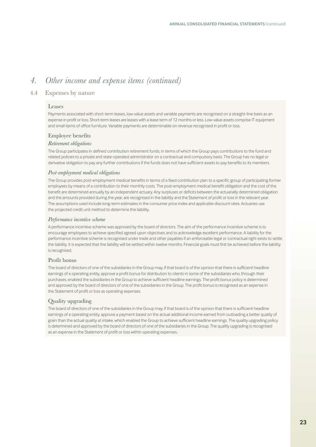## *4. Other income and expense items (continued)*

## 4.4 Expenses by nature

#### Leases

Payments associated with short-term leases, low-value assets and variable payments are recognised on a straight-line basis as an expense in profit or loss. Short-term leases are leases with a lease term of 12 months or less. Low-value assets comprise IT equipment and small items of office furniture. Variable payments are determinable on revenue recognised in profit or loss.

#### Employee benefits

#### *Retirement obligations*

The Group participates in defined contribution retirement funds, in terms of which the Group pays contributions to the fund and related policies to a private and state-operated administrator on a contractual and compulsory basis. The Group has no legal or derivative obligation to pay any further contributions if the funds does not have sufficient assets to pay benefits to its members.

#### *Post-employment medical obligations*

The Group provides post-employment medical benefits in terms of a fixed contribution plan to a specific group of participating former employees by means of a contribution to their monthly costs. The post-employment medical benefit obligation and the cost of the benefit are determined annually by an independent actuary. Any surpluses or deficits between the actuarially determined obligation and the amounts provided during the year, are recognised in the liability and the Statement of profit or loss in the relevant year. The assumptions used include long-term estimates in the consumer price index and applicable discount rates. Actuaries use the projected credit unit method to determine the liability.

#### *Performance incentive scheme*

A performance incentive scheme was approved by the board of directors. The aim of the performance incentive scheme is to encourage employees to achieve specified agreed upon objectives and to acknowledge excellent performance. A liability for the performance incentive scheme is recognised under trade and other payables if an enforceable legal or contractual right exists to settle the liability. It is expected that the liability will be settled within twelve months. Financial goals must first be achieved before the liability is recognised.

#### Profit bonus

The board of directors of one of the subsidiaries in the Group may, if that board is of the opinion that there is sufficient headline earnings of a operating entity, approve a profit bonus for distribution to clients in some of the subsidiaries who, through their purchases, enabled the subsidiaries in the Group to achieve sufficient headline earnings. The profit bonus policy is determined and approved by the board of directors of one of the subsidiaries in the Group. The profit bonus is recognised as an expense in the Statement of profit or loss as operating expenses.

### Quality upgrading

The board of directors of one of the subsidiaries in the Group may, if that board is of the opinion that there is sufficient headline earnings of a operating entity, approve a payment based on the actual additional income earned from outloading a better quality of grain than the actual quality at intake, which enabled the Group to achieve sufficient headline earnings. The quality upgrading policy is determined and approved by the board of directors of one of the subsidiaries in the Group. The quality upgrading is recognised as an expense in the Statement of profit or loss within operating expenses.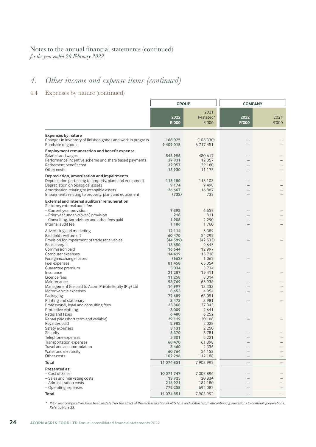# *4. Other income and expense items (continued)*

## 4.4 Expenses by nature (continued)

|                                                                                                                                                                                                                                                    | <b>GROUP</b>                                    |                                                  | <b>COMPANY</b>       |                      |
|----------------------------------------------------------------------------------------------------------------------------------------------------------------------------------------------------------------------------------------------------|-------------------------------------------------|--------------------------------------------------|----------------------|----------------------|
|                                                                                                                                                                                                                                                    | 2022<br><b>R'000</b>                            | 2021<br>Restated*<br>R'000                       | 2022<br><b>R'000</b> | 2021<br><b>R'000</b> |
| <b>Expenses by nature</b><br>Changes in inventory of finished goods and work in progress<br>Purchase of goods                                                                                                                                      | 168025<br>9 409 015                             | (108330)<br>6717451                              |                      |                      |
| <b>Employment remuneration and benefit expense</b><br>Salaries and wages<br>Performance incentive scheme and share based payments<br>Retirement benefit cost<br>Other costs                                                                        | 548 996<br>37931<br>32 057<br>15 930            | 480 617<br>12857<br>29 160<br>11 1 7 5           |                      |                      |
| Depreciation, amortisation and impairments<br>Depreciation pertaining to property, plant and equipment<br>Depreciation on biological assets<br>Amortisation relating to intangible assets<br>Impairments relating to property, plant and equipment | 115 180<br>9 1 7 4<br>26 667<br>(732)           | 115 103<br>9498<br>16887<br>732                  |                      |                      |
| External and internal auditors' remuneration<br>Statutory external audit fee<br>- Current year provision<br>- Prior year under-/(over-) provision<br>- Consulting, tax advisory and other fees paid<br>Internal audit fee                          | 7392<br>218<br>1908<br>1 1 8 6                  | 6657<br>811<br>2 2 9 0<br>1760                   |                      |                      |
| Advertising and marketing<br>Bad debts written off<br>Provision for impairment of trade receivables<br>Bank charges<br>Commission paid                                                                                                             | 12 114<br>60 470<br>(44599)<br>13 650<br>16 644 | 5 3 8 9<br>54 297<br>(42533)<br>9645<br>12 9 9 7 |                      |                      |
| Computer expenses<br>Foreign exchange losses<br>Fuel expenses<br>Guarantee premium                                                                                                                                                                 | 14 4 19<br>(662)<br>81458<br>5034               | 15718<br>1062<br>65 0 54<br>3734                 |                      |                      |
| Insurance<br>Licence fees<br>Maintenance                                                                                                                                                                                                           | 21 287<br>11 258<br>93769                       | 19411<br>8014<br>65 938                          |                      |                      |
| Management fee paid to Acorn Private Equity (Pty) Ltd<br>Motor vehicle expenses<br>Packaging                                                                                                                                                       | 14 9 9 7<br>8653<br>72 689                      | 13 3 3 3<br>4954<br>63 0 51                      |                      |                      |
| Printing and stationary<br>Professional, legal and consulting fees<br>Protective clothing<br>Rates and taxes                                                                                                                                       | 3473<br>23868<br>3 0 0 9<br>6480                | 3 9 8 1<br>27 3 43<br>2 6 4 1<br>6 2 5 2         |                      |                      |
| Rental paid (short term and variable)<br>Royalties paid<br>Safety expenses<br>Security                                                                                                                                                             | 29 119<br>2982<br>3 1 3 1<br>8 3 7 0            | 20188<br>2028<br>2 2 5 0<br>6781                 |                      |                      |
| Telephone expenses<br>Transportation expenses<br>Travel and accommodation                                                                                                                                                                          | 5 3 0 1<br>68 470<br>3460                       | 5 2 2 1<br>61898<br>2 3 3 6                      |                      |                      |
| Water and electricity<br>Other costs                                                                                                                                                                                                               | 60764<br>102 296                                | 54 1 53<br>112 188                               |                      |                      |
| Total                                                                                                                                                                                                                                              | 11 074 851                                      | 7903992                                          |                      |                      |
| Presented as:<br>- Cost of Sales<br>- Sales and marketing costs<br>- Administration costs                                                                                                                                                          | 10 071 747<br>13925<br>216 921<br>772 258       | 7008896<br>20834<br>182 180                      |                      |                      |
| – Operating expenses<br><b>Total</b>                                                                                                                                                                                                               | 11 074 851                                      | 692082<br>7903992                                |                      |                      |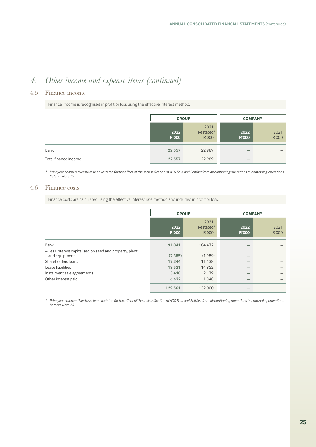# *4. Other income and expense items (continued)*

## 4.5 Finance income

Finance income is recognised in profit or loss using the effective interest method.

|                      | <b>GROUP</b>         |                            | <b>COMPANY</b>       |                              |  |
|----------------------|----------------------|----------------------------|----------------------|------------------------------|--|
|                      | 2022<br><b>R'000</b> | 2021<br>Restated*<br>R'000 | 2022<br><b>R'000</b> | 2021<br><b>R'000</b>         |  |
| Bank                 | 22 5 5 7             | 22 9 89                    |                      | $\qquad \qquad \blacksquare$ |  |
| Total finance income | 22 5 5 7             | 22 9 89                    | -                    | $\qquad \qquad \blacksquare$ |  |

*\* Prior year comparatives have been restated for the effect of the reclassification of ACG Fruit and Boltfast from discontinuing operations to continuing operations. Refer to Note 23.*

#### 4.6 Finance costs

Finance costs are calculated using the effective interest rate method and included in profit or loss.

|                                                                          |                      | <b>GROUP</b>               | <b>COMPANY</b>       |               |  |
|--------------------------------------------------------------------------|----------------------|----------------------------|----------------------|---------------|--|
|                                                                          | 2022<br><b>R'000</b> | 2021<br>Restated*<br>R'000 | 2022<br><b>R'000</b> | 2021<br>R'000 |  |
| Bank                                                                     | 91 041               | 104 472                    |                      |               |  |
| - Less interest capitalised on seed and property, plant<br>and equipment | (2385)               | (1989)                     |                      |               |  |
| Shareholders loans                                                       | 17 344               | 11 138                     |                      |               |  |
| Lease liabilities                                                        | 13521                | 14852                      |                      |               |  |
| Instalment sale agreements                                               | 3418                 | 2 1 7 9                    |                      |               |  |
| Other interest paid                                                      | 6 6 2 2              | 1 3 4 8                    |                      |               |  |
|                                                                          | 129 561              | 132 000                    |                      |               |  |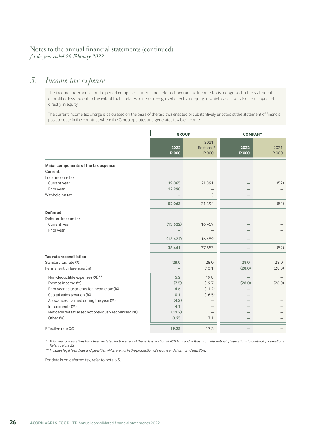# *5. Income tax expense*

The income tax expense for the period comprises current and deferred income tax. Income tax is recognised in the statement of profit or loss, except to the extent that it relates to items recognised directly in equity, in which case it will also be recognised directly in equity.

The current income tax charge is calculated on the basis of the tax laws enacted or substantively enacted at the statement of financial position date in the countries where the Group operates and generates taxable income.

|                                                      |               | <b>GROUP</b>                      |               | <b>COMPANY</b>       |  |
|------------------------------------------------------|---------------|-----------------------------------|---------------|----------------------|--|
|                                                      | 2022<br>R'000 | 2021<br>Restated*<br><b>R'000</b> | 2022<br>R'000 | 2021<br><b>R'000</b> |  |
| Major components of the tax expense                  |               |                                   |               |                      |  |
| Current                                              |               |                                   |               |                      |  |
| Local income tax                                     |               |                                   |               |                      |  |
| Current year                                         | 39 065        | 21 3 9 1                          |               | (52)                 |  |
| Prior year                                           | 12998         |                                   |               |                      |  |
| Withholding tax                                      |               | 3                                 |               |                      |  |
|                                                      | 52063         | 21 3 9 4                          |               | (52)                 |  |
| <b>Deferred</b>                                      |               |                                   |               |                      |  |
| Deferred income tax                                  |               |                                   |               |                      |  |
| Current year                                         | (13622)       | 16459                             |               |                      |  |
| Prior year                                           |               |                                   |               |                      |  |
|                                                      | (13622)       | 16 459                            |               |                      |  |
|                                                      | 38 441        | 37853                             |               | (52)                 |  |
| Tax rate reconciliation                              |               |                                   |               |                      |  |
| Standard tax rate (%)                                | 28.0          | 28.0                              | 28.0          | 28.0                 |  |
| Permanent differences (%)                            |               | (10.1)                            | (28.0)        | (28.0)               |  |
| Non-deductible expenses (%)**                        | 5.2           | 19.8                              |               |                      |  |
| Exempt income (%)                                    | (7.5)         | (19.7)                            | (28.0)        | (28.0)               |  |
| Prior year adjustments for income tax (%)            | 4.6           | (11.2)                            |               |                      |  |
| Capital gains taxation (%)                           | 0.1           | (16.5)                            |               |                      |  |
| Allowances claimed during the year (%)               | (4.3)         |                                   |               |                      |  |
| Impairments (%)                                      | 4.1           | —                                 |               |                      |  |
| Net deferred tax asset not previously recognised (%) | (11.2)        | $\qquad \qquad -$                 |               |                      |  |
| Other (%)                                            | 0.25          | 17.1                              |               |                      |  |
| Effective rate (%)                                   | 19.25         | 17.5                              |               |                      |  |

*\* Prior year comparatives have been restated for the effect of the reclassification of ACG Fruit and Boltfast from discontinuing operations to continuing operations. Refer to Note 23.*

*\*\* Includes legal fees, fines and penalties which are not in the production of income and thus non-deductible.*

For details on deferred tax, refer to note 6.5.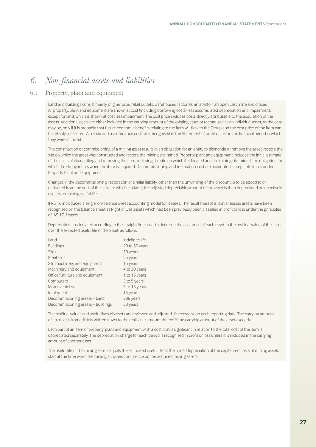## *6. Non-financial assets and liabilities*

## 6.1 Property, plant and equipment

Land and buildings consist mainly of grain silos, retail outlets, warehouses, factories, an abattoir, an open cast mine and offices. All property, plant and equipment are shown at cost (including borrowing costs) less accumulated depreciation and impairment, except for land, which is shown at cost less impairment. The cost price includes costs directly attributable to the acquisition of the assets. Additional costs are either included in the carrying amount of the existing asset or recognised as an individual asset, as the case may be, only if it is probable that future economic benefits relating to the item will flow to the Group and the cost price of the item can be reliably measured. All repair and maintenance costs are recognised in the Statement of profit or loss in the financial period in which they were incurred.

The construction or commissioning of a mining asset results in an obligation for an entity to dismantle or remove the asset, restore the site on which the asset was constructed and restore the mining site mined. Property, plant and equipment includes the initial estimate of the costs of dismantling and removing the item, restoring the site on which it is located and the mining site mined, the obligation for which the Group incurs when the item is acquired. Decommissioning and restoration cost are accounted as separate items under Property Plant and Equipment.

Changes in the decommissioning, restoration or similar liability, other than the unwinding of the discount, is to be added to or deducted from the cost of the asset to which it relates; the adjusted depreciable amount of the asset is then depreciated prospectively over its remaining useful life.

IFRS 16 introduced a single, on-balance sheet accounting model for lessees. The result thereof is that all leases assets have been recognised on the balance sheet as Right of Use assets which had been previously been classified in profit or loss under the principles of IAS 17: *Leases*.

Depreciation is calculated according to the straight-line basis to decrease the cost price of each asset to the residual value of the asset over the expected useful life of the asset, as follows:

| Land                               | Indefinite life |
|------------------------------------|-----------------|
| <b>Buildings</b>                   | 20 to 50 years  |
| Silos                              | 50 years        |
| Steel silos                        | 25 years        |
| Silo machinery and equipment       | 15 years        |
| Machinery and equipment            | 4 to 30 years   |
| Office furniture and equipment     | 1 to 15 years   |
| Computers                          | 3 to 5 years    |
| Motor vehicles                     | 3 to 15 years   |
| Implements                         | 15 years        |
| Decommissioning assets - Land      | 288 years       |
| Decommissioning assets - Buildings | 30 years        |

The residual values and useful lives of assets are reviewed and adjusted, if necessary, on each reporting date. The carrying amount of an asset is immediately written down to the realisable amount thereof if the carrying amount of the asset exceeds it.

Each part of an item of property, plant and equipment with a cost that is significant in relation to the total cost of the item is depreciated separately. The depreciation charge for each period is recognised in profit or loss unless it is included in the carrying amount of another asset.

The useful life of the mining assets equals the estimated useful life of the mine. Depreciation of the capitalised costs of mining assets start at the time when the mining activities commence on the acquired mining assets.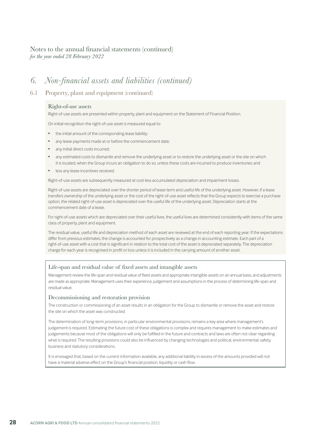## *6. Non-financial assets and liabilities (continued)*

## 6.1 Property, plant and equipment (continued)

#### Right-of-use assets

Right-of-use assets are presented within property, plant and equipment on the Statement of Financial Position.

On initial recognition the right-of-use asset is measured equal to:

- the initial amount of the corresponding lease liability;
- any lease payments made at or before the commencement date;
- any initial direct costs incurred:
- any estimated costs to dismantle and remove the underlying asset or to restore the underlying asset or the site on which it is located, when the Group incurs an obligation to do so, unless these costs are incurred to produce inventories; and
- less any lease incentives received.

Right-of-use assets are subsequently measured at cost less accumulated depreciation and impairment losses.

Right-of-use assets are depreciated over the shorter period of lease term and useful life of the underlying asset. However, if a lease transfers ownership of the underlying asset or the cost of the right-of-use asset reflects that the Group expects to exercise a purchase option, the related right-of-use asset is depreciated over the useful life of the underlying asset. Depreciation starts at the commencement date of a lease.

For right-of-use assets which are depreciated over their useful lives, the useful lives are determined consistently with items of the same class of property, plant and equipment.

The residual value, useful life and depreciation method of each asset are reviewed at the end of each reporting year. If the expectations differ from previous estimates, the change is accounted for prospectively as a change in accounting estimate. Each part of a right-of-use asset with a cost that is significant in relation to the total cost of the asset is depreciated separately. The depreciation charge for each year is recognised in profit or loss unless it is included in the carrying amount of another asset.

#### Life-span and residual value of fixed assets and intangible assets

Management review the life-span and residual value of fixed assets and appropriate intangible assets on an annual basis, and adjustments are made as appropriate. Management uses their experience, judgement and assumptions in the process of determining life-span and residual value.

#### Decommissioning and restoration provision

The construction or commissioning of an asset results in an obligation for the Group to dismantle or remove the asset and restore the site on which the asset was constructed.

The determination of long-term provisions, in particular environmental provisions, remains a key area where management's judgement is required. Estimating the future cost of these obligations is complex and requires management to make estimates and judgements because most of the obligations will only be fulfilled in the future and contracts and laws are often not clear regarding what is required. The resulting provisions could also be influenced by changing technologies and political, environmental, safety, business and statutory considerations.

It is envisaged that, based on the current information available, any additional liability in excess of the amounts provided will not have a material adverse effect on the Group's financial position, liquidity or cash flow.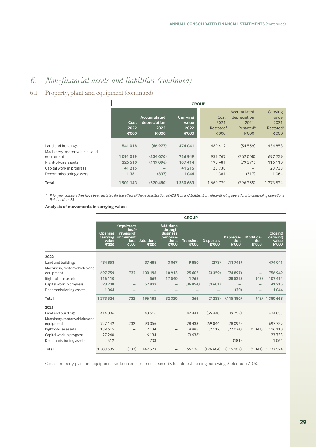# *6. Non-financial assets and liabilities (continued)*

## 6.1 Property, plant and equipment (continued)

|                                            | <b>GROUP</b>                        |                                                            |                                           |                                    |                                                           |                                                 |  |
|--------------------------------------------|-------------------------------------|------------------------------------------------------------|-------------------------------------------|------------------------------------|-----------------------------------------------------------|-------------------------------------------------|--|
|                                            | <b>Cost</b><br>2022<br><b>R'000</b> | <b>Accumulated</b><br>depreciation<br>2022<br><b>R'000</b> | Carrying<br>value<br>2022<br><b>R'000</b> | Cost<br>2021<br>Restated*<br>R'000 | Accumulated<br>depreciation<br>2021<br>Restated*<br>R'000 | Carrying<br>value<br>2021<br>Restated*<br>R'000 |  |
| Land and buildings                         | 541018                              | (66977)                                                    | 474 041                                   | 489 412                            | (54559)                                                   | 434853                                          |  |
| Machinery, motor vehicles and<br>equipment | 1091019                             | (334070)                                                   | 756949                                    | 959767                             | (262008)                                                  | 697759                                          |  |
| Right-of-use assets                        | 226 510                             | (119096)                                                   | 107 414                                   | 195 481                            | (79.371)                                                  | 116 110                                         |  |
| Capital work in progress                   | 41 215                              |                                                            | 41 215                                    | 23738                              |                                                           | 23738                                           |  |
| Decommissioning assets                     | 1381                                | (337)                                                      | 1044                                      | 1381                               | (317)                                                     | 1064                                            |  |
| <b>Total</b>                               | 1901143                             | (520 480)                                                  | 1380663                                   | 1669779                            | (396255)                                                  | 1 273 524                                       |  |

*\* Prior year comparatives have been restated for the effect of the reclassification of ACG Fruit and Boltfast from discontinuing operations to continuing operations. Refer to Note 23.*

#### **Analysis of movements in carrying value:**

|                                            |                                                     |                                                                               |                                  |                                                                                     | <b>GROUP</b>                     |                                  |                                   |                                   |                                                     |
|--------------------------------------------|-----------------------------------------------------|-------------------------------------------------------------------------------|----------------------------------|-------------------------------------------------------------------------------------|----------------------------------|----------------------------------|-----------------------------------|-----------------------------------|-----------------------------------------------------|
|                                            | <b>Opening</b><br>carrying<br>value<br><b>R'000</b> | (Impairment<br>$\log(2)$<br>reversal of<br>impairment<br>loss<br><b>R'000</b> | <b>Additions</b><br><b>R'000</b> | <b>Additions</b><br>through<br><b>Business</b><br>Combina-<br>tions<br><b>R'000</b> | <b>Transfers</b><br><b>R'000</b> | <b>Disposals</b><br><b>R'000</b> | Deprecia-<br>tion<br><b>R'000</b> | Modifica-<br>tion<br><b>R'000</b> | <b>Closing</b><br>carrying<br>value<br><b>R'000</b> |
| 2022                                       |                                                     |                                                                               |                                  |                                                                                     |                                  |                                  |                                   |                                   |                                                     |
| Land and buildings                         | 434 853                                             |                                                                               | 37 485                           | 3867                                                                                | 9850                             | (273)                            | (11741)                           |                                   | 474 041                                             |
| Machinery, motor vehicles and<br>equipment | 697759                                              | 732                                                                           | 100 196                          | 10913                                                                               | 25 605                           | (3359)                           | (74897)                           |                                   | 756949                                              |
| Right-of-use assets                        | 116 110                                             |                                                                               | 569                              | 17540                                                                               | 1765                             | $\overline{\phantom{0}}$         | (28522)                           | (48)                              | 107414                                              |
| Capital work in progress                   | 23738                                               | $\overline{\phantom{m}}$                                                      | 57932                            | $\qquad \qquad -$                                                                   | (36854)                          | (3601)                           |                                   |                                   | 41 215                                              |
| Decommissioning assets                     | 1064                                                |                                                                               |                                  |                                                                                     |                                  |                                  | (20)                              |                                   | 1044                                                |
| <b>Total</b>                               | 1 273 524                                           | 732                                                                           | 196 182                          | 32 3 20                                                                             | 366                              | (7233)                           | (115180)                          |                                   | $(48)$ 1 380 663                                    |
| 2021                                       |                                                     |                                                                               |                                  |                                                                                     |                                  |                                  |                                   |                                   |                                                     |
| Land and buildings                         | 414096                                              |                                                                               | 43516                            |                                                                                     | 42 441                           | (55448)                          | (9752)                            |                                   | 434 853                                             |
| Machinery, motor vehicles and              |                                                     |                                                                               |                                  |                                                                                     |                                  |                                  |                                   |                                   |                                                     |
| equipment                                  | 727 142                                             | (732)                                                                         | 90 0 56                          |                                                                                     | 28 4 33                          | (69044)                          | (78096)                           |                                   | 697759                                              |
| Right-of-use assets                        | 139 615                                             | $\qquad \qquad -$                                                             | 2 1 3 4                          |                                                                                     | 4888                             | (2112)                           | (27074)                           | (1341)                            | 116 110                                             |
| Capital work in progress                   | 27 240                                              |                                                                               | 6 1 3 4                          |                                                                                     | (9636)                           |                                  |                                   |                                   | 23738                                               |
| Decommissioning assets                     | 512                                                 |                                                                               | 733                              |                                                                                     |                                  |                                  | (181)                             |                                   | 1064                                                |
| <b>Total</b>                               | 1 308 605                                           | (732)                                                                         | 142 573                          |                                                                                     | 66 126                           | (126604)                         | (115103)                          |                                   | $(1341)$ 1273 524                                   |

Certain property, plant and equipment has been encumbered as security for interest-bearing borrowings (refer note 7.3.5).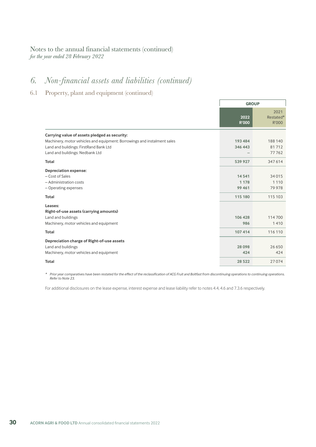# *6. Non-financial assets and liabilities (continued)*

6.1 Property, plant and equipment (continued)

|                                                                          |                      | <b>GROUP</b>                      |  |  |
|--------------------------------------------------------------------------|----------------------|-----------------------------------|--|--|
|                                                                          | 2022<br><b>R'000</b> | 2021<br>Restated*<br><b>R'000</b> |  |  |
| Carrying value of assets pledged as security:                            |                      |                                   |  |  |
| Machinery, motor vehicles and equipment: Borrowings and instalment sales | 193 484              | 188 140                           |  |  |
| Land and buildings: FirstRand Bank Ltd                                   | 346 443              | 81712                             |  |  |
| Land and buildings: Nedbank Ltd                                          |                      | 77762                             |  |  |
| <b>Total</b>                                                             | 539 927              | 347 614                           |  |  |
| <b>Depreciation expense:</b>                                             |                      |                                   |  |  |
| - Cost of Sales                                                          | 14541                | 34 0 15                           |  |  |
| - Administration costs                                                   | 1 1 7 8              | 1 1 1 0                           |  |  |
| - Operating expenses                                                     | 99 4 61              | 79 9 78                           |  |  |
| <b>Total</b>                                                             | 115 180              | 115 103                           |  |  |
| Leases:                                                                  |                      |                                   |  |  |
| Right-of-use assets (carrying amounts)                                   |                      |                                   |  |  |
| Land and buildings                                                       | 106 428              | 114700                            |  |  |
| Machinery, motor vehicles and equipment                                  | 986                  | 1410                              |  |  |
| <b>Total</b>                                                             | 107414               | 116 110                           |  |  |
| Depreciation charge of Right-of-use assets                               |                      |                                   |  |  |
| Land and buildings                                                       | 28098                | 26 650                            |  |  |
| Machinery, motor vehicles and equipment                                  | 424                  | 424                               |  |  |
| <b>Total</b>                                                             | 28 5 22              | 27074                             |  |  |

*\* Prior year comparatives have been restated for the effect of the reclassification of ACG Fruit and Boltfast from discontinuing operations to continuing operations. Refer to Note 23.*

For additional disclosures on the lease expense, interest expense and lease liability refer to notes 4.4, 4.6 and 7.3.6 respectively.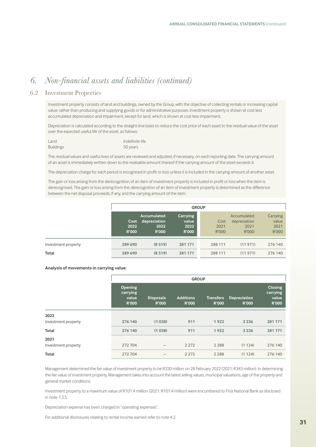# *6. Non-financial assets and liabilities (continued)*

## 6.2 Investment Properties

Investment property consists of land and buildings, owned by the Group, with the objective of collecting rentals or increasing capital value, rather than producing and supplying goods or for administrative purposes. Investment property is shown at cost less accumulated depreciation and impairment, except for land, which is shown at cost less impairment.

Depreciation is calculated according to the straight-line basis to reduce the cost price of each asset to the residual value of the asset over the expected useful life of the asset, as follows:

| Land             | Indefinite life |
|------------------|-----------------|
| <b>Buildings</b> | 50 years        |

The residual values and useful lives of assets are reviewed and adjusted, if necessary, on each reporting date. The carrying amount of an asset is immediately written down to the realisable amount thereof if the carrying amount of the asset exceeds it.

The depreciation charge for each period is recognised in profit or loss unless it is included in the carrying amount of another asset.

The gain or loss arising from the derecognition of an item of investment property is included in profit or loss when the item is derecognised. The gain or loss arising from the derecognition of an item of investment property is determined as the difference between the net disposal proceeds, if any, and the carrying amount of the item.

|                     | <b>GROUP</b>                 |                                                            |                                           |                       |                                              |                                           |  |
|---------------------|------------------------------|------------------------------------------------------------|-------------------------------------------|-----------------------|----------------------------------------------|-------------------------------------------|--|
|                     | Cost<br>2022<br><b>R'000</b> | <b>Accumulated</b><br>depreciation<br>2022<br><b>R'000</b> | Carrying<br>value<br>2022<br><b>R'000</b> | Cost<br>2021<br>R'000 | Accumulated<br>depreciation<br>2021<br>R'000 | Carrying<br>value<br>2021<br><b>R'000</b> |  |
| Investment property | 289 690                      | (8519)                                                     | 281 171                                   | 288 111               | (11971)                                      | 276 140                                   |  |
| <b>Total</b>        | 289 690                      | (8519)                                                     | 281 171                                   | 288 111               | (11971)                                      | 276 140                                   |  |

#### **Analysis of movements in carrying value:**

|                     | <b>GROUP</b>                                 |                                  |                                  |                                  |                                     |                                                     |  |
|---------------------|----------------------------------------------|----------------------------------|----------------------------------|----------------------------------|-------------------------------------|-----------------------------------------------------|--|
|                     | Opening<br>carrying<br>value<br><b>R'000</b> | <b>Disposals</b><br><b>R'000</b> | <b>Additions</b><br><b>R'000</b> | <b>Transfers</b><br><b>R'000</b> | <b>Depreciation</b><br><b>R'000</b> | <b>Closing</b><br>carrying<br>value<br><b>R'000</b> |  |
| 2022                |                                              |                                  |                                  |                                  |                                     |                                                     |  |
| Investment property | 276 140                                      | (1038)                           | 911                              | 1922                             | 3 2 3 6                             | 281 171                                             |  |
| <b>Total</b>        | 276 140                                      | (1038)                           | 911                              | 1922                             | 3 2 3 6                             | 281 171                                             |  |
| 2021                |                                              |                                  |                                  |                                  |                                     |                                                     |  |
| Investment property | 272 704                                      | $\qquad \qquad -$                | 2 2 7 2                          | 2 2 8 8                          | (1124)                              | 276 140                                             |  |
| <b>Total</b>        | 272 704                                      |                                  | 2 2 7 2                          | 2 2 8 8                          | (1124)                              | 276 140                                             |  |

Management determined the fair value of investment property to be R330 million on 28 February 2022 (2021: R343 million). In determining the fair value of investment property, Management takes into account the latest selling values, municipal valuations, age of the property and general market conditions.

Investment property to a maximum value of R101.4 million (2021: R101.4 million) were encumbered to First National Bank as disclosed in note 7.3.5.

Depreciation expense has been charged in "operating expenses".

For additional disclosures relating to rental income earned refer to note 4.2.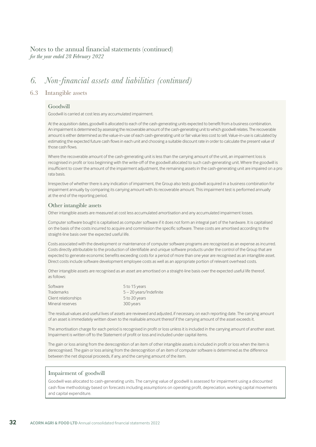## *6. Non-financial assets and liabilities (continued)*

#### 6.3 Intangible assets

#### Goodwill

Goodwill is carried at cost less any accumulated impairment.

At the acquisition dates, goodwill is allocated to each of the cash-generating units expected to benefit from a business combination. An impairment is determined by assessing the recoverable amount of the cash-generating unit to which goodwill relates. The recoverable amount is either determined as the value-in-use of each cash-generating unit or fair value less cost to sell. Value-in-use is calculated by estimating the expected future cash flows in each unit and choosing a suitable discount rate in order to calculate the present value of those cash flows.

Where the recoverable amount of the cash-generating unit is less than the carrying amount of the unit, an impairment loss is recognised in profit or loss beginning with the write-off of the goodwill allocated to such cash-generating unit. Where the goodwill is insufficient to cover the amount of the impairment adjustment, the remaining assets in the cash-generating unit are impaired on a pro rata basis.

Irrespective of whether there is any indication of impairment, the Group also tests goodwill acquired in a business combination for impairment annually by comparing its carrying amount with its recoverable amount. This impairment test is performed annually at the end of the reporting period.

#### Other intangible assets

Other intangible assets are measured at cost less accumulated amortisation and any accumulated impairment losses.

Computer software bought is capitalised as computer software if it does not form an integral part of the hardware. It is capitalised on the basis of the costs incurred to acquire and commission the specific software. These costs are amortised according to the straight-line basis over the expected useful life.

Costs associated with the development or maintenance of computer software programs are recognised as an expense as incurred. Costs directly attributable to the production of identifiable and unique software products under the control of the Group that are expected to generate economic benefits exceeding costs for a period of more than one year are recognised as an intangible asset. Direct costs include software development employee costs as well as an appropriate portion of relevant overhead costs.

Other intangible assets are recognised as an asset are amortised on a straight-line basis over the expected useful life thereof, as follows:

| Software             | 5 to 15 years             |
|----------------------|---------------------------|
| <b>Trademarks</b>    | $5 - 20$ years/Indefinite |
| Client relationships | 5 to 20 years             |
| Mineral reserves     | 300 years                 |

The residual values and useful lives of assets are reviewed and adjusted, if necessary, on each reporting date. The carrying amount of an asset is immediately written down to the realisable amount thereof if the carrying amount of the asset exceeds it.

The amortisation charge for each period is recognised in profit or loss unless it is included in the carrying amount of another asset. Impairment is written off to the Statement of profit or loss and included under capital items.

The gain or loss arising from the derecognition of an item of other intangible assets is included in profit or loss when the item is derecognised. The gain or loss arising from the derecognition of an item of computer software is determined as the difference between the net disposal proceeds, if any, and the carrying amount of the item.

#### Impairment of goodwill

Goodwill was allocated to cash-generating units. The carrying value of goodwill is assessed for impairment using a discounted cash flow methodology based on forecasts including assumptions on operating profit, depreciation, working capital movements and capital expenditure.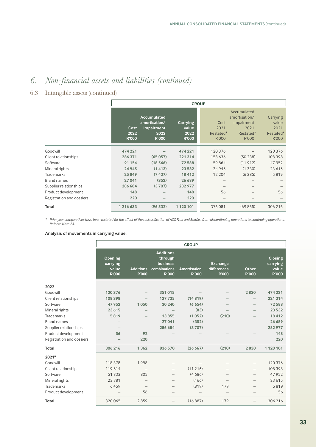# *6. Non-financial assets and liabilities (continued)*

## 6.3 Intangible assets (continued)

|                           | <b>GROUP</b>                 |                                                                           |                                           |                                    |                                                                                 |                                                        |  |
|---------------------------|------------------------------|---------------------------------------------------------------------------|-------------------------------------------|------------------------------------|---------------------------------------------------------------------------------|--------------------------------------------------------|--|
|                           | Cost<br>2022<br><b>R'000</b> | <b>Accumulated</b><br>amortisation/<br>impairment<br>2022<br><b>R'000</b> | Carrying<br>value<br>2022<br><b>R'000</b> | Cost<br>2021<br>Restated*<br>R'000 | Accumulated<br>amortisation/<br>impairment<br>2021<br>Restated*<br><b>R'000</b> | Carrying<br>value<br>2021<br>Restated*<br><b>R'000</b> |  |
| Goodwill                  | 474 221                      |                                                                           | 474 221                                   | 120376                             |                                                                                 | 120376                                                 |  |
| Client relationships      | 286 371                      | (65057)                                                                   | 221 314                                   | 158 636                            | (50238)                                                                         | 108 398                                                |  |
| Software                  | 91 154                       | (18566)                                                                   | 72588                                     | 59864                              | (11912)                                                                         | 47952                                                  |  |
| Mineral rights            | 24 945                       | (1413)                                                                    | 23 5 32                                   | 24 945                             | (1330)                                                                          | 23 6 15                                                |  |
| <b>Trademarks</b>         | 25 849                       | (7437)                                                                    | 18 4 12                                   | 12 204                             | (6385)                                                                          | 5819                                                   |  |
| <b>Brand names</b>        | 27 041                       | (352)                                                                     | 26 689                                    |                                    |                                                                                 |                                                        |  |
| Supplier relationships    | 286 684                      | (3707)                                                                    | 282977                                    |                                    |                                                                                 |                                                        |  |
| Product development       | 148                          |                                                                           | 148                                       | 56                                 |                                                                                 | 56                                                     |  |
| Registration and dossiers | 220                          |                                                                           | 220                                       |                                    |                                                                                 |                                                        |  |
| <b>Total</b>              | 1216633                      | (96532)                                                                   | 1 1 2 0 1 0 1                             | 376081                             | (69865)                                                                         | 306 216                                                |  |

*\* Prior year comparatives have been restated for the effect of the reclassification of ACG Fruit and Boltfast from discontinuing operations to continuing operations. Refer to Note 23.*

#### **Analysis of movements in carrying value:**

|                           | <b>GROUP</b>                                        |                                  |                                                                         |                                     |                                                |                              |                                                     |  |
|---------------------------|-----------------------------------------------------|----------------------------------|-------------------------------------------------------------------------|-------------------------------------|------------------------------------------------|------------------------------|-----------------------------------------------------|--|
|                           | <b>Opening</b><br>carrying<br>value<br><b>R'000</b> | <b>Additions</b><br><b>R'000</b> | <b>Additions</b><br>through<br>business<br>combinations<br><b>R'000</b> | <b>Amortisation</b><br><b>R'000</b> | <b>Exchange</b><br>differences<br><b>R'000</b> | <b>Other</b><br><b>R'000</b> | <b>Closing</b><br>carrying<br>value<br><b>R'000</b> |  |
| 2022                      |                                                     |                                  |                                                                         |                                     |                                                |                              |                                                     |  |
| Goodwill                  | 120 376                                             | —                                | 351015                                                                  |                                     |                                                | 2830                         | 474 221                                             |  |
| Client relationships      | 108 398                                             |                                  | 127735                                                                  | (14819)                             |                                                |                              | 221 314                                             |  |
| Software                  | 47952                                               | 1050                             | 30 240                                                                  | (6654)                              |                                                | $\overline{\phantom{0}}$     | 72588                                               |  |
| Mineral rights            | 23 6 15                                             |                                  |                                                                         | (83)                                |                                                |                              | 23 5 32                                             |  |
| <b>Trademarks</b>         | 5819                                                | $\overline{\phantom{0}}$         | 13855                                                                   | (1052)                              | (210)                                          |                              | 18412                                               |  |
| <b>Brand names</b>        |                                                     |                                  | 27041                                                                   | (352)                               |                                                |                              | 26 689                                              |  |
| Supplier relationships    |                                                     |                                  | 286 684                                                                 | (3707)                              |                                                |                              | 282 977                                             |  |
| Product development       | 56                                                  | 92                               |                                                                         |                                     |                                                |                              | 148                                                 |  |
| Registration and dossiers |                                                     | 220                              |                                                                         |                                     |                                                |                              | 220                                                 |  |
| <b>Total</b>              | 306 216                                             | 1362                             | 836 570                                                                 | (26667)                             | (210)                                          | 2830                         | 1 120 101                                           |  |
| 2021*                     |                                                     |                                  |                                                                         |                                     |                                                |                              |                                                     |  |
| Goodwill                  | 118 378                                             | 1998                             |                                                                         |                                     |                                                | $\qquad \qquad -$            | 120 376                                             |  |
| Client relationships      | 119 614                                             |                                  | —                                                                       | (11216)                             |                                                | $\qquad \qquad -$            | 108 398                                             |  |
| Software                  | 51833                                               | 805                              |                                                                         | (4686)                              |                                                |                              | 47952                                               |  |
| Mineral rights            | 23781                                               |                                  |                                                                         | (166)                               |                                                | $\qquad \qquad -$            | 23 6 15                                             |  |
| Trademarks                | 6459                                                | $\qquad \qquad -$                |                                                                         | (819)                               | 179                                            | —                            | 5819                                                |  |
| Product development       |                                                     | 56                               |                                                                         |                                     |                                                | $\qquad \qquad -$            | 56                                                  |  |
| <b>Total</b>              | 320065                                              | 2859                             | —                                                                       | (16887)                             | 179                                            | $\overline{\phantom{0}}$     | 306 216                                             |  |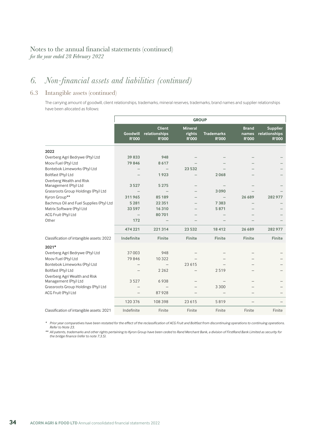# *6. Non-financial assets and liabilities (continued)*

## 6.3 Intangible assets (continued)

The carrying amount of goodwill, client relationships, trademarks, mineral reserves, trademarks, brand names and supplier relationships have been allocated as follows:

|                                           | <b>GROUP</b>             |                                         |                                   |                                   |                                       |                                           |  |
|-------------------------------------------|--------------------------|-----------------------------------------|-----------------------------------|-----------------------------------|---------------------------------------|-------------------------------------------|--|
|                                           | Goodwill<br><b>R'000</b> | <b>Client</b><br>relationships<br>R'000 | <b>Mineral</b><br>rights<br>R'000 | <b>Trademarks</b><br><b>R'000</b> | <b>Brand</b><br>names<br><b>R'000</b> | <b>Supplier</b><br>relationships<br>R'000 |  |
| 2022                                      |                          |                                         |                                   |                                   |                                       |                                           |  |
| Overberg Agri Bedrywe (Pty) Ltd           | 39833                    | 948                                     |                                   |                                   |                                       |                                           |  |
| Moov Fuel (Pty) Ltd                       | 79846                    | 8617                                    |                                   |                                   |                                       |                                           |  |
| Bontebok Limeworks (Pty) Ltd              |                          | $\qquad \qquad$                         | 23 5 32                           |                                   |                                       |                                           |  |
| Boltfast (Pty) Ltd                        |                          | 1923                                    |                                   | 2068                              |                                       |                                           |  |
| Overberg Wealth and Risk                  |                          |                                         |                                   |                                   |                                       |                                           |  |
| Management (Pty) Ltd                      | 3527                     | 5 2 7 5                                 |                                   |                                   |                                       |                                           |  |
| Grassroots Group Holdings (Pty) Ltd       |                          |                                         |                                   | 3090                              |                                       |                                           |  |
| Kyron Group**                             | 311965                   | 85 189                                  |                                   |                                   | 26 689                                | 282 977                                   |  |
| Bachmus Oil and Fuel Supplies (Pty) Ltd   | 5 2 8 1                  | 22 3 51                                 |                                   | 7383                              |                                       |                                           |  |
| Matrix Software (Pty) Ltd                 | 33 597                   | 16 3 10                                 |                                   | 5871                              |                                       |                                           |  |
| ACG Fruit (Pty) Ltd                       |                          | 80701                                   |                                   |                                   |                                       |                                           |  |
| Other                                     | 172                      |                                         |                                   |                                   |                                       |                                           |  |
|                                           | 474 221                  | 221314                                  | 23 5 32                           | 18412                             | 26 689                                | 282 977                                   |  |
| Classification of intangible assets: 2022 | Indefinite               | <b>Finite</b>                           | <b>Finite</b>                     | <b>Finite</b>                     | <b>Finite</b>                         | <b>Finite</b>                             |  |
| 2021*                                     |                          |                                         |                                   |                                   |                                       |                                           |  |
| Overberg Agri Bedrywe (Pty) Ltd           | 37003                    | 948                                     |                                   |                                   |                                       |                                           |  |
| Moov Fuel (Pty) Ltd                       | 79846                    | 10322                                   |                                   |                                   |                                       |                                           |  |
| Bontebok Limeworks (Pty) Ltd              |                          |                                         | 23 6 15                           |                                   |                                       |                                           |  |
| Boltfast (Pty) Ltd                        |                          | 2 2 6 2                                 |                                   | 2519                              |                                       |                                           |  |
| Overberg Agri Wealth and Risk             |                          |                                         |                                   |                                   |                                       |                                           |  |
| Management (Pty) Ltd                      | 3527                     | 6938                                    |                                   |                                   |                                       |                                           |  |
| Grassroots Group Holdings (Pty) Ltd       |                          |                                         |                                   | 3 3 0 0                           |                                       |                                           |  |
| ACG Fruit (Pty) Ltd                       |                          | 87928                                   |                                   |                                   |                                       |                                           |  |
|                                           | 120 376                  | 108 398                                 | 23 6 15                           | 5819                              |                                       |                                           |  |
| Classification of intangible assets: 2021 | Indefinite               | Finite                                  | Finite                            | Finite                            | Finite                                | Finite                                    |  |

*\* Prior year comparatives have been restated for the effect of the reclassification of ACG Fruit and Boltfast from discontinuing operations to continuing operations. Refer to Note 23.*

*\*\* All patents, trademarks and other rights pertaining to Kyron Group have been ceded to Rand Merchant Bank, a division of FirstRand Bank Limited as security for the bridge finance (refer to note 7.3.5).*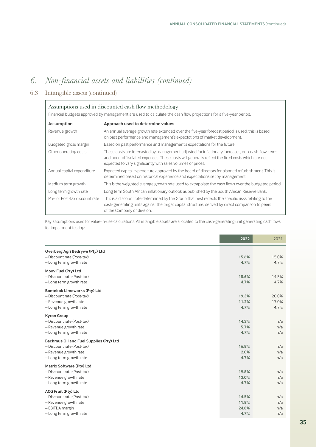# *6. Non-financial assets and liabilities (continued)*

## 6.3 Intangible assets (continued)

Assumptions used in discounted cash flow methodology Financial budgets approved by management are used to calculate the cash flow projections for a five-year period.

| Assumption                     | Approach used to determine values                                                                                                                                                                                                                                     |
|--------------------------------|-----------------------------------------------------------------------------------------------------------------------------------------------------------------------------------------------------------------------------------------------------------------------|
| Revenue growth                 | An annual average growth rate extended over the five-year forecast period is used; this is based<br>on past performance and management's expectations of market development.                                                                                          |
| Budgeted gross margin          | Based on past performance and management's expectations for the future.                                                                                                                                                                                               |
| Other operating costs          | These costs are forecasted by management adjusted for inflationary increases, non-cash flow items<br>and once-off isolated expenses. These costs will generally reflect the fixed costs which are not<br>expected to vary significantly with sales volumes or prices. |
| Annual capital expenditure     | Expected capital expenditure approved by the board of directors for planned refurbishment. This is<br>determined based on historical experience and expectations set by management.                                                                                   |
| Medium term growth             | This is the weighted average growth rate used to extrapolate the cash flows over the budgeted period.                                                                                                                                                                 |
| Long term growth rate          | Long term South African inflationary outlook as published by the South African Reserve Bank.                                                                                                                                                                          |
| Pre- or Post-tax discount rate | This is a discount rate determined by the Group that best reflects the specific risks relating to the<br>cash-generating units against the target capital structure, derived by direct comparison to peers<br>of the Company or division.                             |

Key assumptions used for value-in-use calculations. All intangible assets are allocated to the cash-generating unit generating cashflows for impairment testing:

|                                         | 2022  | 2021  |
|-----------------------------------------|-------|-------|
| Overberg Agri Bedrywe (Pty) Ltd         |       |       |
| - Discount rate (Post-tax)              | 15.6% | 15.0% |
| - Long term growth rate                 | 4.7%  | 4.7%  |
| Moov Fuel (Pty) Ltd                     |       |       |
| - Discount rate (Post-tax)              | 15.6% | 14.5% |
| - Long term growth rate                 | 4.7%  | 4.7%  |
| <b>Bontebok Limeworks (Pty) Ltd</b>     |       |       |
| - Discount rate (Post-tax)              | 19.3% | 20.0% |
| - Revenue growth rate                   | 11.2% | 17.0% |
| - Long term growth rate                 | 4.7%  | 4.7%  |
| <b>Kyron Group</b>                      |       |       |
| - Discount rate (Post-tax)              | 14.3% | n/a   |
| - Revenue growth rate                   | 5.7%  | n/a   |
| - Long term growth rate                 | 4.7%  | n/a   |
| Bachmus Oil and Fuel Supplies (Pty) Ltd |       |       |
| - Discount rate (Post-tax)              | 16.8% | n/a   |
| - Revenue growth rate                   | 2.0%  | n/a   |
| - Long term growth rate                 | 4.7%  | n/a   |
| Matrix Software (Pty) Ltd               |       |       |
| - Discount rate (Post-tax)              | 19.8% | n/a   |
| - Revenue growth rate                   | 13.0% | n/a   |
| - Long term growth rate                 | 4.7%  | n/a   |
| <b>ACG Fruit (Pty) Ltd</b>              |       |       |
| - Discount rate (Post-tax)              | 14.5% | n/a   |
| - Revenue growth rate                   | 11.8% | n/a   |
| - EBITDA margin                         | 24.8% | n/a   |
| - Long term growth rate                 | 4.7%  | n/a   |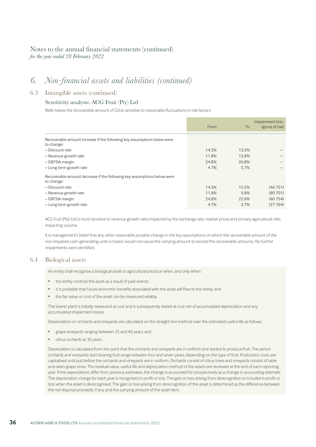## *6. Non-financial assets and liabilities (continued)*

### 6.3 Intangible assets (continued)

### Sensitivity analysis: ACG Fruit (Pty) Ltd

Refer below the recoverable amount of CGUs sensitive to reasonable fluctuations in risk factors:

|                                                                                       | <b>From</b> | To    | Impairment loss<br>(gross of tax) |
|---------------------------------------------------------------------------------------|-------------|-------|-----------------------------------|
| Recoverable amount increase if the following key assumptions below were<br>to change: |             |       |                                   |
| - Discount rate                                                                       | 14.5%       | 13.5% |                                   |
| - Revenue growth rate                                                                 | 11.8%       | 13.8% |                                   |
| - EBITDA margin                                                                       | 24.8%       | 26.8% |                                   |
| - Long term growth rate                                                               | 4.7%        | 5.7%  |                                   |
| Recoverable amount decrease if the following key assumptions below were<br>to change: |             |       |                                   |
| - Discount rate                                                                       | 14.5%       | 15.5% | (46751)                           |
| - Revenue growth rate                                                                 | 11.8%       | 9.8%  | (80701)                           |
| - EBITDA margin                                                                       | 24.8%       | 22.8% | (60754)                           |
| - Long term growth rate                                                               | 4.7%        | 3.7%  | (27764)                           |

ACG Fruit (Pty) Ltd is most sensitive to revenue growth rates impacted by the exchange rate, market prices and primary agricultural risks impacting volume.

It is management's belief that any other reasonable possible change in the key assumptions on which the recoverable amount of the non-impaired cash-generating units is based, would not cause the carrying amount to exceed the recoverable amounts. No further impairments were identified.

### 6.4 Biological assets

An entity shall recognise a biological asset or agricultural produce when, and only when:

- the entity controls the asset as a result of past events;
- it is probable that future economic benefits associated with the asset will flow to the entity; and
- the fair value or cost of the asset can be measured reliably.

The bearer plant is initially measured at cost and is subsequently stated at cost net of accumulated depreciation and any accumulated impairment losses.

Depreciation on orchards and vineyards are calculated on the straight-line method over the estimated useful life as follows:

- grape vineyards ranging between 25 and 40 years; and
- citrus orchards at 30 years.

Depreciation is calculated from the point that the orchards and vineyards are in uniform and started to produce fruit. The period orchards and vineyards start bearing fruit range between four and seven years, depending on the type of fruit. Production costs are capitalised until just before the orchards and vineyards are in uniform. Orchards consist of citrus trees and vineyards consist of table and raisin grape vines. The residual value, useful life and depreciation method of the assets are reviewed at the end of each reporting year. If the expectations differ from previous estimates, the change is accounted for prospectively as a change in accounting estimate. The depreciation charge for each year is recognised in profit or loss. The gain or loss arising from derecognition is included in profit or loss when the asset is derecognised. The gain or loss arising from derecognition of the asset is determined as the difference between the net disposal proceeds, if any, and the carrying amount of the asset item.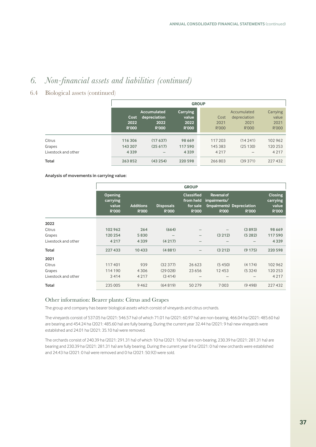# *6. Non-financial assets and liabilities (continued)*

## 6.4 Biological assets (continued)

|                                         | <b>GROUP</b>                  |                                                            |                                           |                               |                                              |                                           |  |  |
|-----------------------------------------|-------------------------------|------------------------------------------------------------|-------------------------------------------|-------------------------------|----------------------------------------------|-------------------------------------------|--|--|
|                                         | Cost<br>2022<br><b>R'000</b>  | <b>Accumulated</b><br>depreciation<br>2022<br><b>R'000</b> | Carrying<br>value<br>2022<br><b>R'000</b> | Cost<br>2021<br>R'000         | Accumulated<br>depreciation<br>2021<br>R'000 | Carrying<br>value<br>2021<br><b>R'000</b> |  |  |
| Citrus<br>Grapes<br>Livestock and other | 116 306<br>143 207<br>4 3 3 9 | (17637)<br>(25617)                                         | 98 669<br>117 590<br>4 3 3 9              | 117 203<br>145 383<br>4 2 1 7 | (14241)<br>(25130)                           | 102 962<br>120 253<br>4 2 1 7             |  |  |
| <b>Total</b>                            | 263852                        | (43254)                                                    | 220 598                                   | 266803                        | (39371)                                      | 227432                                    |  |  |

#### **Analysis of movements in carrying value:**

|                     |                                              |                                  |                                  | <b>GROUP</b>                                               |                                                    |                                            |                                                     |
|---------------------|----------------------------------------------|----------------------------------|----------------------------------|------------------------------------------------------------|----------------------------------------------------|--------------------------------------------|-----------------------------------------------------|
|                     | Opening<br>carrying<br>value<br><b>R'000</b> | <b>Additions</b><br><b>R'000</b> | <b>Disposals</b><br><b>R'000</b> | <b>Classified</b><br>from held<br>for sale<br><b>R'000</b> | <b>Reversal of</b><br>impairments/<br><b>R'000</b> | (impairments) Depreciation<br><b>R'000</b> | <b>Closing</b><br>carrying<br>value<br><b>R'000</b> |
| 2022                |                                              |                                  |                                  |                                                            |                                                    |                                            |                                                     |
| Citrus              | 102962                                       | 264                              | (664)                            |                                                            |                                                    | (3893)                                     | 98 6 6 9                                            |
| Grapes              | 120 254                                      | 5830                             |                                  | $\overline{\phantom{0}}$                                   | (3212)                                             | (5282)                                     | 117 590                                             |
| Livestock and other | 4 2 1 7                                      | 4 3 3 9                          | (4217)                           | $\overline{\phantom{0}}$                                   |                                                    |                                            | 4 3 3 9                                             |
| <b>Total</b>        | 227 433                                      | 10 433                           | (4881)                           | $\qquad \qquad -$                                          | (3212)                                             | (9175)                                     | 220 598                                             |
| 2021                |                                              |                                  |                                  |                                                            |                                                    |                                            |                                                     |
| Citrus              | 117401                                       | 939                              | (32377)                          | 26 623                                                     | (5450)                                             | (4174)                                     | 102 962                                             |
| Grapes              | 114 190                                      | 4 3 0 6                          | (29028)                          | 23 656                                                     | 12 4 5 3                                           | (5324)                                     | 120 253                                             |
| Livestock and other | 3414                                         | 4 2 1 7                          | (3414)                           | $\qquad \qquad \blacksquare$                               |                                                    |                                            | 4 2 1 7                                             |
| <b>Total</b>        | 235 005                                      | 9462                             | (64819)                          | 50 279                                                     | 7003                                               | (9, 498)                                   | 227 432                                             |

### Other information: Bearer plants: Citrus and Grapes

The group and company has bearer biological assets which consist of vineyards and citrus orchards.

The vineyards consist of 537.05 ha (2021: 546.57 ha) of which 71.01 ha (2021: 60.97 ha) are non-bearing, 466.04 ha (2021: 485.60 ha) are bearing and 454.24 ha (2021: 485.60 ha) are fully bearing. During the current year 32.44 ha (2021: 9 ha) new vineyards were established and 24.01 ha (2021: 35.10 ha) were removed.

The orchards consist of 240.39 ha (2021: 291.31 ha) of which 10 ha (2021: 10 ha) are non-bearing, 230.39 ha (2021: 281.31 ha) are bearing and 230.39 ha (2021: 281.31 ha) are fully bearing. During the current year 0 ha (2021: 0 ha) new orchards were established and 24.43 ha (2021: 0 ha) were removed and 0 ha (2021: 50.92) were sold.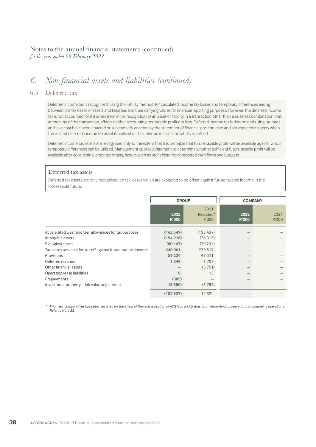# *6. Non-financial assets and liabilities (continued)*

## 6.5 Deferred tax

Deferred income tax is recognised, using the liability method, for calculated income tax losses and temporary differences arising between the tax bases of assets and liabilities and their carrying values for financial reporting purposes. However, the deferred income tax is not accounted for if it arises from initial recognition of an asset or liability in a transaction other than a business combination that, at the time of the transaction, affects neither accounting nor taxable profit nor loss. Deferred income tax is determined using tax rates and laws that have been enacted or substantially enacted by the statement of financial position date and are expected to apply when the related deferred income tax asset is realised or the deferred income tax liability is settled.

Deferred income tax assets are recognised only to the extent that it is probable that future taxable profit will be available against which temporary differences can be utilised. Management applies judgement to determine whether sufficient future taxable profit will be available after considering, amongst others, factors such as profit histories, forecasted cash flows and budgets.

### Deferred tax assets

Deferred tax assets are only recognised on tax losses which are expected to be offset against future taxable income in the foreseeable future.

|                                                                | <b>GROUP</b>  |                            | <b>COMPANY</b>       |               |  |  |
|----------------------------------------------------------------|---------------|----------------------------|----------------------|---------------|--|--|
|                                                                | 2022<br>R'000 | 2021<br>Restated*<br>R'000 | 2022<br><b>R'000</b> | 2021<br>R'000 |  |  |
| Accelerated wear and tear allowances for tax purposes          | (162549)      | (153437)                   |                      |               |  |  |
| Intangible assets                                              | (154918)      | (26015)                    |                      |               |  |  |
| <b>Biological assets</b>                                       | (80147)       | (79234)                    |                      |               |  |  |
| Tax losses available for set-off against future taxable income | 240 061       | 233 517                    |                      |               |  |  |
| Provisions                                                     | 59 224        | 48 511                     |                      |               |  |  |
| Deferred revenue                                               | 1349          | 1707                       |                      |               |  |  |
| Other financial assets                                         |               | (5751)                     |                      |               |  |  |
| Operating lease liabilities                                    | R             | 15                         |                      |               |  |  |
| Prepayments                                                    | (385)         |                            |                      |               |  |  |
| Investment property - fair value adjustment                    | (5580)        | (6789)                     |                      |               |  |  |
|                                                                | (102937)      | 12 5 24                    |                      |               |  |  |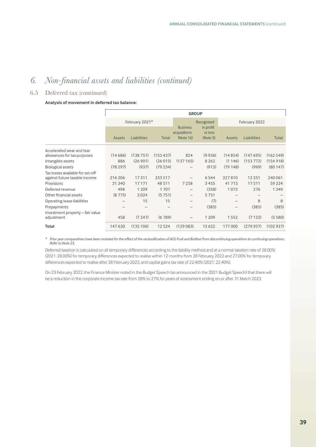# *6. Non-financial assets and liabilities (continued)*

## 6.5 Deferred tax (continued)

#### **Analysis of movement in deferred tax balance:**

|                                                                   | <b>GROUP</b>  |                       |                 |                   |                      |                        |                 |                  |              |  |                                  |        |             |       |
|-------------------------------------------------------------------|---------------|-----------------------|-----------------|-------------------|----------------------|------------------------|-----------------|------------------|--------------|--|----------------------------------|--------|-------------|-------|
|                                                                   |               | February 2021*        |                 |                   | Recognised           | February 2022          |                 |                  |              |  |                                  |        |             |       |
|                                                                   | Assets        | Liabilities           | Total           | (Note 16)         |                      |                        | <b>Business</b> |                  | acquisitions |  | in profit<br>or loss<br>(Note 5) | Assets | Liabilities | Total |
| Accelerated wear and tear<br>allowances for tax purposes          | (14686)       | (138751)              | (153437)        | 824               | (9936)               | (14854)                | (147695)        | (162549)         |              |  |                                  |        |             |       |
| Intangible assets                                                 | 886           | (26901)               | (26015)         | (137165)          | 8 2 6 2              | (1146)                 | (153772)        | (154918)         |              |  |                                  |        |             |       |
| <b>Biological assets</b>                                          | (78297)       | (937)                 | (79234)         |                   | (913)                | (79148)                | (999)           | (80147)          |              |  |                                  |        |             |       |
| Tax losses available for set-off<br>against future taxable income | 216 206       | 17311                 | 233 517         |                   | 6 5 4 4              | 227810                 | 12 2 5 1        | 240 061          |              |  |                                  |        |             |       |
| Provisions                                                        | 31 340        | 17 17 1               | 48 5 11<br>1707 | 7 2 5 8           | 3455                 | 41713                  | 17511           | 59 2 2 4<br>1349 |              |  |                                  |        |             |       |
| Deferred revenue<br>Other financial assets                        | 498<br>(8775) | 1 2 0 9<br>3024<br>15 | (5751)<br>15    | $\qquad \qquad -$ | (358)<br>5751<br>(7) | 1073                   | 276<br>8        | 8                |              |  |                                  |        |             |       |
| Operating lease liabilities<br>Prepayments                        |               |                       |                 | $\qquad \qquad -$ | (385)                | $\qquad \qquad -$<br>— | (385)           | (385)            |              |  |                                  |        |             |       |
| Investment property – fair value<br>adjustment                    | 458           | (7247)                | (6789)          |                   | 1 2 0 9              | 1552                   | (7132)          | (5580)           |              |  |                                  |        |             |       |
| Total                                                             | 147 630       | (135106)              | 12 5 24         | (129083)          | 13 6 22              | 177000                 | (279937)        | (102937)         |              |  |                                  |        |             |       |

*\* Prior year comparatives have been restated for the effect of the reclassification of ACG Fruit and Boltfast from discontinuing operations to continuing operations. Refer to Note 23.*

Deferred taxation is calculated on all temporary differences according to the liability method and at a normal taxation rate of 28.00% (2021: 28.00%) for temporary differences expected to realise within 12 months from 28 February 2022 and 27.00% for temporary differences expected to realise after 28 February 2023, and capital gains tax rate of 22.40% (2021: 22.40%).

On 23 February 2022, the Finance Minister noted in the Budget Speech (as announced in the 2021 Budget Speech) that there will be a reduction in the corporate income tax rate from 28% to 27% for years of assessment ending on or after 31 March 2023.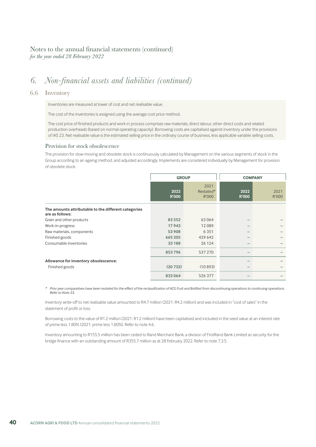# *6. Non-financial assets and liabilities (continued)*

### 6.6 Inventory

Inventories are measured at lower of cost and net realisable value.

The cost of the inventories is assigned using the average cost price method.

The cost price of finished products and work in process comprises raw materials, direct labour, other direct costs and related production overheads (based on normal operating capacity). Borrowing costs are capitalised against inventory under the provisions of IAS 23. Net realisable value is the estimated selling price in the ordinary course of business, less applicable variable selling costs.

#### Provision for stock obsolescence

The provision for slow-moving and obsolete stock is continuously calculated by Management on the various segments of stock in the Group according to an ageing method, and adjusted accordingly. Implements are considered individually by Management for provision of obsolete stock.

|                                                                         |               | <b>GROUP</b>               | <b>COMPANY</b>       |                      |
|-------------------------------------------------------------------------|---------------|----------------------------|----------------------|----------------------|
|                                                                         | 2022<br>R'000 | 2021<br>Restated*<br>R'000 | 2022<br><b>R'000</b> | 2021<br><b>R'000</b> |
| The amounts attributable to the different categories<br>are as follows: |               |                            |                      |                      |
| Grain and other products                                                | 83 5 52       | 63064                      |                      |                      |
| Work-in-progress                                                        | 17943         | 12089                      |                      |                      |
| Raw materials, components                                               | 53 908        | 6 3 5 1                    |                      |                      |
| Finished goods                                                          | 665 205       | 429 642                    |                      |                      |
| Consumable inventories                                                  | 33 188        | 26 1 24                    |                      |                      |
|                                                                         | 853796        | 537 270                    |                      |                      |
| Allowance for inventory obsolescence:                                   |               |                            |                      |                      |
| Finished goods                                                          | (20732)       | (10893)                    |                      |                      |
|                                                                         | 833064        | 526 377                    |                      |                      |

*\* Prior year comparatives have been restated for the effect of the reclassification of ACG Fruit and Boltfast from discontinuing operations to continuing operations. Refer to Note 23.*

Inventory write-off to net realisable value amounted to R4.7 million (2021: R4.2 million) and was included in "cost of sales" in the statement of profit or loss.

Borrowing costs to the value of R1.2 million (2021: R1.2 million) have been capitalised and included in the seed value at an interest rate of prime less 1.80% (2021: prime less 1.80%). Refer to note 4.6.

Inventory amounting to R155.5 million has been ceded to Rand Merchant Bank, a division of FirstRand Bank Limited as security for the bridge finance with an outstanding amount of R355.7 million as at 28 February 2022. Refer to note 7.3.5.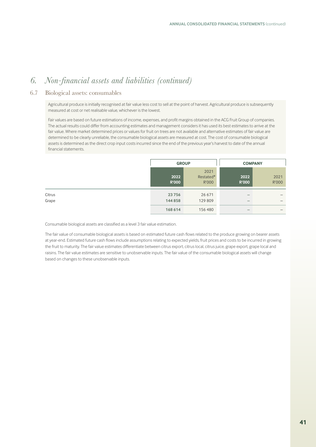# *6. Non-financial assets and liabilities (continued)*

## 6.7 Biological assets: consumables

Agricultural produce is initially recognised at fair value less cost to sell at the point of harvest. Agricultural produce is subsequently measured at cost or net realisable value, whichever is the lowest.

Fair values are based on future estimations of income, expenses, and profit margins obtained in the ACG Fruit Group of companies. The actual results could differ from accounting estimates and management considers it has used its best estimates to arrive at the fair value. Where market determined prices or values for fruit on trees are not available and alternative estimates of fair value are determined to be clearly unreliable, the consumable biological assets are measured at cost. The cost of consumable biological assets is determined as the direct crop input costs incurred since the end of the previous year's harvest to date of the annual financial statements.

|        | <b>GROUP</b>         |                            | <b>COMPANY</b>       |                                 |
|--------|----------------------|----------------------------|----------------------|---------------------------------|
|        | 2022<br><b>R'000</b> | 2021<br>Restated*<br>R'000 | 2022<br><b>R'000</b> | 2021<br><b>R'000</b>            |
| Citrus | 23756                | 26 671                     |                      |                                 |
| Grape  | 144 858              | 129 809                    |                      | $\hspace{0.1mm}-\hspace{0.1mm}$ |
|        | 168 614              | 156 480                    |                      | $\qquad \qquad \blacksquare$    |

Consumable biological assets are classified as a level 3 fair value estimation.

The fair value of consumable biological assets is based on estimated future cash flows related to the produce growing on bearer assets at year-end. Estimated future cash flows include assumptions relating to expected yields, fruit prices and costs to be incurred in growing the fruit to maturity. The fair value estimates differentiate between citrus export, citrus local, citrus juice, grape export, grape local and raisins. The fair value estimates are sensitive to unobservable inputs. The fair value of the consumable biological assets will change based on changes to these unobservable inputs.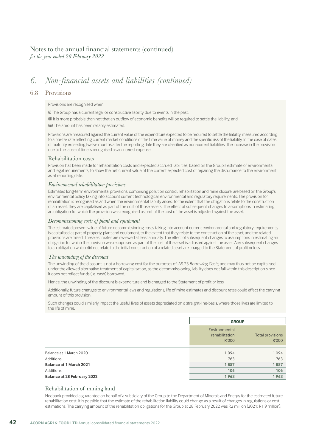## *6. Non-financial assets and liabilities (continued)*

### 6.8 Provisions

#### Provisions are recognised when:

(i) The Group has a current legal or constructive liability due to events in the past;

(ii) It is more probable than not that an outflow of economic benefits will be required to settle the liability; and

(iii) The amount has been reliably estimated.

Provisions are measured against the current value of the expenditure expected to be required to settle the liability, measured according to a pre-tax rate reflecting current market conditions of the time value of money and the specific risk of the liability. In the case of dates of maturity exceeding twelve months after the reporting date they are classified as non-current liabilities. The increase in the provision due to the lapse of time is recognised as an interest expense.

#### Rehabilitation costs

Provision has been made for rehabilitation costs and expected accrued liabilities, based on the Group's estimate of environmental and legal requirements, to show the net current value of the current expected cost of repairing the disturbance to the environment as at reporting date.

#### *Environmental rehabilitation provisions*

Estimated long-term environmental provisions, comprising pollution control, rehabilitation and mine closure, are based on the Group's environmental policy taking into account current technological, environmental and regulatory requirements. The provision for rehabilitation is recognised as and when the environmental liability arises. To the extent that the obligations relate to the construction of an asset, they are capitalised as part of the cost of those assets. The effect of subsequent changes to assumptions in estimating an obligation for which the provision was recognised as part of the cost of the asset is adjusted against the asset.

#### *Decommissioning costs of plant and equipment*

The estimated present value of future decommissioning costs, taking into account current environmental and regulatory requirements, is capitalised as part of property, plant and equipment, to the extent that they relate to the construction of the asset, and the related provisions are raised. These estimates are reviewed at least annually. The effect of subsequent changes to assumptions in estimating an obligation for which the provision was recognised as part of the cost of the asset is adjusted against the asset. Any subsequent changes to an obligation which did not relate to the initial construction of a related asset are charged to the Statement of profit or loss.

#### *The unwinding of the discount*

The unwinding of the discount is not a borrowing cost for the purposes of IAS 23 *Borrowing Costs*, and may thus not be capitalised under the allowed alternative treatment of capitalisation, as the decommissioning liability does not fall within this description since it does not reflect funds (i.e. cash) borrowed.

Hence, the unwinding of the discount is expenditure and is charged to the Statement of profit or loss.

Additionally, future changes to environmental laws and regulations, life of mine estimates and discount rates could affect the carrying amount of this provision.

Such changes could similarly impact the useful lives of assets depreciated on a straight-line-basis, where those lives are limited to the life of mine.

|                                    | <b>GROUP</b>                             |                           |
|------------------------------------|------------------------------------------|---------------------------|
|                                    |                                          |                           |
|                                    | Environmental<br>rehabilitation<br>R'000 | Total provisions<br>R'000 |
|                                    |                                          |                           |
| Balance at 1 March 2020            | 1094                                     | 1094                      |
| Additions                          | 763                                      | 763                       |
| <b>Balance at 1 March 2021</b>     | 1857                                     | 1857                      |
| Additions                          | 106                                      | 106                       |
| <b>Balance at 28 February 2022</b> | 1963                                     | 1963                      |

#### Rehabilitation of mining land

Nedbank provided a guarantee on behalf of a subsidiary of the Group to the Department of Minerals and Energy for the estimated future rehabilitation cost. It is possible that the estimate of the rehabilitation liability could change as a result of changes in regulations or cost estimations. The carrying amount of the rehabilitation obligations for the Group at 28 February 2022 was R2 million (2021: R1.9 million).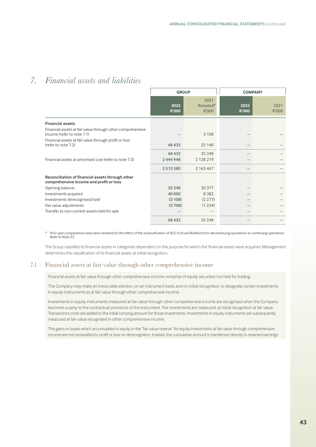# *7. Financial assets and liabilities*

|                                                                                             | <b>GROUP</b>  |                            |               | <b>COMPANY</b>       |
|---------------------------------------------------------------------------------------------|---------------|----------------------------|---------------|----------------------|
|                                                                                             | 2022<br>R'000 | 2021<br>Restated*<br>R'000 | 2022<br>R'000 | 2021<br><b>R'000</b> |
| <b>Financial assets</b>                                                                     |               |                            |               |                      |
| Financial assets at fair value through other comprehensive<br>income (refer to note 7.1)    |               | 3 1 0 8                    |               |                      |
| Financial assets at fair value through profit or loss<br>(refer to note 7.2)                | 68 432        | 32 140                     |               |                      |
|                                                                                             | 68 432        | 35 248                     |               |                      |
| Financial assets at amortised cost (refer to note 7.3)                                      | 2444948       | 2 128 219                  |               |                      |
|                                                                                             | 2513380       | 2 163 467                  |               |                      |
| Reconciliation of financial assets through other<br>comprehensive income and profit or loss |               |                            |               |                      |
| Opening balance                                                                             | 35 248        | 30 377                     |               |                      |
| Investments acquired                                                                        | 40 000        | 8 3 8 2                    |               |                      |
| Investments derecognised/sold                                                               | (3108)        | (2277)                     |               |                      |
| Fair value adjustments                                                                      | (3708)        | (1234)                     |               |                      |
| Transfer to non-current assets held for sale                                                |               |                            |               |                      |
|                                                                                             | 68 432        | 35 248                     |               |                      |

#### *\* Prior year comparatives have been restated for the effect of the reclassification of ACG Fruit and Boltfast from discontinuing operations to continuing operations. Refer to Note 23.*

The Group classifies its financial assets in categories dependent on the purpose for which the financial assets were acquired. Management determines the classification of its financial assets at initial recognition.

### 7.1 Financial assets at fair value through other comprehensive income

Financial assets at fair value through other comprehensive income comprise of equity securities not held for trading.

The Company may make an irrevocable election, on an instrument basis, and on initial recognition, to designate certain investments in equity instruments as at fair value through other comprehensive income.

Investments in equity instruments measured at fair value through other comprehensive income are recognised when the Company becomes a party to the contractual provisions of the instrument. The investments are measured, at initial recognition at fair value. Transactions costs are added to the initial carrying amount for those investments. Investments in equity instruments are subsequently measured at fair value recognised in other comprehensive income.

The gains or losses which accumulated in equity in the "fair value reserve" for equity investments at fair value through comprehensive income are not reclassified to profit or loss on derecognition. Instead, the cumulative amount is transferred directly to retained earnings.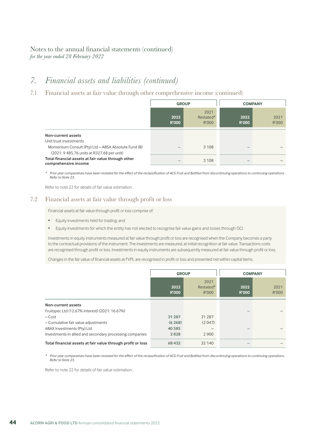## *7. Financial assets and liabilities (continued)*

## 7.1 Financial assets at fair value through other comprehensive income (continued)

|                                                                                                   | <b>GROUP</b>         |                            | <b>COMPANY</b>       |               |
|---------------------------------------------------------------------------------------------------|----------------------|----------------------------|----------------------|---------------|
|                                                                                                   | 2022<br><b>R'000</b> | 2021<br>Restated*<br>R'000 | 2022<br><b>R'000</b> | 2021<br>R'000 |
| Non-current assets                                                                                |                      |                            |                      |               |
| Unit trust investments                                                                            |                      |                            |                      |               |
| Momentum Consult (Pty) Ltd - ABSA Absolute Fund (B)<br>(2021: 9 485.76 units at R327.68 per unit) |                      | 3 1 0 8                    |                      |               |
| Total financial assets at fair value through other<br>comprehensive income                        |                      | 3 1 0 8                    |                      |               |

*\* Prior year comparatives have been restated for the effect of the reclassification of ACG Fruit and Boltfast from discontinuing operations to continuing operations. Refer to Note 23.*

Refer to note 22 for details of fair value estimation.

### 7.2 Financial assets at fair value through profit or loss

Financial assets at fair value through profit or loss comprise of:

- Equity investments held for trading; and
- Equity investments for which the entity has not elected to recognise fair value gains and losses through OCI.

Investments in equity instruments measured at fair value through profit or loss are recognised when the Company becomes a party to the contractual provisions of the instrument. The investments are measured, at initial recognition at fair value. Transactions costs are recognised through profit or loss. Investments in equity instruments are subsequently measured at fair value through profit or loss.

Changes in the fair value of financial assets at FVPL are recognised in profit or loss and presented net within capital items.

|                                                             | <b>GROUP</b>         |                            | <b>COMPANY</b>       |                      |
|-------------------------------------------------------------|----------------------|----------------------------|----------------------|----------------------|
|                                                             | 2022<br><b>R'000</b> | 2021<br>Restated*<br>R'000 | 2022<br><b>R'000</b> | 2021<br><b>R'000</b> |
| Non-current assets                                          |                      |                            |                      |                      |
| Fruitspec Ltd (12.67% interest) (2021: 16.67%)              |                      |                            |                      |                      |
| – Cost                                                      | 31 287               | 31 287                     |                      |                      |
| - Cumulative fair value adjustments                         | (6268)               | (2047)                     |                      |                      |
| ABAX Investments (Pty) Ltd                                  | 40 585               |                            |                      |                      |
| Investments in allied and secondary processing companies    | 2828                 | 2 9 0 0                    |                      |                      |
| Total financial assets at fair value through profit or loss | 68 432               | 32 140                     |                      |                      |

*\* Prior year comparatives have been restated for the effect of the reclassification of ACG Fruit and Boltfast from discontinuing operations to continuing operations. Refer to Note 23.*

Refer to note 22 for details of fair value estimation.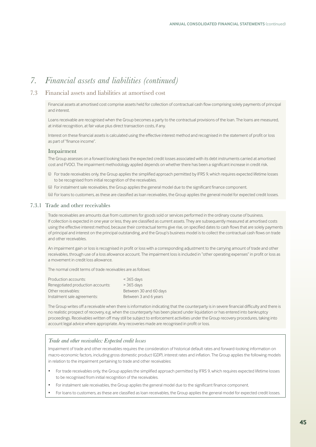## *7. Financial assets and liabilities (continued)*

### 7.3 Financial assets and liabilities at amortised cost

Financial assets at amortised cost comprise assets held for collection of contractual cash flow comprising solely payments of principal and interest.

Loans receivable are recognised when the Group becomes a party to the contractual provisions of the loan. The loans are measured, at initial recognition, at fair value plus direct transaction costs, if any.

Interest on these financial assets is calculated using the effective interest method and recognised in the statement of profit or loss as part of "finance income".

#### Impairment

The Group assesses on a forward looking basis the expected credit losses associated with its debt instruments carried at amortised cost and FVOCI. The impairment methodology applied depends on whether there has been a significant increase in credit risk.

- (i) For trade receivables only, the Group applies the simplified approach permitted by IFRS 9, which requires expected lifetime losses to be recognised from initial recognition of the receivables.
- (ii) For instalment sale receivables, the Group applies the general model due to the significant finance component.
- (iii) For loans to customers, as these are classified as loan receivables, the Group applies the general model for expected credit losses.

### 7.3.1 Trade and other receivables

Trade receivables are amounts due from customers for goods sold or services performed in the ordinary course of business. If collection is expected in one year or less, they are classified as current assets. They are subsequently measured at amortised costs using the effective interest method, because their contractual terms give rise, on specified dates to cash flows that are solely payments of principal and interest on the principal outstanding, and the Group's business model is to collect the contractual cash flows on trade and other receivables.

An impairment gain or loss is recognised in profit or loss with a corresponding adjustment to the carrying amount of trade and other receivables, through use of a loss allowance account. The impairment loss is included in "other operating expenses" in profit or loss as a movement in credit loss allowance.

The normal credit terms of trade receivables are as follows:

| Production accounts:              | $<$ 365 days           |
|-----------------------------------|------------------------|
| Renegotiated production accounts: | $> 365$ days           |
| Other receivables:                | Between 30 and 60 days |
| Instalment sale agreements:       | Between 3 and 6 years  |

The Group writes off a receivable when there is information indicating that the counterparty is in severe financial difficulty and there is no realistic prospect of recovery, e.g. when the counterparty has been placed under liquidation or has entered into bankruptcy proceedings. Receivables written off may still be subject to enforcement activities under the Group recovery procedures, taking into account legal advice where appropriate. Any recoveries made are recognised in profit or loss.

#### *Trade and other receivables: Expected credit losses*

Impairment of trade and other receivables requires the consideration of historical default rates and forward-looking information on macro-economic factors, including gross domestic product (GDP), interest rates and inflation. The Group applies the following models in relation to the impairment pertaining to trade and other receivables:

- For trade receivables only, the Group applies the simplified approach permitted by IFRS 9, which requires expected lifetime losses to be recognised from initial recognition of the receivables.
- For instalment sale receivables, the Group applies the general model due to the significant finance component.
- For loans to customers, as these are classified as loan receivables, the Group applies the general model for expected credit losses.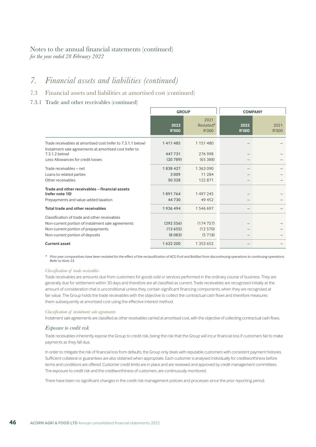## *7. Financial assets and liabilities (continued)*

## 7.3 Financial assets and liabilities at amortised cost (continued)

### 7.3.1 Trade and other receivables (continued)

|                                                                                                                        | <b>GROUP</b>  |                            | <b>COMPANY</b> |               |
|------------------------------------------------------------------------------------------------------------------------|---------------|----------------------------|----------------|---------------|
|                                                                                                                        | 2022<br>R'000 | 2021<br>Restated*<br>R'000 | 2022<br>R'000  | 2021<br>R'000 |
| Trade receivables at amortised cost (refer to 7.3.1.1 below)<br>Instalment sale agreements at amortised cost (refer to | 1411485       | 1151480                    |                |               |
| 7.3.1.2 below)                                                                                                         | 447731        | 276998                     |                |               |
| Less: Allowances for credit losses                                                                                     | (20789)       | (65388)                    |                |               |
| Trade receivables - net                                                                                                | 1838427       | 1 3 6 3 0 9 0              |                |               |
| Loans to related parties                                                                                               | 3 0 0 9       | 11 2 8 4                   |                |               |
| Other receivables                                                                                                      | 50 328        | 122871                     |                |               |
| Trade and other receivables - financial assets<br>(refer note 10)                                                      | 1891764       | 1497245                    |                |               |
| Prepayments and value-added taxation                                                                                   | 44730         | 49 452                     |                |               |
| Total trade and other receivables                                                                                      | 1936494       | 1546697                    |                |               |
| Classification of trade and other receivables                                                                          |               |                            |                |               |
| Non-current portion of instalment sale agreements                                                                      | (292556)      | (174757)                   |                |               |
| Non-current portion of prepayments                                                                                     | (13655)       | (12570)                    |                |               |
| Non-current portion of deposits                                                                                        | (8083)        | (5718)                     |                |               |
| <b>Current asset</b>                                                                                                   | 1622200       | 1 3 5 3 6 5 2              |                |               |

*\* Prior year comparatives have been restated for the effect of the reclassification of ACG Fruit and Boltfast from discontinuing operations to continuing operations. Refer to Note 23.*

#### *Classification of trade receivables*

Trade receivables are amounts due from customers for goods sold or services performed in the ordinary course of business. They are generally due for settlement within 30 days and therefore are all classified as current. Trade receivables are recognised initially at the amount of consideration that is unconditional unless they contain significant financing components, when they are recognised at fair value. The Group holds the trade receivables with the objective to collect the contractual cash flows and therefore measures them subsequently at amortised cost using the effective interest method.

#### *Classification of instalment sale agreements*

Instalment sale agreements are classified as other receivables carried at amortised cost, with the objective of collecting contractual cash flows.

#### *Exposure to credit risk*

Trade receivables inherently expose the Group to credit risk, being the risk that the Group will incur financial loss if customers fail to make payments as they fall due.

In order to mitigate the risk of financial loss from defaults, the Group only deals with reputable customers with consistent payment histories. Sufficient collateral or guarantees are also obtained when appropriate. Each customer is analysed individually for creditworthiness before terms and conditions are offered. Customer credit limits are in place and are reviewed and approved by credit management committees. The exposure to credit risk and the creditworthiness of customers, are continuously monitored.

There have been no significant changes in the credit risk management policies and processes since the prior reporting period.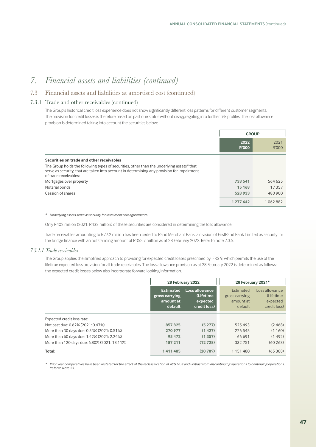# *7. Financial assets and liabilities (continued)*

## 7.3 Financial assets and liabilities at amortised cost (continued)

### 7.3.1 Trade and other receivables (continued)

The Group's historical credit loss experience does not show significantly different loss patterns for different customer segments. The provision for credit losses is therefore based on past due status without disaggregating into further risk profiles. The loss allowance provision is determined taking into account the securities below:

|                                                                                                                                                                                                                  | <b>GROUP</b>         |               |
|------------------------------------------------------------------------------------------------------------------------------------------------------------------------------------------------------------------|----------------------|---------------|
|                                                                                                                                                                                                                  | 2022<br><b>R'000</b> | 2021<br>R'000 |
| Securities on trade and other receivables                                                                                                                                                                        |                      |               |
| The Group holds the following types of securities, other than the underlying assets* that<br>serve as security, that are taken into account in determining any provision for impairment<br>of trade receivables: |                      |               |
| Mortgages over property                                                                                                                                                                                          | 733541               | 564 625       |
| Notarial bonds                                                                                                                                                                                                   | 15 1 68              | 17357         |
| Cession of shares                                                                                                                                                                                                | 528933               | 480 900       |
|                                                                                                                                                                                                                  | 1 277 642            | 1062882       |

*\* Underlying assets serve as security for instalment sale agreements.*

Only R402 million (2021: R432 million) of these securities are considered in determining the loss allowance.

Trade receivables amounting to R77.2 million has been ceded to Rand Merchant Bank, a division of FirstRand Bank Limited as security for the bridge finance with an outstanding amount of R355.7 million as at 28 February 2022. Refer to note 7.3.5.

### *7.3.1.1 Trade receivables*

The Group applies the simplified approach to providing for expected credit losses prescribed by IFRS 9, which permits the use of the lifetime expected loss provision for all trade receivables. The loss allowance provision as at 28 February 2022 is determined as follows; the expected credit losses below also incorporate forward looking information.

|                                              | 28 February 2022                                           |                                                                        | 28 February 2021*                                   |                                                                |
|----------------------------------------------|------------------------------------------------------------|------------------------------------------------------------------------|-----------------------------------------------------|----------------------------------------------------------------|
|                                              | <b>Estimated</b><br>gross carrying<br>amount at<br>default | <b>Loss allowance</b><br><b>(Lifetime)</b><br>expected<br>credit loss) | Estimated<br>gross carrying<br>amount at<br>default | Loss allowance<br><b>(Lifetime</b><br>expected<br>credit loss) |
| Expected credit loss rate:                   |                                                            |                                                                        |                                                     |                                                                |
| Not past due: 0.62% (2021: 0.47%)            | 857825                                                     | (5277)                                                                 | 525493                                              | (2, 468)                                                       |
| More than 30 days due: 0.53% (2021: 0.51%)   | 270 977                                                    | (1427)                                                                 | 226 545                                             | (1160)                                                         |
| More than 60 days due: 1.42% (2021: 2.24%)   | 95 472                                                     | (1357)                                                                 | 66 691                                              | (1492)                                                         |
| More than 120 days due: 6.80% (2021: 18.11%) | 187 211                                                    | (12728)                                                                | 332751                                              | (60268)                                                        |
| Total:                                       | 1411485                                                    | (20789)                                                                | 1151480                                             | (65388)                                                        |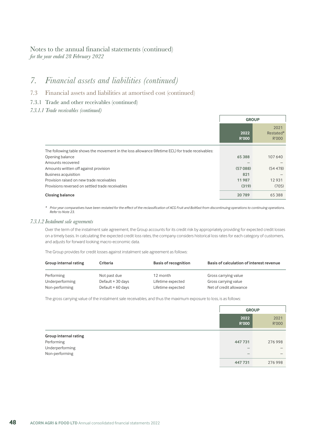## *7. Financial assets and liabilities (continued)*

## 7.3 Financial assets and liabilities at amortised cost (continued)

- 7.3.1 Trade and other receivables (continued)
- *7.3.1.1 Trade receivables (continued)*

|                                                                                                    | <b>GROUP</b>         |                                   |
|----------------------------------------------------------------------------------------------------|----------------------|-----------------------------------|
|                                                                                                    | 2022<br><b>R'000</b> | 2021<br>Restated*<br><b>R'000</b> |
| The following table shows the movement in the loss allowance (lifetime ECL) for trade receivables: |                      |                                   |
| Opening balance                                                                                    | 65388                | 107 640                           |
| Amounts recovered                                                                                  |                      |                                   |
| Amounts written off against provision                                                              | (57088)              | (54478)                           |
| <b>Business acquisition</b>                                                                        | 821                  |                                   |
| Provision raised on new trade receivables                                                          | 11987                | 12931                             |
| Provisions reversed on settled trade receivables                                                   | (319)                | (705)                             |
| <b>Closing balance</b>                                                                             | 20789                | 65388                             |

*\* Prior year comparatives have been restated for the effect of the reclassification of ACG Fruit and Boltfast from discontinuing operations to continuing operations. Refer to Note 23.*

#### *7.3.1.2 Instalment sale agreements*

Over the term of the instalment sale agreement, the Group accounts for its credit risk by appropriately providing for expected credit losses on a timely basis. In calculating the expected credit loss rates, the company considers historical loss rates for each category of customers, and adjusts for forward looking macro-economic data.

The Group provides for credit losses against instalment sale agreement as follows:

| Group internal rating | <b>Criteria</b>   | <b>Basis of recognition</b> | Basis of calculation of interest revenue |
|-----------------------|-------------------|-----------------------------|------------------------------------------|
| Performing            | Not past due      | 12 month                    | Gross carrying value                     |
| Underperforming       | Default + 30 days | Lifetime expected           | Gross carrying value                     |
| Non-performing        | Default + 60 days | Lifetime expected           | Net of credit allowance                  |

The gross carrying value of the instalment sale receivables, and thus the maximum exposure to loss, is as follows:

|                              |                          | <b>GROUP</b>         |  |
|------------------------------|--------------------------|----------------------|--|
|                              | 2022<br><b>R'000</b>     | 2021<br><b>R'000</b> |  |
| <b>Group internal rating</b> |                          |                      |  |
| Performing                   | 447731                   | 276998               |  |
| Underperforming              |                          |                      |  |
| Non-performing               | $\overline{\phantom{a}}$ |                      |  |
|                              | 447731                   | 276998               |  |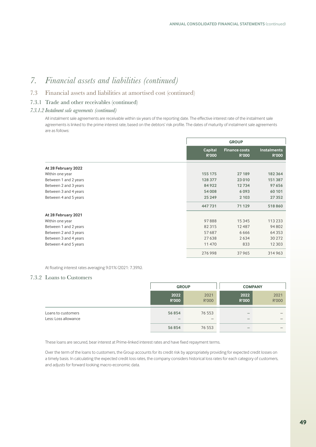# *7. Financial assets and liabilities (continued)*

## 7.3 Financial assets and liabilities at amortised cost (continued)

### 7.3.1 Trade and other receivables (continued)

### *7.3.1.2 Instalment sale agreements (continued)*

All instalment sale agreements are receivable within six years of the reporting date. The effective interest rate of the instalment sale agreements is linked to the prime interest rate, based on the debtors' risk profile. The dates of maturity of instalment sale agreements are as follows:

|                       |                         | <b>GROUP</b>                         |                             |
|-----------------------|-------------------------|--------------------------------------|-----------------------------|
|                       | Capital<br><b>R'000</b> | <b>Finance costs</b><br><b>R'000</b> | <b>Instalments</b><br>R'000 |
| At 28 February 2022   |                         |                                      |                             |
| Within one year       | 155 175                 | 27 189                               | 182364                      |
| Between 1 and 2 years | 128 377                 | 23010                                | 151387                      |
| Between 2 and 3 years | 84922                   | 12734                                | 97 656                      |
| Between 3 and 4 years | 54 008                  | 6093                                 | 60 101                      |
| Between 4 and 5 years | 25 249                  | 2 1 0 3                              | 27 3 52                     |
|                       | 447731                  | 71 129                               | 518860                      |
| At 28 February 2021   |                         |                                      |                             |
| Within one year       | 97888                   | 15 3 45                              | 113 233                     |
| Between 1 and 2 years | 82315                   | 12487                                | 94 802                      |
| Between 2 and 3 years | 57 687                  | 6666                                 | 64353                       |
| Between 3 and 4 years | 27638                   | 2634                                 | 30 27 2                     |
| Between 4 and 5 years | 11470                   | 833                                  | 12 3 0 3                    |
|                       | 276 998                 | 37965                                | 314 963                     |

At floating interest rates averaging 9.01% (2021: 7.39%).

### 7.3.2 Loans to Customers

|                      |                      | <b>GROUP</b>  |                      | <b>COMPANY</b>       |
|----------------------|----------------------|---------------|----------------------|----------------------|
|                      | 2022<br><b>R'000</b> | 2021<br>R'000 | 2022<br><b>R'000</b> | 2021<br><b>R'000</b> |
| Loans to customers   | 56854                | 76 553        |                      |                      |
| Less: Loss allowance |                      |               |                      |                      |
|                      | 56854                | 76 553        |                      |                      |

These loans are secured, bear interest at Prime-linked interest rates and have fixed repayment terms.

Over the term of the loans to customers, the Group accounts for its credit risk by appropriately providing for expected credit losses on a timely basis. In calculating the expected credit loss rates, the company considers historical loss rates for each category of customers, and adjusts for forward looking macro-economic data.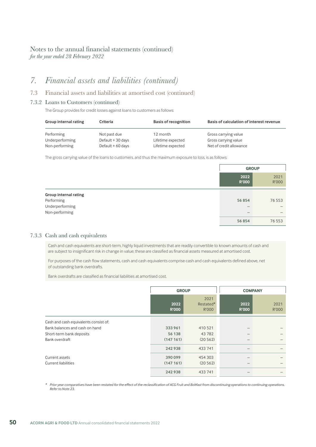# *7. Financial assets and liabilities (continued)*

## 7.3 Financial assets and liabilities at amortised cost (continued)

#### 7.3.2 Loans to Customers (continued)

The Group provides for credit losses against loans to customers as follows:

| Group internal rating | <b>Criteria</b>   | <b>Basis of recognition</b> | Basis of calculation of interest revenue |
|-----------------------|-------------------|-----------------------------|------------------------------------------|
| Performing            | Not past due      | 12 month                    | Gross carrying value                     |
| Underperforming       | Default + 30 days | Lifetime expected           | Gross carrying value                     |
| Non-performing        | Default + 60 days | Lifetime expected           | Net of credit allowance                  |

The gross carrying value of the loans to customers, and thus the maximum exposure to loss, is as follows:

|                              | <b>GROUP</b>             |                      |
|------------------------------|--------------------------|----------------------|
|                              | 2022<br><b>R'000</b>     | 2021<br><b>R'000</b> |
| <b>Group internal rating</b> |                          |                      |
| Performing                   | 56854                    | 76 5 53              |
| Underperforming              |                          |                      |
| Non-performing               | $\overline{\phantom{a}}$ |                      |
|                              | 56854                    | 76 5 53              |

### 7.3.3 Cash and cash equivalents

Cash and cash equivalents are short-term, highly liquid investments that are readily convertible to known amounts of cash and are subject to insignificant risk in change in value; these are classified as financial assets measured at amortised cost.

For purposes of the cash flow statements, cash and cash equivalents comprise cash and cash equivalents defined above, net of outstanding bank overdrafts.

Bank overdrafts are classified as financial liabilities at amortised cost.

|                                       | <b>GROUP</b>         |                            | <b>COMPANY</b>       |                      |
|---------------------------------------|----------------------|----------------------------|----------------------|----------------------|
|                                       | 2022<br><b>R'000</b> | 2021<br>Restated*<br>R'000 | 2022<br><b>R'000</b> | 2021<br><b>R'000</b> |
| Cash and cash equivalents consist of: |                      |                            |                      |                      |
| Bank balances and cash on hand        | 333961               | 410 521                    |                      |                      |
| Short-term bank deposits              | 56 138               | 43782                      |                      |                      |
| Bank overdraft                        | (147161)             | (20562)                    |                      |                      |
|                                       | 242 938              | 433 741                    |                      |                      |
| Current assets                        | 390099               | 454 303                    |                      |                      |
| <b>Current liabilities</b>            | (147161)             | (20562)                    |                      |                      |
|                                       | 242 938              | 433741                     |                      |                      |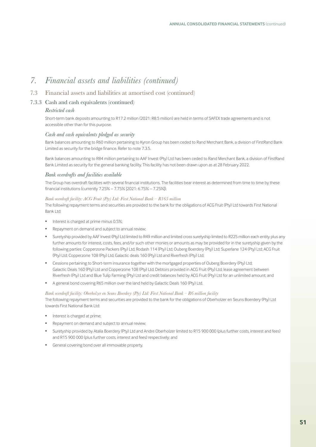## *7. Financial assets and liabilities (continued)*

### 7.3 Financial assets and liabilities at amortised cost (continued)

### 7.3.3 Cash and cash equivalents (continued)

### *Restricted cash*

Short-term bank deposits amounting to R17.2 million (2021: R8.5 million) are held in terms of SAFEX trade agreements and is not accessible other than for this purpose.

#### *Cash and cash equivalents pledged as security*

Bank balances amounting to R60 million pertaining to Kyron Group has been ceded to Rand Merchant Bank, a division of FirstRand Bank Limited as security for the bridge finance. Refer to note 7.3.5.

Bank balances amounting to R84 million pertaining to AAF Invest (Pty) Ltd has been ceded to Rand Merchant Bank, a division of FirstRand Bank Limited as security for the general banking facility. This facility has not been drawn upon as at 28 February 2022.

#### *Bank overdrafts and facilities available*

The Group has overdraft facilities with several financial institutions. The facilities bear interest as determined from time to time by these financial institutions (currently 7.25% – 7.75% [2021: 6.75% – 7.25%]).

#### *Bank overdraft facility: ACG Fruit (Pty) Ltd: First National Bank – R165 million*

The following repayment terms and securities are provided to the bank for the obligations of ACG Fruit (Pty) Ltd towards First National Bank Ltd:

- Interest is charged at prime minus 0.5%;
- Repayment on demand and subject to annual review;
- Suretyship provided by AAF Invest (Pty) Ltd limited to R49 million and limited cross suretyship limited to R225 million each entity plus any further amounts for interest, costs, fees, and/or such other monies or amounts as may be provided for in the suretyship given by the following parties: Copperzone Packers (Pty) Ltd; Rodash 114 (Pty) Ltd; Ouberg Boerdery (Pty) Ltd; Superlane 124 (Pty) Ltd; ACG Fruit (Pty) Ltd; Copperzone 108 (Pty) Ltd; Galactic deals 160 (Pty) Ltd and Riverfresh (Pty) Ltd;
- Cessions pertaining to Short-term insurance together with the mortgaged properties of Ouberg Boerdery (Pty) Ltd; Galactic Deals 160 (Pty) Ltd and Copperzone 108 (Pty) Ltd; Debtors provided in ACG Fruit (Pty) Ltd; lease agreement between Riverfresh (Pty) Ltd and Blue Tulip Farming (Pty) Ltd and credit balances held by ACG Fruit (Pty) Ltd for an unlimited amount; and
- A general bond covering R65 million over the land held by Galactic Deals 160 (Pty) Ltd.

#### *Bank overdraft facility: Oberholzer en Seuns Boerdery (Pty) Ltd: First National Bank – R6 million facility*

The following repayment terms and securities are provided to the bank for the obligations of Oberholzer en Seuns Boerdery (Pty) Ltd towards First National Bank Ltd:

- Interest is charged at prime;
- Repayment on demand and subject to annual review;
- Suretyship provided by Atalia Boerdery (Pty) Ltd and Andre Oberholzer limited to R15 900 000 (plus further costs, interest and fees) and R15 900 000 (plus further costs, interest and fees) respectively; and
- General covering bond over all immovable property.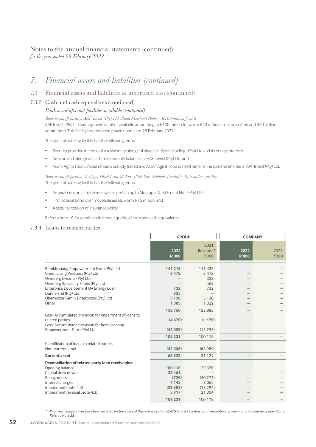## *7. Financial assets and liabilities (continued)*

- 7.3 Financial assets and liabilities at amortised cost (continued)
- 7.3.3 Cash and cash equivalents (continued)

*Bank overdrafts and facilities available (continued)*

*Bank overdraft facility: AAF Invest (Pty) Ltd: Rand Merchant Bank – R100 million facility* AAF Invest (Pty) Ltd has approved facilities available amounting to R100 million (of which R50 million is uncommitted and R50 million committed). This facility has not been drawn upon as at 28 February 2022.

The general banking facility has the following terms:

- Security provided in terms of a revisionary pledge of shares in Kyron Holdings (Pty) Ltd and its equity interests;
- Cession and pledge on cash or receivable balances of AAF Invest (Pty) Ltd; and
- Acorn Agri & Food Limited remains publicly traded and Acorn Agri & Food Limited remains the sole shareholder of AAF Invest (Pty) Ltd.

*Bank overdraft facility: Montagu Dried Fruit & Nuts (Pty) Ltd: Nedbank Limited – R35 million facility* The general banking facility has the following terms:

- General cession of trade receivables pertaining to Montagu Dried Fruit & Nuts (Pty) Ltd
- First notarial bond over moveable assets worth R15 million; and
- A security cession of insurance policy.

Refer to note 10 for details on the credit quality of cash and cash equivalents.

#### 7.3.4 Loans to related parties

|                                                                                                                           | <b>GROUP</b>  |                                   |               | <b>COMPANY</b> |  |
|---------------------------------------------------------------------------------------------------------------------------|---------------|-----------------------------------|---------------|----------------|--|
|                                                                                                                           | 2022<br>R'000 | 2021<br>Restated*<br><b>R'000</b> | 2022<br>R'000 | 2021<br>R'000  |  |
| Berekisanang Empowerment Farm (Pty) Ltd                                                                                   | 141 216       | 111 435                           |               |                |  |
| Green Living Ventures (Pty) Ltd                                                                                           | 3472          | 3472                              |               |                |  |
| Overberg Dreams (Pty) Ltd                                                                                                 |               | 323                               |               |                |  |
| Overberg Speciality Foods (Pty) Ltd                                                                                       |               | 469                               |               |                |  |
| Enterprise Development OA Energy Loan                                                                                     | 732           | 732                               |               |                |  |
| Durbieland (Pty) Ltd                                                                                                      | 825           |                                   |               |                |  |
| Oberholzer Family Enterprizes (Pty) Ltd                                                                                   | 5 1 3 0       | 5 1 3 0                           |               |                |  |
| Other                                                                                                                     | 1385          | 1322                              |               |                |  |
|                                                                                                                           | 152760        | 122883                            |               |                |  |
| Less: Accumulated provision for impairment of loans to<br>related parties<br>Less: Accumulated provision for Berekisanang | (4470)        | (4470)                            |               |                |  |
| Empowerment Farm (Pty) Ltd                                                                                                | (42059)       | (18295)                           |               |                |  |
|                                                                                                                           | 106 231       | 100 118                           |               |                |  |
| Classification of loans to related parties                                                                                |               |                                   |               |                |  |
| Non-current asset                                                                                                         | (42306)       | (68989)                           |               |                |  |
| <b>Current asset</b>                                                                                                      | 63925         | 31 1 29                           |               |                |  |
| Reconciliation of related party loan receivables:                                                                         |               |                                   |               |                |  |
| Opening balance                                                                                                           | 100 118       | 129 320                           |               |                |  |
| Capital draw downs                                                                                                        | 23 4 61       |                                   |               |                |  |
| Repayments                                                                                                                | (729)         | (40277)                           |               |                |  |
| Interest charges                                                                                                          | 7 1 4 5       | 8065                              |               |                |  |
| Impairment (note 4.3)                                                                                                     | (29681)       | (18294)                           |               |                |  |
| Impairment reversal (note 4.3)                                                                                            | 5917          | 21 304                            |               |                |  |
|                                                                                                                           | 106 231       | 100 118                           |               |                |  |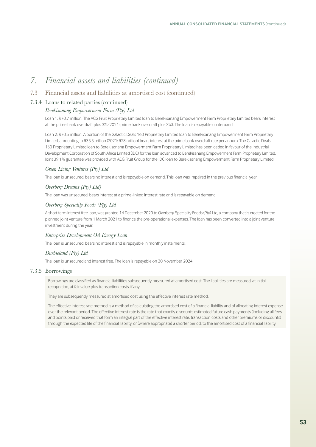## *7. Financial assets and liabilities (continued)*

## 7.3 Financial assets and liabilities at amortised cost (continued)

### 7.3.4 Loans to related parties (continued)

#### *Berekisanang Empowerment Farm (Pty) Ltd*

Loan 1: R70.7 million: The ACG Fruit Proprietary Limited loan to Berekisanang Empowerment Farm Proprietary Limited bears interest at the prime bank overdraft plus 3% (2021: prime bank overdraft plus 3%). The loan is repayable on demand.

Loan 2: R70.5 million: A portion of the Galactic Deals 160 Proprietary Limited loan to Berekisanang Empowerment Farm Proprietary Limited, amounting to R35.5 million (2021: R28 million) bears interest at the prime bank overdraft rate per annum. The Galactic Deals 160 Proprietary Limited loan to Berekisanang Empowerment Farm Proprietary Limited has been ceded in favour of the Industrial Development Corporation of South Africa Limited (IDC) for the loan advanced to Berekisanang Empowerment Farm Proprietary Limited. Joint 39.1% guarantee was provided with ACG Fruit Group for the IDC loan to Berekisanang Empowerment Farm Proprietary Limited.

#### *Green Living Ventures (Pty) Ltd*

The loan is unsecured, bears no interest and is repayable on demand. This loan was impaired in the previous financial year.

#### *Overberg Dreams (Pty) Ltd)*

The loan was unsecured, bears interest at a prime-linked interest rate and is repayable on demand.

#### *Overberg Speciality Foods (Pty) Ltd*

A short term interest free loan, was granted 14 December 2020 to Overberg Speciality Foods (Pty) Ltd, a company that is created for the planned joint venture from 1 March 2021 to finance the pre-operational expenses. The loan has been converted into a joint venture investment during the year.

#### *Enterprise Development OA Energy Loan*

The loan is unsecured, bears no interest and is repayable in monthly instalments.

#### *Durbieland (Pty) Ltd*

The loan is unsecured and interest free. The loan is repayable on 30 November 2024.

### 7.3.5 Borrowings

Borrowings are classified as financial liabilities subsequently measured at amortised cost. The liabilities are measured, at initial recognition, at fair value plus transaction costs, if any.

They are subsequently measured at amortised cost using the effective interest rate method.

The effective interest rate method is a method of calculating the amortised cost of a financial liability and of allocating interest expense over the relevant period. The effective interest rate is the rate that exactly discounts estimated future cash payments (including all fees and points paid or received that form an integral part of the effective interest rate, transaction costs and other premiums or discounts) through the expected life of the financial liability, or (where appropriate) a shorter period, to the amortised cost of a financial liability.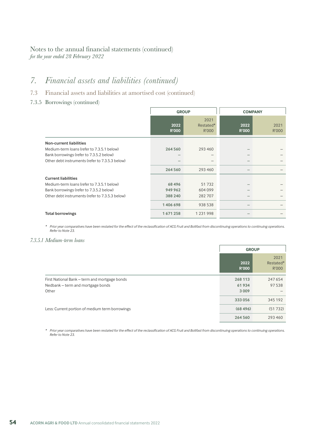# *7. Financial assets and liabilities (continued)*

## 7.3 Financial assets and liabilities at amortised cost (continued)

### 7.3.5 Borrowings (continued)

|                                                 |               | <b>GROUP</b>               | <b>COMPANY</b> |               |
|-------------------------------------------------|---------------|----------------------------|----------------|---------------|
|                                                 | 2022<br>R'000 | 2021<br>Restated*<br>R'000 | 2022<br>R'000  | 2021<br>R'000 |
| <b>Non-current liabilities</b>                  |               |                            |                |               |
| Medium-term loans (refer to 7.3.5.1 below)      | 264 560       | 293 460                    |                |               |
| Bank borrowings (refer to 7.3.5.2 below)        |               |                            |                |               |
| Other debt instruments (refer to 7.3.5.3 below) |               |                            |                |               |
|                                                 | 264 560       | 293 460                    |                |               |
| <b>Current liabilities</b>                      |               |                            |                |               |
| Medium-term loans (refer to 7.3.5.1 below)      | 68 496        | 51732                      |                |               |
| Bank borrowings (refer to 7.3.5.2 below)        | 949 962       | 604 099                    |                |               |
| Other debt instruments (refer to 7.3.5.3 below) | 388 240       | 282707                     |                |               |
|                                                 | 1406698       | 938 538                    |                |               |
| <b>Total borrowings</b>                         | 1671258       | 1 2 3 1 9 9 8              |                |               |

*\* Prior year comparatives have been restated for the effect of the reclassification of ACG Fruit and Boltfast from discontinuing operations to continuing operations. Refer to Note 23.*

#### *7.3.5.1 Medium-term loans*

|                                                                                             | <b>GROUP</b>             |                                   |  |
|---------------------------------------------------------------------------------------------|--------------------------|-----------------------------------|--|
|                                                                                             | 2022<br><b>R'000</b>     | 2021<br>Restated*<br><b>R'000</b> |  |
| First National Bank – term and mortgage bonds<br>Nedbank - term and mortgage bonds<br>Other | 268 113<br>61934<br>3009 | 247 654<br>97538                  |  |
|                                                                                             | 333056                   | 345 192                           |  |
| Less: Current portion of medium term borrowings                                             | (68496)                  | (51732)                           |  |
|                                                                                             | 264 560                  | 293 460                           |  |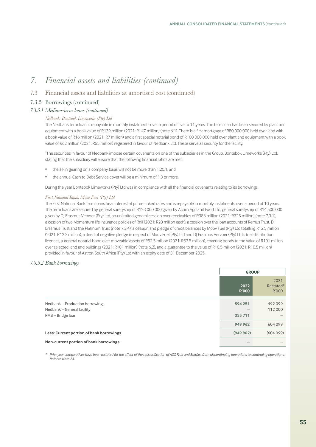## *7. Financial assets and liabilities (continued)*

### 7.3 Financial assets and liabilities at amortised cost (continued)

### 7.3.5 Borrowings (continued)

#### *7.3.5.1 Medium-term loans (continued)*

#### *Nedbank: Bontebok Limeworks (Pty) Ltd*

The Nedbank term loan is repayable in monthly instalments over a period of five to 11 years. The term loan has been secured by plant and equipment with a book value of R139 million (2021: R147 million) (note 6.1). There is a first mortgage of R80 000 000 held over land with a book value of R16 million (2021: R7 million) and a first special notarial bond of R100 000 000 held over plant and equipment with a book value of R62 million (2021: R65 million) registered in favour of Nedbank Ltd. These serve as security for the facility.

"The securities in favour of Nedbank impose certain covenants on one of the subsidiaries in the Group, Bontebok Limeworks (Pty) Ltd, stating that the subsidiary will ensure that the following financial ratios are met:

- the all-in gearing on a company basis will not be more than 1.20:1, and
- the annual Cash to Debt Service cover will be a minimum of 1.3 or more.

During the year Bontebok Limeworks (Pty) Ltd was in compliance with all the financial covenants relating to its borrowings.

#### *First National Bank: Moov Fuel (Pty) Ltd*

The First National Bank term loans bear interest at prime-linked rates and is repayable in monthly instalments over a period of 10 years. The term loans are secured by general suretyship of R123 000 000 given by Acorn Agri and Food Ltd, general suretyship of R14 500 000 given by DJ Erasmus Vervoer (Pty) Ltd, an unlimited general cession over receivables of R386 million (2021: R225 million) (note 7.3.1), a cession of two Momentum life insurance policies of Rnil (2021: R20 million each), a cession over the loan accounts of Remus Trust, DJ Erasmus Trust and the Platinum Trust (note 7.3.4), a cession and pledge of credit balances by Moov Fuel (Pty) Ltd totalling R12.5 million (2021: R12.5 million), a deed of negative pledge in respect of Moov Fuel (Pty) Ltd and DJ Erasmus Vervoer (Pty) Ltd's fuel distribution licences, a general notarial bond over moveable assets of R52.5 million (2021: R52.5 million), covering bonds to the value of R101 million over selected land and buildings (2021: R101 million) (note 6.2), and a guarantee to the value of R10.5 million (2021: R10.5 million) provided in favour of Astron South Africa (Pty) Ltd with an expiry date of 31 December 2025.

#### *7.3.5.2 Bank borrowings*

|                                                                                  | <b>GROUP</b>         |                                   |
|----------------------------------------------------------------------------------|----------------------|-----------------------------------|
|                                                                                  | 2022<br><b>R'000</b> | 2021<br>Restated*<br><b>R'000</b> |
| Nedbank - Production borrowings<br>Nedbank - General facility<br>RMB-Bridge loan | 594 251<br>355711    | 492099<br>112 000                 |
|                                                                                  | 949 962              | 604099                            |
| Less: Current portion of bank borrowings                                         | (949962)             | (604099)                          |
| Non-current portion of bank borrowings                                           |                      |                                   |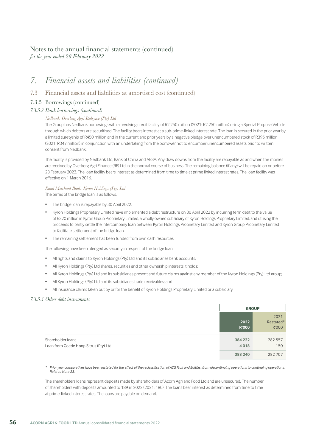## *7. Financial assets and liabilities (continued)*

## 7.3 Financial assets and liabilities at amortised cost (continued)

### 7.3.5 Borrowings (continued)

#### *7.3.5.2 Bank borrowings (continued)*

#### *Nedbank: Overberg Agri Bedrywe (Pty) Ltd*

The Group has Nedbank borrowings with a revolving credit facility of R2.250 million (2021: R2.250 million) using a Special Purpose Vehicle through which debtors are securitised. The facility bears interest at a sub-prime-linked interest rate. The loan is secured in the prior year by a limited suretyship of R450 million and in the current and prior years by a negative pledge over unencumbered stock of R395 million (2021: R347 million) in conjunction with an undertaking from the borrower not to encumber unencumbered assets prior to written consent from Nedbank.

The facility is provided by Nedbank Ltd, Bank of China and ABSA. Any draw downs from the facility are repayable as and when the monies are received by Overberg Agri Finance (RF) Ltd in the normal course of business. The remaining balance (if any) will be repaid on or before 28 February 2023. The loan facility bears interest as determined from time to time at prime linked interest rates. The loan facility was effective on 1 March 2016.

## *Rand Merchant Bank: Kyron Holdings (Pty) Ltd*

The terms of the bridge loan is as follows:

- The bridge loan is repayable by 30 April 2022.
- Kyron Holdings Proprietary Limited have implemented a debt restructure on 30 April 2022 by incurring term debt to the value of R320 million in Kyron Group Proprietary Limited, a wholly owned subsidiary of Kyron Holdings Proprietary Limited, and utilising the proceeds to partly settle the intercompany loan between Kyron Holdings Proprietary Limited and Kyron Group Proprietary Limited to facilitate settlement of the bridge loan.
- The remaining settlement has been funded from own cash resources.

The following have been pledged as security in respect of the bridge loan:

- All rights and claims to Kyron Holdings (Pty) Ltd and its subsidiaries bank accounts;
- All Kyron Holdings (Pty) Ltd shares, securities and other ownership interests it holds;
- All Kyron Holdings (Pty) Ltd and its subsidiaries present and future claims against any member of the Kyron Holdings (Pty) Ltd group;
- All Kyron Holdings (Pty) Ltd and its subsidiaries trade receivables; and
- All insurance claims taken out by or for the benefit of Kyron Holdings Proprietary Limited or a subsidiary.

#### *7.3.5.3 Other debt instruments*

|                                                            | <b>GROUP</b>         |                                   |
|------------------------------------------------------------|----------------------|-----------------------------------|
|                                                            | 2022<br><b>R'000</b> | 2021<br>Restated*<br><b>R'000</b> |
| Shareholder loans<br>Loan from Goede Hoop Sitrus (Pty) Ltd | 384 222<br>4018      | 282 557<br>150                    |
|                                                            | 388 240              | 282707                            |

*\* Prior year comparatives have been restated for the effect of the reclassification of ACG Fruit and Boltfast from discontinuing operations to continuing operations. Refer to Note 23.*

The shareholders loans represent deposits made by shareholders of Acorn Agri and Food Ltd and are unsecured. The number of shareholders with deposits amounted to 189 in 2022 (2021: 180). The loans bear interest as determined from time to time at prime‑linked interest rates. The loans are payable on demand.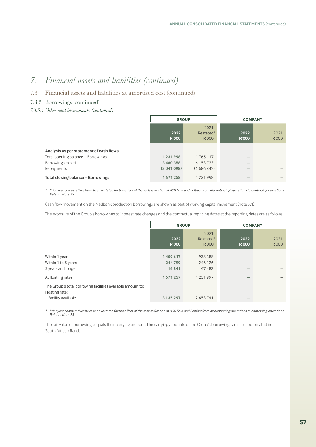# *7. Financial assets and liabilities (continued)*

## 7.3 Financial assets and liabilities at amortised cost (continued)

7.3.5 Borrowings (continued)

### *7.3.5.3 Other debt instruments (continued)*

|                                          | <b>GROUP</b>         |                            | <b>COMPANY</b>       |               |
|------------------------------------------|----------------------|----------------------------|----------------------|---------------|
|                                          | 2022<br><b>R'000</b> | 2021<br>Restated*<br>R'000 | 2022<br><b>R'000</b> | 2021<br>R'000 |
| Analysis as per statement of cash flows: |                      |                            |                      |               |
| Total opening balance - Borrowings       | 1 2 3 1 9 9 8        | 1 7 6 5 1 1 7              |                      |               |
| Borrowings raised                        | 3480358              | 6 153 723                  |                      |               |
| Repayments                               | (3041098)            | (6686842)                  |                      |               |
| Total closing balance - Borrowings       | 1671258              | 1 2 3 1 9 9 8              |                      | —             |

*\* Prior year comparatives have been restated for the effect of the reclassification of ACG Fruit and Boltfast from discontinuing operations to continuing operations. Refer to Note 23.*

Cash flow movement on the Nedbank production borrowings are shown as part of working capital movement (note 9.1).

The exposure of the Group's borrowings to interest rate changes and the contractual repricing dates at the reporting dates are as follows:

|                                                                               | <b>GROUP</b>         |                            | <b>COMPANY</b>       |                      |
|-------------------------------------------------------------------------------|----------------------|----------------------------|----------------------|----------------------|
|                                                                               | 2022<br><b>R'000</b> | 2021<br>Restated*<br>R'000 | 2022<br><b>R'000</b> | 2021<br><b>R'000</b> |
| Within 1 year                                                                 | 1409617              | 938 388                    |                      |                      |
| Within 1 to 5 years                                                           | 244 799              | 246 126                    |                      |                      |
| 5 years and longer                                                            | 16841                | 47483                      |                      |                      |
| At floating rates                                                             | 1671257              | 1 2 3 1 9 9 7              |                      |                      |
| The Group's total borrowing facilities available amount to:<br>Floating rate: |                      |                            |                      |                      |
| - Facility available                                                          | 3 135 297            | 2 6 5 3 7 4 1              |                      |                      |

*\* Prior year comparatives have been restated for the effect of the reclassification of ACG Fruit and Boltfast from discontinuing operations to continuing operations. Refer to Note 23.*

The fair value of borrowings equals their carrying amount. The carrying amounts of the Group's borrowings are all denominated in South African Rand.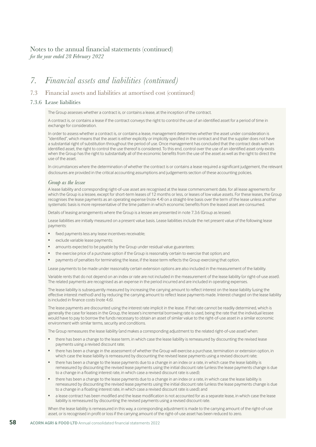## *7. Financial assets and liabilities (continued)*

### 7.3 Financial assets and liabilities at amortised cost (continued)

#### 7.3.6 Lease liabilities

The Group assesses whether a contract is, or contains a lease, at the inception of the contract.

A contract is, or contains a lease if the contract conveys the right to control the use of an identified asset for a period of time in exchange for consideration.

In order to assess whether a contract is, or contains a lease, management determines whether the asset under consideration is "identified", which means that the asset is either explicitly or implicitly specified in the contract and that the supplier does not have a substantial right of substitution throughout the period of use. Once management has concluded that the contract deals with an identified asset, the right to control the use thereof is considered. To this end, control over the use of an identified asset only exists when the Group has the right to substantially all of the economic benefits from the use of the asset as well as the right to direct the use of the asset.

In circumstances where the determination of whether the contract is or contains a lease required a significant judgement, the relevant disclosures are provided in the critical accounting assumptions and judgements section of these accounting policies.

#### *Group as the lessee*

A lease liability and corresponding right-of-use asset are recognised at the lease commencement date, for all lease agreements for which the Group is a lessee, except for short-term leases of 12 months or less, or leases of low value assets. For these leases, the Group recognises the lease payments as an operating expense (note 4.4) on a straight-line basis over the term of the lease unless another systematic basis is more representative of the time pattern in which economic benefits from the leased asset are consumed.

Details of leasing arrangements where the Group is a lessee are presented in note 7.3.6 (Group as lessee).

Lease liabilities are initially measured on a present value basis. Lease liabilities include the net present value of the following lease payments:

- fixed payments less any lease incentives receivable;
- exclude variable lease payments:
- amounts expected to be payable by the Group under residual value guarantees;
- the exercise price of a purchase option if the Group is reasonably certain to exercise that option; and
- payments of penalties for terminating the lease, if the lease term reflects the Group exercising that option.

Lease payments to be made under reasonably certain extension options are also included in the measurement of the liability.

Variable rents that do not depend on an index or rate are not included in the measurement of the lease liability (or right-of-use asset). The related payments are recognised as an expense in the period incurred and are included in operating expenses.

The lease liability is subsequently measured by increasing the carrying amount to reflect interest on the lease liability (using the effective interest method) and by reducing the carrying amount to reflect lease payments made. Interest charged on the lease liability is included in finance costs (note 4.6).

The lease payments are discounted using the interest rate implicit in the lease. If that rate cannot be readily determined, which is generally the case for leases in the Group, the lessee's incremental borrowing rate is used, being the rate that the individual lessee would have to pay to borrow the funds necessary to obtain an asset of similar value to the right-of-use asset in a similar economic environment with similar terms, security and conditions.

The Group remeasures the lease liability (and makes a corresponding adjustment to the related right-of-use asset) when:

- there has been a change to the lease term, in which case the lease liability is remeasured by discounting the revised lease payments using a revised discount rate;
- there has been a change in the assessment of whether the Group will exercise a purchase, termination or extension option, in which case the lease liability is remeasured by discounting the revised lease payments using a revised discount rate;
- there has been a change to the lease payments due to a change in an index or a rate, in which case the lease liability is remeasured by discounting the revised lease payments using the initial discount rate (unless the lease payments change is due to a change in a floating interest rate, in which case a revised discount rate is used);
- there has been a change to the lease payments due to a change in an index or a rate, in which case the lease liability is remeasured by discounting the revised lease payments using the initial discount rate (unless the lease payments change is due to a change in a floating interest rate, in which case a revised discount rate is used); and
- a lease contract has been modified and the lease modification is not accounted for as a separate lease, in which case the lease liability is remeasured by discounting the revised payments using a revised discount rate.

When the lease liability is remeasured in this way, a corresponding adjustment is made to the carrying amount of the right-of-use asset, or is recognised in profit or loss if the carrying amount of the right-of-use asset has been reduced to zero.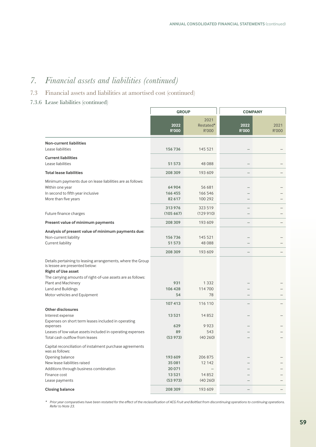īг

# *7. Financial assets and liabilities (continued)*

## 7.3 Financial assets and liabilities at amortised cost (continued)

 $\mathbf{r}$ 

7.3.6 Lease liabilities (continued)

|                                                                                                                                                                                                                                                                        |                                                            | <b>GROUP</b>                                     |               | <b>COMPANY</b> |
|------------------------------------------------------------------------------------------------------------------------------------------------------------------------------------------------------------------------------------------------------------------------|------------------------------------------------------------|--------------------------------------------------|---------------|----------------|
|                                                                                                                                                                                                                                                                        | 2022<br>R'000                                              | 2021<br>Restated*<br>R'000                       | 2022<br>R'000 | 2021<br>R'000  |
| <b>Non-current liabilities</b><br>Lease liabilities                                                                                                                                                                                                                    | 156 736                                                    | 145 521                                          |               |                |
| <b>Current liabilities</b><br>Lease liabilities                                                                                                                                                                                                                        | 51 573                                                     | 48 088                                           |               |                |
| <b>Total lease liabilities</b>                                                                                                                                                                                                                                         | 208 309                                                    | 193 609                                          |               |                |
| Minimum payments due on lease liabilities are as follows:<br>Within one year<br>In second to fifth year inclusive<br>More than five years                                                                                                                              | 64 904<br>166 455<br>82 617                                | 56 681<br>166 546<br>100 292                     |               |                |
| Future finance charges                                                                                                                                                                                                                                                 | 313 976<br>(105667)                                        | 323 519<br>(129910)                              |               |                |
| Present value of minimum payments                                                                                                                                                                                                                                      | 208 309                                                    | 193 609                                          |               |                |
| Analysis of present value of minimum payments due:<br>Non-current liability<br><b>Current liability</b>                                                                                                                                                                | 156 736<br>51 573<br>208 309                               | 145 521<br>48 088<br>193 609                     |               |                |
| Details pertaining to leasing arrangements, where the Group<br>is lessee are presented below:<br><b>Right of Use asset</b><br>The carrying amounts of right-of-use assets are as follows:<br>Plant and Machinery<br>Land and Buildings<br>Motor vehicles and Equipment | 931<br>106 428<br>54                                       | 1 3 3 2<br>114 700<br>78                         |               |                |
| <b>Other disclosures</b><br>Interest expense<br>Expenses on short term leases included in operating<br>expenses<br>Leases of low value assets included in operating expenses<br>Total cash outflow from leases                                                         | 107 413<br>13521<br>629<br>89<br>(53973)                   | 116 110<br>14852<br>9923<br>543<br>(40260)       |               |                |
| Capital reconciliation of instalment purchase agreements<br>was as follows:<br>Opening balance<br>New lease liabilities raised<br>Additions through business combination<br>Finance cost<br>Lease payments<br><b>Closing balance</b>                                   | 193 609<br>35 081<br>20 071<br>13521<br>(53973)<br>208 309 | 206 875<br>12 142<br>14852<br>(40260)<br>193 609 |               |                |
|                                                                                                                                                                                                                                                                        |                                                            |                                                  |               |                |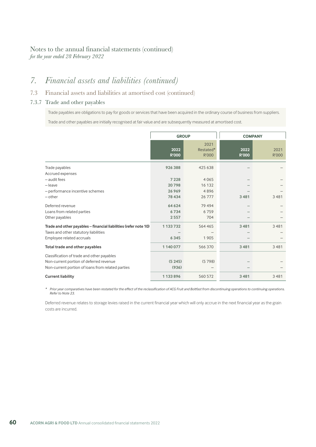# *7. Financial assets and liabilities (continued)*

## 7.3 Financial assets and liabilities at amortised cost (continued)

### 7.3.7 Trade and other payables

Trade payables are obligations to pay for goods or services that have been acquired in the ordinary course of business from suppliers. Trade and other payables are initially recognised at fair value and are subsequently measured at amortised cost.

|                                                                  | <b>GROUP</b>  |                                   |               | <b>COMPANY</b>       |  |
|------------------------------------------------------------------|---------------|-----------------------------------|---------------|----------------------|--|
|                                                                  | 2022<br>R'000 | 2021<br>Restated*<br><b>R'000</b> | 2022<br>R'000 | 2021<br><b>R'000</b> |  |
| Trade payables<br>Accrued expenses                               | 926 388       | 425 638                           |               |                      |  |
| - audit fees                                                     | 7 2 2 8       | 4065                              |               |                      |  |
| $-\mathsf{leave}$                                                | 20798         | 16 132                            |               |                      |  |
| - performance incentive schemes                                  | 26969         | 4896                              |               |                      |  |
| $-$ other                                                        | 78 434        | 26 7 7 7                          | 3481          | 3481                 |  |
| Deferred revenue                                                 | 64 624        | 79 494                            |               |                      |  |
| Loans from related parties                                       | 6734          | 6759                              |               |                      |  |
| Other payables                                                   | 2557          | 704                               |               |                      |  |
| Trade and other payables - financial liabilities (refer note 10) | 1 133 732     | 564 465                           | 3481          | 3481                 |  |
| Taxes and other statutory liabilities                            | 6 3 4 5       | 1905                              |               |                      |  |
| Employee related accruals                                        |               |                                   |               |                      |  |
| Total trade and other payables                                   | 1 140 077     | 566370                            | 3481          | 3481                 |  |
| Classification of trade and other payables                       |               |                                   |               |                      |  |
| Non-current portion of deferred revenue                          | (5245)        | (5798)                            |               |                      |  |
| Non-current portion of loans from related parties                | (936)         |                                   |               |                      |  |
| <b>Current liability</b>                                         | 1 133 896     | 560 572                           | 3481          | 3481                 |  |

*\* Prior year comparatives have been restated for the effect of the reclassification of ACG Fruit and Boltfast from discontinuing operations to continuing operations. Refer to Note 23.*

Deferred revenue relates to storage levies raised in the current financial year which will only accrue in the next financial year as the grain costs are incurred.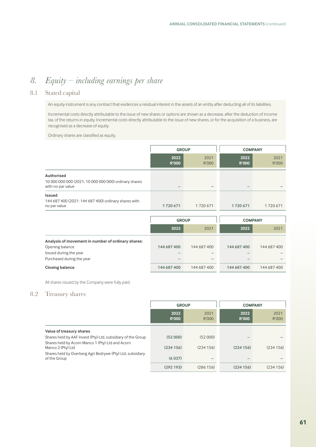# *8. Equity – including earnings per share*

## 8.1 Stated capital

An equity instrument is any contract that evidences a residual interest in the assets of an entity after deducting all of its liabilities.

Incremental costs directly attributable to the issue of new shares or options are shown as a decrease, after the deduction of income tax, of the returns in equity. Incremental costs directly attributable to the issue of new shares, or for the acquisition of a business, are recognised as a decrease of equity.

Ordinary shares are classified as equity.

|                                                                                                 | <b>GROUP</b>         |               | <b>COMPANY</b>       |                      |
|-------------------------------------------------------------------------------------------------|----------------------|---------------|----------------------|----------------------|
|                                                                                                 | 2022<br><b>R'000</b> | 2021<br>R'000 | 2022<br><b>R'000</b> | 2021<br><b>R'000</b> |
| <b>Authorised</b><br>10 000 000 000 (2021: 10 000 000 000) ordinary shares<br>with no par value |                      |               |                      |                      |
| <b>Issued</b><br>144 687 400 (2021: 144 687 400) ordinary shares with<br>no par value           | 1720 671             | 1720671       | 1720671              | 1720671              |

|                                                    | <b>GROUP</b> |             | <b>COMPANY</b> |             |
|----------------------------------------------------|--------------|-------------|----------------|-------------|
|                                                    | 2022         | 2021        | 2022           | 2021        |
| Analysis of movement in number of ordinary shares: |              |             |                |             |
| Opening balance                                    | 144 687 400  | 144 687 400 | 144 687 400    | 144 687 400 |
| Issued during the year                             |              |             |                |             |
| Purchased during the year                          |              |             |                |             |
| <b>Closing balance</b>                             | 144 687 400  | 144 687 400 | 144 687 400    | 144 687 400 |

All shares issued by the Company were fully paid.

## 8.2 Treasury shares

|                                                                                                                                     | <b>GROUP</b>         |               | <b>COMPANY</b>       |               |
|-------------------------------------------------------------------------------------------------------------------------------------|----------------------|---------------|----------------------|---------------|
|                                                                                                                                     | 2022<br><b>R'000</b> | 2021<br>R'000 | 2022<br><b>R'000</b> | 2021<br>R'000 |
| Value of treasury shares                                                                                                            |                      |               |                      |               |
| Shares held by AAF Invest (Pty) Ltd, subsidiary of the Group                                                                        | (52000)              | (52000)       |                      |               |
| Shares held by Acorn Manco 1 (Pty) Ltd and Acorn<br>Manco 2 (Pty) Ltd<br>Shares held by Overberg Agri Bedrywe (Pty) Ltd, subsidiary | (234 156)            | (234156)      | (234 156)            | (234 156)     |
| of the Group                                                                                                                        | (6037)               | —             |                      |               |
|                                                                                                                                     | (292193)             | (286156)      | (234 156)            | (234156)      |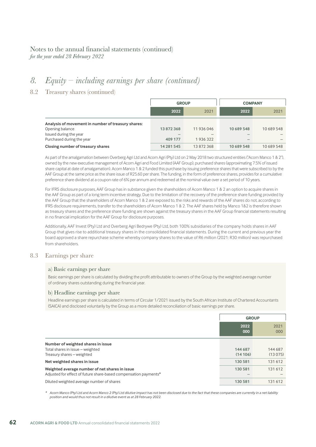# *8. Equity – including earnings per share (continued)*

### 8.2 Treasury shares (continued)

|                                                                       | <b>GROUP</b> |            | <b>COMPANY</b> |            |
|-----------------------------------------------------------------------|--------------|------------|----------------|------------|
|                                                                       | 2022         | 2021       | 2022           | 2021       |
| Analysis of movement in number of treasury shares:<br>Opening balance | 13872368     | 11 936 046 | 10 689 548     | 10 689 548 |
| Issued during the year<br>Purchased during the year                   | 409 177      | 1936322    |                |            |
| Closing number of treasury shares                                     | 14 281 545   | 13872368   | 10 689 548     | 10 689 548 |

As part of the amalgamation between Overberg Agri Ltd and Acorn Agri (Pty) Ltd on 2 May 2018 two structured entities ("Acorn Manco 1 & 2"), owned by the new executive management of Acorn Agri and Food Limited (AAF Group), purchased shares (approximating 7.5% of issued share capital at date of amalgamation). Acorn Manco 1 & 2 funded this purchase by issuing preference shares that were subscribed to by the AAF Group at the same price as the share issue of R25.60 per share. The funding, in the form of preference shares, provides for a cumulative preference share dividend at a coupon rate of 6% per annum and redeemed at the nominal value over a set period of 10 years.

For IFRS disclosure purposes, AAF Group has in substance given the shareholders of Acorn Manco 1 & 2 an option to acquire shares in the AAF Group as part of a long term incentive strategy. Due to the limitation of the recovery of the preference share funding provided by the AAF Group that the shareholders of Acorn Manco 1 & 2 are exposed to, the risks and rewards of the AAF shares do not, according to IFRS disclosure requirements, transfer to the shareholders of Acorn Manco 1 & 2. The AAF shares held by Manco 1&2 is therefore shown as treasury shares and the preference share funding are shown against the treasury shares in the AAF Group financial statements resulting in no financial implication for the AAF Group for disclosure purposes.

Additionally, AAF Invest (Pty) Ltd and Overberg Agri Bedrywe (Pty) Ltd, both 100% subsidiaries of the company holds shares in AAF Group that gives rise to additional treasury shares in the consolidated financial statements. During the current and previous year the board approved a share repurchase scheme whereby company shares to the value of R6 million (2021: R30 million) was repurchased from shareholders.

### 8.3 Earnings per share

#### a) Basic earnings per share

Basic earnings per share is calculated by dividing the profit attributable to owners of the Group by the weighted average number of ordinary shares outstanding during the financial year.

### b) Headline earnings per share

Headline earnings per share is calculated in terms of Circular 1/2021 issued by the South African Institute of Chartered Accountants (SAICA) and disclosed voluntarily by the Group as a more detailed reconciliation of basic earnings per share.

|                                                                  | <b>GROUP</b> |             |  |
|------------------------------------------------------------------|--------------|-------------|--|
|                                                                  | 2022<br>000  | 2021<br>000 |  |
| Number of weighted shares in issue                               |              |             |  |
| Total shares in issue - weighted                                 | 144 687      | 144 687     |  |
| Treasury shares - weighted                                       | (14106)      | (13075)     |  |
| Net weighted shares in issue                                     | 130581       | 131 612     |  |
| Weighted average number of net shares in issue                   | 130581       | 131 612     |  |
| Adjusted for effect of future share-based compensation payments* |              |             |  |
| Diluted weighted average number of shares                        | 130 581      | 131612      |  |

*\* Acorn Manco (Pty) Ltd and Acorn Manco 2 (Pty) Ltd dilutive impact has not been disclosed due to the fact that these companies are currently in a net liability position and would thus not result in a dilutive event as at 28 February 2022.*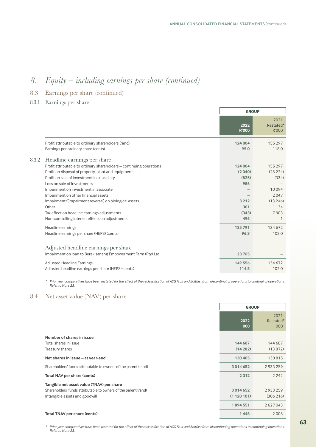# *8. Equity – including earnings per share (continued)*

- 8.3 Earnings per share (continued)
- 8.3.1 Earnings per share

|                                                                                                                                                                                                                                                                                                                                                                                                                                                                                                       | <b>GROUP</b>                                                     |                                                                                  |  |
|-------------------------------------------------------------------------------------------------------------------------------------------------------------------------------------------------------------------------------------------------------------------------------------------------------------------------------------------------------------------------------------------------------------------------------------------------------------------------------------------------------|------------------------------------------------------------------|----------------------------------------------------------------------------------|--|
|                                                                                                                                                                                                                                                                                                                                                                                                                                                                                                       | 2022<br>R'000                                                    | 2021<br>Restated*<br><b>R'000</b>                                                |  |
| Profit attributable to ordinary shareholders (rand)<br>Earnings per ordinary share (cents)                                                                                                                                                                                                                                                                                                                                                                                                            | 124 004<br>95.0                                                  | 155 297<br>118.0                                                                 |  |
| 8.3.2<br>Headline earnings per share<br>Profit attributable to ordinary shareholders - continuing operations<br>Profit on disposal of property, plant and equipment<br>Profit on sale of investment in subsidiary<br>Loss on sale of investments<br>Impairment on investment in associate<br>Impairment on other financial assets<br>Impairment/(impairment reversal) on biological assets<br>Other<br>Tax effect on headline earnings adjustments<br>Non-controlling interest effects on adjustments | 124 004<br>(2040)<br>(825)<br>986<br>3212<br>301<br>(343)<br>496 | 155 297<br>(28 224)<br>(334)<br>10094<br>2047<br>(13246)<br>1 1 3 4<br>7903<br>1 |  |
| Headline earnings<br>Headline earnings per share (HEPS) (cents)<br>Adjusted headline earnings per share<br>Impairment on loan to Berekisanang Empowerment Farm (Pty) Ltd                                                                                                                                                                                                                                                                                                                              | 125791<br>96.3<br>23765                                          | 134 672<br>102.0                                                                 |  |
| <b>Adjusted Headline Earnings</b><br>Adjusted headline earnings per share (HEPS) (cents)                                                                                                                                                                                                                                                                                                                                                                                                              | 149 556<br>114.5                                                 | 134 672<br>102.0                                                                 |  |

*\* Prior year comparatives have been restated for the effect of the reclassification of ACG Fruit and Boltfast from discontinuing operations to continuing operations. Refer to Note 23.*

## 8.4 Net asset value (NAV) per share

|                                                                                                                                                |                      | <b>GROUP</b>             |
|------------------------------------------------------------------------------------------------------------------------------------------------|----------------------|--------------------------|
|                                                                                                                                                | 2022<br>000          | 2021<br>Restated*<br>000 |
| Number of shares in issue<br>Total shares in issue<br>Treasury shares                                                                          | 144 687<br>(14282)   | 144 687<br>(13872)       |
| Net shares in issue - at year-end                                                                                                              | 130 405              | 130815                   |
| Shareholders' funds attributable to owners of the parent (rand)                                                                                | 3014652              | 2933259                  |
| Total NAV per share (cents)                                                                                                                    | 2312                 | 2 2 4 2                  |
| Tangible net asset value (TNAV) per share<br>Shareholders' funds attributable to owners of the parent (rand)<br>Intangible assets and goodwill | 3014652<br>(1120101) | 2933259<br>(306 216)     |
|                                                                                                                                                | 1894551              | 2 6 2 7 0 4 3            |
| Total TNAV per share (cents)                                                                                                                   | 1448                 | 2008                     |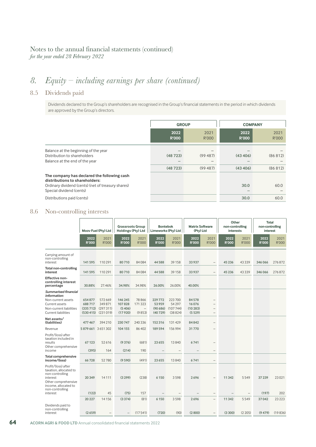# *8. Equity – including earnings per share (continued)*

## 8.5 Dividends paid

Dividends declared to the Group's shareholders are recognised in the Group's financial statements in the period in which dividends are approved by the Group's directors.

|                                                                                                                                                                 | <b>GROUP</b>         |                      | <b>COMPANY</b>       |                      |
|-----------------------------------------------------------------------------------------------------------------------------------------------------------------|----------------------|----------------------|----------------------|----------------------|
|                                                                                                                                                                 | 2022<br><b>R'000</b> | 2021<br>R'000        | 2022<br><b>R'000</b> | 2021<br><b>R'000</b> |
| Balance at the beginning of the year<br>Distribution to shareholders<br>Balance at the end of the year                                                          | (48723)<br>(48723)   | (99, 487)<br>(99487) | (43406)<br>(43406)   | (86812)<br>(86812)   |
| The company has declared the following cash<br>distributions to shareholders:<br>Ordinary dividend (cents) (net of treasury shares)<br>Special dividend (cents) |                      |                      | 30.0                 | 60.0                 |
| Distributions paid (cents)                                                                                                                                      |                      |                      | 30.0                 | 60.0                 |

### 8.6 Non-controlling interests

|                                                                                                                                              | Moov Fuel (Pty) Ltd                      |                                            | <b>Grassroots Group</b><br>Holdings (Pty) Ltd |                                                        | <b>Bontebok</b><br>Limeworks (Pty) Ltd |                                                     | <b>Matrix Software</b><br>(Pty) Ltd |                                                      | Other<br>non-controlling<br>interests |                          | Total<br>non-controlling<br>interest |                      |
|----------------------------------------------------------------------------------------------------------------------------------------------|------------------------------------------|--------------------------------------------|-----------------------------------------------|--------------------------------------------------------|----------------------------------------|-----------------------------------------------------|-------------------------------------|------------------------------------------------------|---------------------------------------|--------------------------|--------------------------------------|----------------------|
|                                                                                                                                              | 2022<br>R'000                            | 2021<br>R'000                              | 2022<br>R'000                                 | 2021<br>R'000                                          | 2022<br>R'000                          | 2021<br><b>R'000</b>                                | 2022<br>R'000                       | 2021<br><b>R'000</b>                                 | 2022<br>R'000                         | 2021<br>R'000            | 2022<br>R'000                        | 2021<br><b>R'000</b> |
| Carrying amount of<br>non-controlling<br>interest                                                                                            | 141 595                                  | 110 291                                    | 80710                                         | 84084                                                  | 44588                                  | 39 1 58                                             | 33937                               |                                                      | 45 236                                | 43 3 3 9                 | 346 066                              | 276872               |
| <b>Total non-controlling</b><br>interest                                                                                                     | 141 595                                  | 110 291                                    | 80710                                         | 84084                                                  | 44588                                  | 39 1 58                                             | 33937                               | $\equiv$                                             | 45 236                                | 43 3 3 9                 | 346 066                              | 276872               |
| <b>Effective non-</b><br>controlling interest<br>percentage                                                                                  | 30.88%                                   | 27.46%                                     | 34.98%                                        | 34.98%                                                 | 26.00%                                 | 26.00%                                              | 40.00%                              |                                                      |                                       |                          |                                      |                      |
| <b>Summarised financial</b><br>information:<br>Non-current assets<br>Current assets<br>Non-current liabilities<br><b>Current liabilities</b> | 654877<br>688717<br>(335712)<br>(530415) | 572 669<br>349 871<br>(297311)<br>(231019) | 146 245<br>107828<br>(5406)<br>(17920)        | 78866<br>171 323<br>$\overline{\phantom{a}}$<br>(9853) | 229772<br>53959<br>(40729)             | 223700<br>54 297<br>$(90686)$ $(107744)$<br>(38824) | 84578<br>16076<br>(10283)<br>(5529) | $\overline{\phantom{0}}$<br>$\overline{\phantom{0}}$ |                                       |                          |                                      |                      |
| Net assets/<br>(liabilities)                                                                                                                 | 477467                                   | 394 210                                    | 230747                                        | 240 336                                                | 152316                                 | 131429                                              | 84842                               |                                                      |                                       |                          |                                      |                      |
| Revenue                                                                                                                                      | 5879 661 3651 302                        |                                            | 104 155                                       | 86 402                                                 | 189594                                 | 156 994                                             | 31770                               |                                                      |                                       |                          |                                      |                      |
| Profit/(loss) after<br>taxation included in<br>results<br>Other comprehensive<br>income                                                      | 67 123<br>(395)                          | 52 616<br>164                              | (9376)<br>(214)                               | (681)<br>190                                           | 23 655                                 | 13840                                               | 6741                                | $\overline{\phantom{0}}$<br>$\qquad \qquad -$        |                                       |                          |                                      |                      |
| <b>Total comprehensive</b><br>income/(loss)                                                                                                  | 66728                                    | 52780                                      | (9590)                                        | (491)                                                  | 23 655                                 | 13840                                               | 6741                                | $\overline{\phantom{m}}$                             |                                       |                          |                                      |                      |
| Profit/(loss) after<br>taxation, allocated to<br>non-controlling<br>interest<br>Other comprehensive<br>income, allocated to                  | 20 349                                   | 14 1 11                                    | (3299)                                        | (238)                                                  | 6150                                   | 3598                                                | 2696                                | $\equiv$                                             | 11342                                 | 5549                     | 37 239                               | 23021                |
| non-controlling<br>interest                                                                                                                  | (122)                                    | 45                                         | (75)                                          | 157                                                    |                                        |                                                     |                                     | $\overline{\phantom{0}}$                             |                                       | $\overline{\phantom{0}}$ | (197)                                | 202                  |
|                                                                                                                                              | 20227                                    | 14 15 6                                    | (3374)                                        | (81)                                                   | 6150                                   | 3598                                                | 2696                                | $\overline{\phantom{m}}$                             | 11342                                 | 5549                     | 37042                                | 23 2 23              |
| Dividends paid to<br>non-controlling<br>interest                                                                                             | (2659)                                   |                                            |                                               | (17541)                                                | (720)                                  | (90)                                                | (2800)                              | $\overline{\phantom{0}}$                             | (3300)                                | (2205)                   | (9479)                               | (19836)              |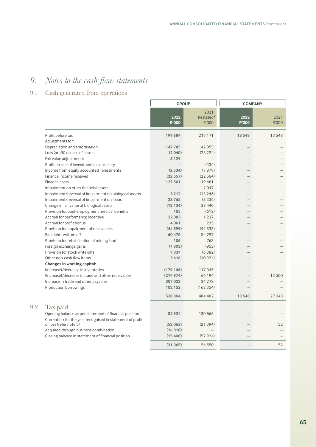# *9. Notes to the cash flow statements*

# 9.1 Cash generated from operations

 $9.2$ 

|                                                                                                                      |                      | <b>GROUP</b>                      | <b>COMPANY</b> |                      |  |
|----------------------------------------------------------------------------------------------------------------------|----------------------|-----------------------------------|----------------|----------------------|--|
|                                                                                                                      | 2022<br><b>R'000</b> | 2021<br>Restated*<br><b>R'000</b> | 2022<br>R'000  | 2021<br><b>R'000</b> |  |
| Profit before tax                                                                                                    | 199 684              | 216 171                           | 13548          | 13548                |  |
| Adjustments for:                                                                                                     |                      |                                   |                |                      |  |
| Depreciation and amortisation                                                                                        | 147785               | 142 355                           |                |                      |  |
| Loss (profit) on sale of assets                                                                                      | (2040)               | (28 224)                          |                |                      |  |
| Fair value adjustments                                                                                               | 3 1 2 9              |                                   |                |                      |  |
| Profit on sale of investment in subsidiary                                                                           |                      | (334)                             |                |                      |  |
| Income from equity accounted investments                                                                             | (2534)               | (7879)                            |                |                      |  |
| Finance income received                                                                                              | (22557)              | (22564)                           |                |                      |  |
| Finance costs                                                                                                        | 129 561              | 119 461                           |                |                      |  |
| Impairment on other financial assets                                                                                 |                      | 2047                              |                |                      |  |
| Impairment/reversal of impairment on biological assets                                                               | 3 2 1 2              | (13246)                           |                |                      |  |
| Impairment/reversal of impairment on loans                                                                           | 23765                | (3336)                            |                |                      |  |
| Change in fair value of biological assets                                                                            | (12134)              | 39 440                            |                |                      |  |
| Provision for post-employment medical benefits                                                                       | 105                  | (612)                             |                |                      |  |
| Accrual for performance incentive                                                                                    | 22083                | 1 2 3 7                           |                |                      |  |
| Accrual for profit bonus                                                                                             | 4061                 | 235                               |                |                      |  |
| Provision for impairment of receivables                                                                              | (44599)              | (42533)                           |                |                      |  |
| Bad debts written off                                                                                                | 60 470               | 54 297                            |                |                      |  |
| Provision for rehabilitation of mining land                                                                          | 106                  | 763                               |                |                      |  |
| Foreign exchange gains                                                                                               | (7803)               | (953)                             |                |                      |  |
| Provision for stock write-offs                                                                                       | 9839                 | (6382)                            |                |                      |  |
| Other non-cash flow items                                                                                            | 3616                 | (10924)                           |                |                      |  |
| Changes in working capital:                                                                                          |                      |                                   |                |                      |  |
| (Increase)/decrease in inventories                                                                                   | (179146)             | 117345                            |                |                      |  |
| (Increase)/decrease in trade and other receivables                                                                   | (214974)             | 66 194                            |                | 13 500               |  |
| Increase in trade and other payables                                                                                 | 307 023              | 24 278                            |                |                      |  |
| Production borrowings                                                                                                | 102 152              | (162354)                          |                |                      |  |
|                                                                                                                      | 530 804              | 484 482                           | 13548          | 27048                |  |
| Tax paid                                                                                                             |                      |                                   |                |                      |  |
| Opening balance as per statement of financial position<br>Current tax for the year recognised in statement of profit | 52924                | 130868                            |                |                      |  |
| or loss (refer note 5)                                                                                               | (52063)              | (21394)                           |                | 52                   |  |
| Acquired through business combination                                                                                | (16818)              |                                   |                |                      |  |
| Closing balance in statement of financial position                                                                   | (15408)              | (52924)                           |                |                      |  |
|                                                                                                                      | (31365)              | 56 550                            |                | 52                   |  |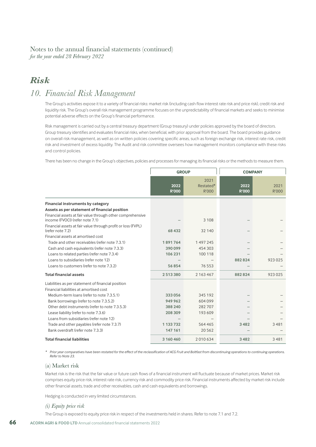# *Risk*

# *10. Financial Risk Management*

The Group's activities expose it to a variety of financial risks: market risk (including cash flow interest rate risk and price risk), credit risk and liquidity risk. The Group's overall risk management programme focuses on the unpredictability of financial markets and seeks to minimise potential adverse effects on the Group's financial performance.

Risk management is carried out by a central treasury department (Group treasury) under policies approved by the board of directors. Group treasury identifies and evaluates financial risks, when beneficial, with prior approval from the board. The board provides guidance on overall risk management, as well as on written policies covering specific areas, such as foreign exchange risk, interest rate risk, credit risk and investment of excess liquidity. The Audit and risk committee oversees how management monitors compliance with these risks and control policies.

There has been no change in the Group's objectives, policies and processes for managing its financial risks or the methods to measure them.

|                                                                                               |                      | <b>GROUP</b>               |                      | <b>COMPANY</b> |
|-----------------------------------------------------------------------------------------------|----------------------|----------------------------|----------------------|----------------|
|                                                                                               | 2022<br><b>R'000</b> | 2021<br>Restated*<br>R'000 | 2022<br><b>R'000</b> | 2021<br>R'000  |
| Financial instruments by category                                                             |                      |                            |                      |                |
| Assets as per statement of financial position                                                 |                      |                            |                      |                |
| Financial assets at fair value through other comprehensive<br>income (FVOCI) (refer note 7.1) |                      | 3 1 0 8                    |                      |                |
| Financial assets at fair value through profit or loss (FVPL)<br>(refer note 7.2)              | 68 432               | 32 140                     |                      |                |
| Financial assets at amortised cost                                                            |                      |                            |                      |                |
| Trade and other receivables (refer note 7.3.1)                                                | 1891764              | 1497245                    |                      |                |
| Cash and cash equivalents (refer note 7.3.3)                                                  | 390099               | 454 303                    |                      |                |
| Loans to related parties (refer note 7.3.4)                                                   | 106 231              | 100 118                    |                      |                |
| Loans to subsidiaries (refer note 12)                                                         |                      |                            | 882824               | 923025         |
| Loans to customers (refer to note 7.3.2)                                                      | 56854                | 76 553                     |                      |                |
| <b>Total financial assets</b>                                                                 | 2513380              | 2 163 467                  | 882824               | 923025         |
| Liabilities as per statement of financial position                                            |                      |                            |                      |                |
| Financial liabilities at amortised cost                                                       |                      |                            |                      |                |
| Medium-term loans (refer to note 7.3.5.1)                                                     | 333056               | 345 192                    |                      |                |
| Bank borrowings (refer to note 7.3.5.2)                                                       | 949 962              | 604 099                    |                      |                |
| Other debt instruments (refer to note 7.3.5.3)                                                | 388 240              | 282707                     |                      |                |
| Lease liability (refer to note 7.3.6)                                                         | 208 309              | 193 609                    |                      |                |
| Loans from subsidiaries (refer note 12)                                                       |                      |                            |                      |                |
| Trade and other payables (refer note 7.3.7)                                                   | 1 133 732            | 564 465                    | 3482                 | 3 4 8 1        |
| Bank overdraft (refer note 7.3.3)                                                             | 147 161              | 20562                      |                      |                |
| <b>Total financial liabilities</b>                                                            | 3 160 460            | 2010634                    | 3482                 | 3481           |

*\* Prior year comparatives have been restated for the effect of the reclassification of ACG Fruit and Boltfast from discontinuing operations to continuing operations. Refer to Note 23.*

#### (a) Market risk

Market risk is the risk that the fair value or future cash flows of a financial instrument will fluctuate because of market prices. Market risk comprises equity price risk, interest rate risk, currency risk and commodity price risk. Financial instruments affected by market risk include other financial assets, trade and other receivables, cash and cash equivalents and borrowings.

Hedging is conducted in very limited circumstances.

### *(i) Equity price risk*

The Group is exposed to equity price risk in respect of the investments held in shares. Refer to note 7.1 and 7.2.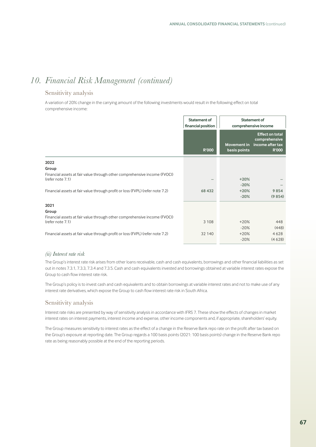# *10. Financial Risk Management (continued)*

### Sensitivity analysis

A variation of 20% change in the carrying amount of the following investments would result in the following effect on total comprehensive income:

|                                                                                               | <b>Statement of</b><br>financial position | Statement of<br>comprehensive income |                                                                             |
|-----------------------------------------------------------------------------------------------|-------------------------------------------|--------------------------------------|-----------------------------------------------------------------------------|
|                                                                                               | R'000                                     | <b>Movement in</b><br>basis points   | <b>Effect on total</b><br>comprehensive<br>income after tax<br><b>R'000</b> |
| 2022                                                                                          |                                           |                                      |                                                                             |
| Group                                                                                         |                                           |                                      |                                                                             |
| Financial assets at fair value through other comprehensive income (FVOCI)<br>(refer note 7.1) |                                           | $+20%$                               |                                                                             |
|                                                                                               |                                           | $-20%$                               |                                                                             |
| Financial assets at fair value through profit or loss (FVPL) (refer note 7.2)                 | 68 432                                    | $+20%$                               | 9854                                                                        |
|                                                                                               |                                           | $-20%$                               | (9854)                                                                      |
| 2021                                                                                          |                                           |                                      |                                                                             |
| Group                                                                                         |                                           |                                      |                                                                             |
| Financial assets at fair value through other comprehensive income (FVOCI)                     |                                           |                                      |                                                                             |
| (refer note 7.1)                                                                              | 3 1 0 8                                   | $+20%$                               | 448                                                                         |
|                                                                                               |                                           | $-20%$                               | (448)                                                                       |
| Financial assets at fair value through profit or loss (FVPL) (refer note 7.2)                 | 32 140                                    | $+20%$                               | 4628                                                                        |
|                                                                                               |                                           | $-20%$                               | (4628)                                                                      |

### *(ii) Interest rate risk*

The Group's interest rate risk arises from other loans receivable, cash and cash equivalents, borrowings and other financial liabilities as set out in notes 7.3.1, 7.3.3, 7.3.4 and 7.3.5. Cash and cash equivalents invested and borrowings obtained at variable interest rates expose the Group to cash flow interest rate risk.

The Group's policy is to invest cash and cash equivalents and to obtain borrowings at variable interest rates and not to make use of any interest rate derivatives, which expose the Group to cash flow interest rate risk in South Africa.

### Sensitivity analysis

Interest rate risks are presented by way of sensitivity analysis in accordance with IFRS 7. These show the effects of changes in market interest rates on interest payments, interest income and expense, other income components and, if appropriate, shareholders' equity.

The Group measures sensitivity to interest rates as the effect of a change in the Reserve Bank repo rate on the profit after tax based on the Group's exposure at reporting date. The Group regards a 100 basis points (2021: 100 basis points) change in the Reserve Bank repo rate as being reasonably possible at the end of the reporting periods.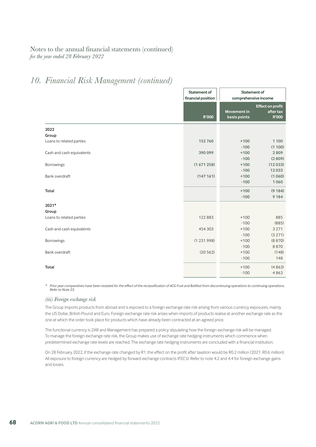#### **Statement of financial position Statement of comprehensive income R'000 Movement in basis points Effect on profit after tax R'000 2022 Group** Loans to related parties **152 760 +100 1 100 -100 (1 100)** Cash and cash equivalents **390 099 +100 2 809 -100 (2 809)** Borrowings **(1 671 258) +100 (12 033) -100 12 033** Bank overdraft **(147 161) +100 (1 060) -100 1 060 Total +100 (9 184) -100 9 184 2021\* Group** Loans to related parties and the control of the control of the control of the control of the control of the control of the control of the control of the control of the control of the control of the control of the control o -100 (885) Cash and cash equivalents and the contract of the contract of the 454 303 +100 3 271 -100 (3 271) Borrowings (1 231 998) +100 (8 870) -100 8 870 Bank overdraft (20 562) +100 (148) -100 148 **Total** +100 (4 863) -100 4 863

## *10. Financial Risk Management (continued)*

*\* Prior year comparatives have been restated for the effect of the reclassification of ACG Fruit and Boltfast from discontinuing operations to continuing operations. Refer to Note 23.*

### *(iii) Foreign exchange risk*

The Group imports products from abroad and is exposed to a foreign exchange rate risk arising from various currency exposures, mainly the US Dollar, British Pound and Euro. Foreign exchange rate risk arises when imports of products realise at another exchange rate as the one at which the order took place for products which have already been contracted at an agreed price.

The functional currency is ZAR and Management has prepared a policy stipulating how the foreign exchange risk will be managed. To manage the foreign exchange rate risk, the Group makes use of exchange rate hedging instruments which commence when predetermined exchange rate levels are reached. The exchange rate hedging instruments are concluded with a financial institution.

On 28 February 2022, if the exchange rate changed by R1, the effect on the profit after taxation would be R0.2 million (2021: R0.6 million). All exposure to foreign currency are hedged by forward exchange contracts (FEC's). Refer to note 4.2 and 4.4 for foreign exchange gains and losses.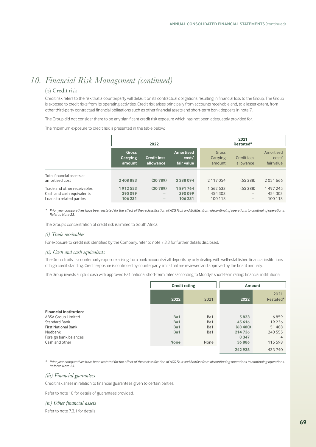# *10. Financial Risk Management (continued)*

### (b) Credit risk

Credit risk refers to the risk that a counterparty will default on its contractual obligations resulting in financial loss to the Group. The Group is exposed to credit risks from its operating activities. Credit risk arises principally from accounts receivable and, to a lesser extent, from other third-party contractual financial obligations such as other financial assets and short-term bank deposits in note 7.

The Group did not consider there to be any significant credit risk exposure which has not been adequately provided for.

The maximum exposure to credit risk is presented in the table below:

|                                                                                      | 2022                               |                                            |                                         |                                 | 2021<br>Restated*                                                      |                                  |  |
|--------------------------------------------------------------------------------------|------------------------------------|--------------------------------------------|-----------------------------------------|---------------------------------|------------------------------------------------------------------------|----------------------------------|--|
|                                                                                      | <b>Gross</b><br>Carrying<br>amount | <b>Credit loss</b><br>allowance            | <b>Amortised</b><br>cost/<br>fair value | Gross<br>Carrying<br>amount     | <b>Credit loss</b><br>allowance                                        | Amortised<br>cost/<br>fair value |  |
| Total financial assets at<br>amortised cost                                          | 2408883                            | (20789)                                    | 2388094                                 | 2 117 0 54                      | (65, 388)                                                              | 2051666                          |  |
| Trade and other receivables<br>Cash and cash equivalents<br>Loans to related parties | 1912553<br>390099<br>106 231       | (20789)<br>$\hspace{0.1mm}-\hspace{0.1mm}$ | 1891764<br>390099<br>106 231            | 1 562 633<br>454 303<br>100 118 | (65388)<br>$\overline{\phantom{m}}$<br>$\hspace{0.1mm}-\hspace{0.1mm}$ | 1497245<br>454 303<br>100 118    |  |

*\* Prior year comparatives have been restated for the effect of the reclassification of ACG Fruit and Boltfast from discontinuing operations to continuing operations. Refer to Note 23.*

The Group's concentration of credit risk is limited to South Africa.

#### *(i) Trade receivables*

For exposure to credit risk identified by the Company, refer to note 7.3.3 for further details disclosed.

#### *(ii) Cash and cash equivalents*

The Group limits its counterparty exposure arising from bank accounts/call deposits by only dealing with well-established financial institutions of high credit standing. Credit exposure is controlled by counterparty limits that are reviewed and approved by the board annually.

The Group invests surplus cash with approved Ba1 national short-term rated (according to Moody's short-term rating) financial institutions:

|                               |             | <b>Credit rating</b> |           | Amount            |
|-------------------------------|-------------|----------------------|-----------|-------------------|
|                               | 2022        | 2021                 | 2022      | 2021<br>Restated* |
| <b>Financial Institution:</b> |             |                      |           |                   |
| ABSA Group Limited            | Ba1         | Ba1                  | 5833      | 6859              |
| Standard Bank                 | Ba1         | Ba1                  | 45 6 16   | 19 2 36           |
| <b>First National Bank</b>    | Ba1         | Ba1                  | (68, 480) | 51488             |
| Nedbank                       | Ba1         | Ba1                  | 214736    | 240 555           |
| Foreign bank balances         |             |                      | 8 3 4 7   | $\overline{4}$    |
| Cash and other                | <b>None</b> | None                 | 36886     | 115 598           |
|                               |             |                      | 242938    | 433740            |

*\* Prior year comparatives have been restated for the effect of the reclassification of ACG Fruit and Boltfast from discontinuing operations to continuing operations. Refer to Note 23.*

#### *(iii) Financial guarantees*

Credit risk arises in relation to financial guarantees given to certain parties.

Refer to note 18 for details of guarantees provided.

#### *(iv) Other financial assets*

Refer to note 7.3.1 for details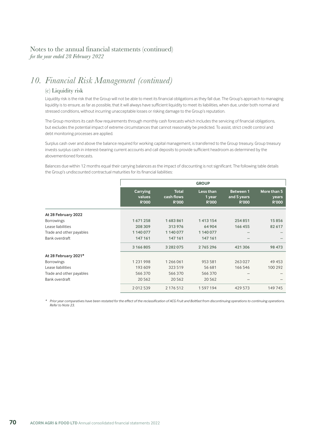# *10. Financial Risk Management (continued)*

#### (c) Liquidity risk

Liquidity risk is the risk that the Group will not be able to meet its financial obligations as they fall due. The Group's approach to managing liquidity is to ensure, as far as possible, that it will always have sufficient liquidity to meet its liabilities, when due, under both normal and stressed conditions, without incurring unacceptable losses or risking damage to the Group's reputation.

The Group monitors its cash flow requirements through monthly cash forecasts which includes the servicing of financial obligations, but excludes the potential impact of extreme circumstances that cannot reasonably be predicted. To assist, strict credit control and debt monitoring processes are applied.

Surplus cash over and above the balance required for working capital management, is transferred to the Group treasury. Group treasury invests surplus cash in interest-bearing current accounts and call deposits to provide sufficient headroom as determined by the abovementioned forecasts.

Balances due within 12 months equal their carrying balances as the impact of discounting is not significant. The following table details the Group's undiscounted contractual maturities for its financial liabilities:

|                          | <b>GROUP</b>                       |                                            |                                     |                                                 |                                      |
|--------------------------|------------------------------------|--------------------------------------------|-------------------------------------|-------------------------------------------------|--------------------------------------|
|                          | Carrying<br>values<br><b>R'000</b> | <b>Total</b><br>cash flows<br><b>R'000</b> | Less than<br>1 year<br><b>R'000</b> | <b>Between 1</b><br>and 5 years<br><b>R'000</b> | More than 5<br>years<br><b>R'000</b> |
| At 28 February 2022      |                                    |                                            |                                     |                                                 |                                      |
| <b>Borrowings</b>        | 1671258                            | 1683861                                    | 1413154                             | 254851                                          | 15856                                |
| Lease liabilities        | 208 309                            | 313976                                     | 64 904                              | 166 455                                         | 82617                                |
| Trade and other payables | 1 140 077                          | 1 140 077                                  | 1 140 077                           |                                                 |                                      |
| Bank overdraft           | 147 161                            | 147 161                                    | 147 161                             |                                                 |                                      |
|                          | 3 166 805                          | 3 282 075                                  | 2765296                             | 421 306                                         | 98 473                               |
| At 28 February 2021*     |                                    |                                            |                                     |                                                 |                                      |
| <b>Borrowings</b>        | 1 2 3 1 9 9 8                      | 1 266 061                                  | 953 581                             | 263027                                          | 49 453                               |
| Lease liabilities        | 193 609                            | 323 519                                    | 56 681                              | 166 546                                         | 100 292                              |
| Trade and other payables | 566370                             | 566370                                     | 566370                              |                                                 |                                      |
| Bank overdraft           | 20 5 6 2                           | 20 5 6 2                                   | 20 5 6 2                            |                                                 |                                      |
|                          | 2012539                            | 2 176 512                                  | 1597194                             | 429 573                                         | 149 745                              |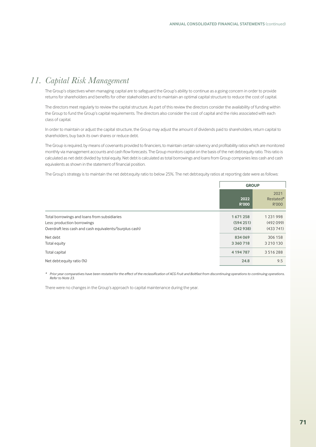### *11. Capital Risk Management*

The Group's objectives when managing capital are to safeguard the Group's ability to continue as a going concern in order to provide returns for shareholders and benefits for other stakeholders and to maintain an optimal capital structure to reduce the cost of capital.

The directors meet regularly to review the capital structure. As part of this review the directors consider the availability of funding within the Group to fund the Group's capital requirements. The directors also consider the cost of capital and the risks associated with each class of capital.

In order to maintain or adjust the capital structure, the Group may adjust the amount of dividends paid to shareholders, return capital to shareholders, buy back its own shares or reduce debt.

The Group is required, by means of covenants provided to financiers, to maintain certain solvency and profitability ratios which are monitored monthly via management accounts and cash flow forecasts. The Group monitors capital on the basis of the net debt:equity ratio. This ratio is calculated as net debt divided by total equity. Net debt is calculated as total borrowings and loans from Group companies less cash and cash equivalents as shown in the statement of financial position.

The Group's strategy is to maintain the net debt:equity ratio to below 25%. The net debt:equity ratios at reporting date were as follows:

|                                                                                                                                        |                                 | <b>GROUP</b>                      |  |
|----------------------------------------------------------------------------------------------------------------------------------------|---------------------------------|-----------------------------------|--|
|                                                                                                                                        | 2022<br><b>R'000</b>            | 2021<br>Restated*<br><b>R'000</b> |  |
| Total borrowings and loans from subsidiaries<br>Less: production borrowings<br>Overdraft less cash and cash equivalents/(surplus cash) | 1671258<br>(594251)<br>(242938) | 1231998<br>(49209)<br>(433741)    |  |
| Net debt<br>Total equity                                                                                                               | 834069<br>3360718               | 306 158<br>3 2 1 0 1 3 0          |  |
| Total capital                                                                                                                          | 4 194 787                       | 3516288                           |  |
| Net debt: equity ratio (%)                                                                                                             | 24.8                            | 9.5                               |  |

*\* Prior year comparatives have been restated for the effect of the reclassification of ACG Fruit and Boltfast from discontinuing operations to continuing operations. Refer to Note 23.*

There were no changes in the Group's approach to capital maintenance during the year.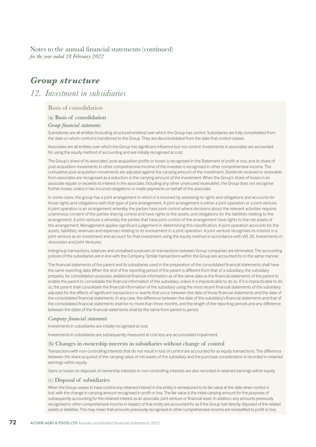### *Group structure*

### *12. Investment in subsidiaries*

### Basis of consolidation

#### (a) Basis of consolidation

#### *Group financial statements*

Subsidiaries are all entities (including structured entities) over which the Group has control. Subsidiaries are fully consolidated from the date on which control is transferred to the Group. They are deconsolidated from the date that control ceases.

Associates are all entities over which the Group has significant influence but not control. Investments in associates are accounted for using the equity method of accounting and are initially recognised at cost.

The Group's share of its associates' post-acquisition profits or losses is recognised in the Statement of profit or loss, and its share of post acquisition movements in other comprehensive income of the investee is recognised in other comprehensive income. The cumulative post-acquisition movements are adjusted against the carrying amount of the investment. Dividends received or receivable from associates are recognised as a reduction in the carrying amount of the investment. When the Group's share of losses in an associate equals or exceeds its interest in the associate, including any other unsecured receivables, the Group does not recognise further losses, unless it has incurred obligations or made payments on behalf of the associate.

In some cases, the group has a joint arrangement in which it is involved by assessing its rights and obligations and accounts for those rights and obligations with that type of joint arrangement. A joint arrangement is either a joint operation or a joint venture. A joint operation is an arrangement whereby the parties have joint control where decisions about the relevant activities requires unanimous consent of the parties sharing control and have rights to the assets, and obligations for the liabilities relating to the arrangement. A joint venture is whereby the parties that have joint control of the arrangement have rights to the net assets of the arrangement. Management applies significant judgement in determining this classification. A joint operation accounts for the assets, liabilities, revenues and expenses relating to its involvement in a joint operation. A joint venture recognises its interest in a joint venture as an investment and account for that investment using the equity method in accordance with IAS 28, *Investments in Associates and Joint Ventures*.

Intergroup transactions, balances and unrealised surpluses on transactions between Group companies are eliminated. The accounting policies of the subsidiaries are in line with the Company. Similar transactions within the Group are accounted for in the same manner.

The financial statements of the parent and its subsidiaries used in the preparation of the consolidated financial statements shall have the same reporting date. When the end of the reporting period of the parent is different from that of a subsidiary, the subsidiary prepares, for consolidation purposes, additional financial information as of the same date as the financial statements of the parent to enable the parent to consolidate the financial information of the subsidiary, unless it is impracticable to do so. If it is impracticable to do so, the parent shall consolidate the financial information of the subsidiary using the most recent financial statements of the subsidiary adjusted for the effects of significant transactions or events that occur between the date of those financial statements and the date of the consolidated financial statements. In any case, the difference between the date of the subsidiary's financial statements and that of the consolidated financial statements shall be no more than three months, and the length of the reporting periods and any difference between the dates of the financial statements shall be the same from period to period.

#### *Company financial statements*

Investments in subsidiaries are initially recognised at cost.

Investments in subsidiaries are subsequently measured at cost less any accumulated impairment.

#### (b) Changes in ownership interests in subsidiaries without change of control

Transactions with non-controlling interests that do not result in loss of control are accounted for as equity transactions. The difference between the share acquired of the carrying value of net assets of the subsidiary and the purchase consideration is recorded in retained earnings within equity.

Gains or losses on disposals of ownership interests to non-controlling interests are also recorded in retained earnings within equity.

#### (c) Disposal of subsidiaries

When the Group ceases to have control any retained interest in the entity is remeasured to its fair value at the date when control is lost, with the change in carrying amount recognised in profit or loss. The fair value is the initial carrying amount for the purposes of subsequently accounting for the retained interest as an associate, joint venture or financial asset. In addition, any amounts previously recognised in other comprehensive income in respect of that entity are accounted for as if the Group had directly disposed of the related assets or liabilities. This may mean that amounts previously recognised in other comprehensive income are reclassified to profit or loss.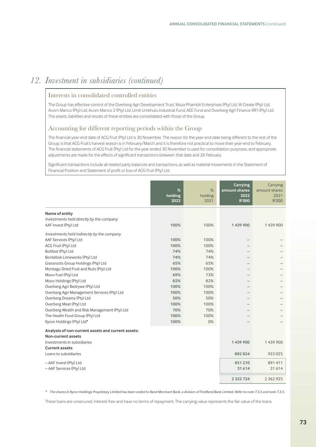# *12. Investment in subsidiaries (continued)*

### Interests in consolidated controlled entities

The Group has effective control of the Overberg Agri Development Trust, Woza Phambili Enterprises (Pty) Ltd, W Create (Pty) Ltd, Acorn Manco (Pty) Ltd, Acorn Manco 2 (Pty) Ltd, Umti Umkhulu Industrial Fund, AEE Fund and Overberg Agri Finance (RF) (Pty) Ltd. The assets, liabilities and results of these entities are consolidated with those of the Group.

### Accounting for different reporting periods within the Group

The financial year-end date of ACG Fruit (Pty) Ltd is 30 November. The reason for the year-end date being different to the rest of the Group, is that ACG Fruit's harvest season is in February/March and it is therefore not practical to move their year-end to February. The financial statements of ACG Fruit (Pty) Ltd for the year ended 30 November is used for consolidation purposes, and appropriate adjustments are made for the effects of significant transactions between that date and 28 February.

Significant transactions include all related party balances and transactions, as well as material movements in the Statement of Financial Position and Statement of profit or loss of ACG Fruit (Pty) Ltd.

|                                                                          | %<br>holding<br>2022 | %<br>holding<br>2021 | Carrying<br>amount shares<br>2022<br><b>R'000</b> | Carrying<br>amount shares<br>2021<br><b>R'000</b> |
|--------------------------------------------------------------------------|----------------------|----------------------|---------------------------------------------------|---------------------------------------------------|
| Name of entity                                                           |                      |                      |                                                   |                                                   |
| Investments held directly by the company                                 |                      |                      |                                                   |                                                   |
| AAF Invest (Pty) Ltd                                                     | 100%                 | 100%                 | 1439900                                           | 1439900                                           |
| Investments held indirectly by the company                               |                      |                      |                                                   |                                                   |
| AAF Services (Pty) Ltd                                                   | 100%                 | 100%                 |                                                   |                                                   |
| ACG Fruit (Pty) Ltd                                                      | 100%                 | 100%                 |                                                   |                                                   |
| Boltfast (Pty) Ltd                                                       | 74%                  | 74%                  |                                                   |                                                   |
| Bontebok Limeworks (Pty) Ltd                                             | 74%                  | 74%                  |                                                   |                                                   |
| Grassroots Group Holdings (Pty) Ltd                                      | 65%                  | 65%                  |                                                   |                                                   |
| Montagu Dried Fruit and Nuts (Pty) Ltd                                   | 100%                 | 100%                 |                                                   |                                                   |
| Moov Fuel (Pty) Ltd                                                      | 69%                  | 73%                  |                                                   |                                                   |
| Moov Holdings (Pty) Ltd                                                  | 82%                  | 82%                  |                                                   |                                                   |
| Overberg Agri Bedrywe (Pty) Ltd                                          | 100%                 | 100%                 |                                                   |                                                   |
| Overberg Agri Management Services (Pty) Ltd                              | 100%                 | 100%                 |                                                   |                                                   |
| Overberg Dreams (Pty) Ltd                                                | 50%                  | 50%                  |                                                   |                                                   |
| Overberg Meat (Pty) Ltd                                                  | 100%                 | 100%                 |                                                   |                                                   |
| Overberg Wealth and Risk Management (Pty) Ltd                            | 70%                  | 70%                  |                                                   |                                                   |
| The Health Food Group (Pty) Ltd                                          | 100%                 | 100%                 |                                                   |                                                   |
| Kyron Holdings (Pty) Ltd*                                                | 100%                 | 0%                   |                                                   |                                                   |
| Analysis of non-current assets and current assets:<br>Non-current assets |                      |                      |                                                   |                                                   |
| Investments in subsidiaries                                              |                      |                      | 1439900                                           | 1439900                                           |
| <b>Current assets</b>                                                    |                      |                      |                                                   |                                                   |
| Loans to subsidiaries                                                    |                      |                      | 882824                                            | 923025                                            |
| - AAF Invest (Pty) Ltd                                                   |                      |                      | 851210                                            | 891411                                            |
| - AAF Services (Pty) Ltd                                                 |                      |                      | 31 6 14                                           | 31 614                                            |
|                                                                          |                      |                      | 2322724                                           | 2 3 6 2 9 2 5                                     |

*\* The shares in Kyron Holdings Proprietary Limited has been ceded to Rand Merchant Bank, a division of FirstRand Bank Limited. Refer to note 7.3.3 and note 7.3.5.*

These loans are unsecured, interest-free and have no terms of repayment. The carrying value represents the fair value of the loans.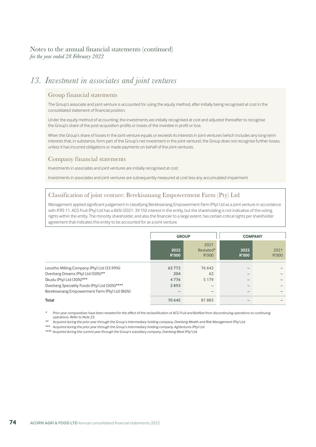# *13. Investment in associates and joint ventures*

### Group financial statements

The Group's associate and joint venture is accounted for using the equity method, after initially being recognised at cost in the consolidated statement of financial position.

Under the equity method of accounting, the investments are initially recognised at cost and adjusted thereafter to recognise the Group's share of the post-acquisition profits or losses of the investee in profit or loss.

When the Group's share of losses in the joint venture equals or exceeds its interests in joint ventures (which includes any long-term interests that, in substance, form part of the Group's net investment in the joint venture), the Group does not recognise further losses, unless it has incurred obligations or made payments on behalf of the joint ventures.

### Company financial statements

Investments in associates and joint ventures are initially recognised at cost.

Investments in associates and joint ventures are subsequently measured at cost less any accumulated impairment.

### Classification of joint venture: Berekisanang Empowerment Farm (Pty) Ltd

Management applied significant judgement in classifying Berekisanang Empowerment Farm (Pty) Ltd as a joint venture in accordance with IFRS 11. ACG Fruit (Pty) Ltd has a 86% (2021: 39.1%) interest in the entity, but the shareholding is not indicative of the voting rights within the entity. The minority shareholder, and also the financier to a large extent, has certain critical rights per shareholder agreement that indicates this entity to be accounted for as a joint venture.

|                                               | <b>GROUP</b>         |                            | <b>COMPANY</b>       |                      |
|-----------------------------------------------|----------------------|----------------------------|----------------------|----------------------|
|                                               | 2022<br><b>R'000</b> | 2021<br>Restated*<br>R'000 | 2022<br><b>R'000</b> | 2021<br><b>R'000</b> |
| Lesotho Milling Company (Pty) Ltd (33.99%)    | 62772                | 76 642                     |                      |                      |
| Overberg Dreams (Pty) Ltd (50%)**             | 204                  | 62                         |                      |                      |
| Skudu (Pty) Ltd (30%)***                      | 4776                 | 5 1 7 9                    |                      |                      |
| Overberg Speciality Foods (Pty) Ltd (50%)**** | 2893                 |                            |                      |                      |
| Berekisanang Empowerment Farm (Pty) Ltd (86%) |                      |                            |                      |                      |
| <b>Total</b>                                  | 70 645               | 81883                      |                      |                      |

*\* Prior year comparatives have been restated for the effect of the reclassification of ACG Fruit and Boltfast from discontinuing operations to continuing operations. Refer to Note 23.*

*\*\* Acquired during the prior year through the Group's intermediary holding company, Overberg Wealth and Risk Management (Pty) Ltd.*

*\*\*\* Acquired during the prior year through the Group's intermediary holding company, AgVentures (Pty) Ltd.*

*\*\*\*\* Acquired during the current year through the Group's subsidiary company, Overberg Meat (Pty) Ltd.*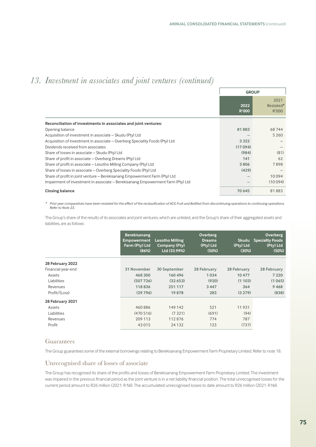# *13. Investment in associates and joint ventures (continued)*

|                                                                                 |                      | <b>GROUP</b>               |
|---------------------------------------------------------------------------------|----------------------|----------------------------|
|                                                                                 | 2022<br><b>R'000</b> | 2021<br>Restated*<br>R'000 |
| Reconciliation of investments in associates and joint ventures:                 |                      |                            |
| Opening balance                                                                 | 81883                | 68744                      |
| Acquisition of investment in associate – Skudu (Pty) Ltd                        |                      | 5 2 6 0                    |
| Acquisition of investment in associate - Overberg Speciality Foods (Pty) Ltd    | 3322                 |                            |
| Dividends received from associates                                              | (17094)              |                            |
| Share of losses in associate - Skudu (Pty) Ltd                                  | (984)                | (81)                       |
| Share of profit in associate - Overberg Dreams (Pty) Ltd                        | 141                  | 62                         |
| Share of profit in associate – Lesotho Milling Company (Pty) Ltd                | 3806                 | 7898                       |
| Share of losses in associate – Overberg Speciality Foods (Pty) Ltd              | (429)                |                            |
| Share of profit in joint venture – Berekisanang Empowerment Farm (Pty) Ltd      |                      | 10094                      |
| Impairment of investment in associate – Berekisanang Empowerment Farm (Pty) Ltd |                      | (10094)                    |
| <b>Closing balance</b>                                                          | 70 645               | 81883                      |

*\* Prior year comparatives have been restated for the effect of the reclassification of ACG Fruit and Boltfast from discontinuing operations to continuing operations. Refer to Note 23.*

The Group's share of the results of its associates and joint ventures, which are unlisted, and the Group's share of their aggregated assets and liabilities, are as follows:

|                    | <b>Berekisanang</b><br><b>Empowerment</b><br>Farm (Pty) Ltd<br>(86%) | <b>Lesotho Milling</b><br>Company (Pty)<br>Ltd (33.99%) | Overberg<br><b>Dreams</b><br>(Pty) Ltd<br>(50%) | <b>Skudu</b><br>(Pty) Ltd<br>(30%) | Overberg<br><b>Speciality Foods</b><br>(Pty) Ltd<br>(50%) |
|--------------------|----------------------------------------------------------------------|---------------------------------------------------------|-------------------------------------------------|------------------------------------|-----------------------------------------------------------|
| 28 February 2022   |                                                                      |                                                         |                                                 |                                    |                                                           |
| Financial year-end | 31 November                                                          | 30 September                                            | 28 February                                     | 28 February                        | 28 February                                               |
| Assets             | 468 300                                                              | 160 496                                                 | 1034                                            | 10 477                             | 7 2 2 0                                                   |
| Liabilities        | (507726)                                                             | (32653)                                                 | (920)                                           | (1103)                             | (1065)                                                    |
| Revenues           | 118836                                                               | 251 117                                                 | 3447                                            | 364                                | 9468                                                      |
| Profit/(Loss)      | (29796)                                                              | 19878                                                   | 283                                             | (3279)                             | (838)                                                     |
| 28 February 2021   |                                                                      |                                                         |                                                 |                                    |                                                           |
| Assets             | 460886                                                               | 149 142                                                 | 521                                             | 11931                              |                                                           |
| Liabilities        | (470516)                                                             | (7321)                                                  | (691)                                           | (94)                               |                                                           |
| Revenues           | 209 113                                                              | 112876                                                  | 774                                             | 787                                |                                                           |
| Profit             | 43 0 15                                                              | 24 132                                                  | 123                                             | (737)                              |                                                           |

### Guarantees

The Group guarantees some of the external borrowings relating to Berekisanang Empowerment Farm Proprietary Limited. Refer to note 18.

### Unrecognised share of losses of associate

The Group has recognised its share of the profits and losses of Berekisanang Empowerment Farm Proprietary Limited. The investment was impaired in the previous financial period as the joint venture is in a net liability financial position. The total unrecognised losses for the current period amount to R26 million (2021: R Nil). The accumulated unrecognised losses to date amount to R26 million (2021: R Nil).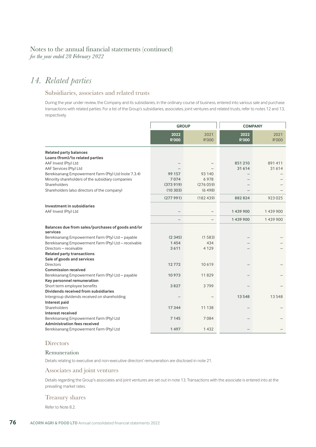# *14. Related parties*

### Subsidiaries, associates and related trusts

During the year under review, the Company and its subsidiaries, in the ordinary course of business, entered into various sale and purchase transactions with related parties. For a list of the Group's subsidiaries, associates, joint ventures and related trusts, refer to notes 12 and 13, respectively.

|                                                               | <b>GROUP</b>         |                      | <b>COMPANY</b>       |                      |
|---------------------------------------------------------------|----------------------|----------------------|----------------------|----------------------|
|                                                               | 2022<br><b>R'000</b> | 2021<br><b>R'000</b> | 2022<br><b>R'000</b> | 2021<br><b>R'000</b> |
| <b>Related party balances</b>                                 |                      |                      |                      |                      |
| Loans (from)/to related parties                               |                      |                      |                      |                      |
| AAF Invest (Pty) Ltd                                          |                      |                      | 851210               | 891411               |
| AAF Services (Pty) Ltd                                        |                      |                      | 31 6 14              | 31 6 14              |
| Berekisanang Empowerment Farm (Pty) Ltd (note 7.3.4)          | 99 157               | 93 140               |                      |                      |
| Minority shareholders of the subsidiary companies             | 7074                 | 6978                 |                      |                      |
| Shareholders                                                  | (373919)             | (276059)             |                      |                      |
| Shareholders (also directors of the company)                  | (10303)              | (6498)               |                      |                      |
|                                                               | (277991)             | (182439)             | 882824               | 923025               |
| Investment in subsidiaries                                    |                      |                      |                      |                      |
| AAF Invest (Pty) Ltd                                          |                      |                      | 1439900              | 1439900              |
|                                                               |                      |                      | 1439900              | 1439900              |
| Balances due from sales/purchases of goods and/or<br>services |                      |                      |                      |                      |
| Berekisanang Empowerment Farm (Pty) Ltd - payable             | (2345)               | (1, 583)             |                      |                      |
| Berekisanang Empowerment Farm (Pty) Ltd - receivable          | 1454                 | 434                  |                      |                      |
| Directors - receivable                                        | 3611                 | 4 1 2 9              |                      |                      |
| <b>Related party transactions</b>                             |                      |                      |                      |                      |
| Sale of goods and services                                    |                      |                      |                      |                      |
| <b>Directors</b>                                              | 12772                | 10 6 19              |                      |                      |
| <b>Commission received</b>                                    |                      |                      |                      |                      |
| Berekisanang Empowerment Farm (Pty) Ltd - payable             | 10973                | 11829                |                      |                      |
| Key personnel remuneration                                    |                      |                      |                      |                      |
| Short term employee benefits                                  | 3827                 | 3799                 |                      |                      |
| Dividends received from subsidiaries                          |                      |                      |                      |                      |
| Intergroup dividends received on shareholding                 |                      |                      | 13548                | 13548                |
| Interest paid                                                 |                      |                      |                      |                      |
| Shareholders                                                  | 17 344               | 11 138               |                      |                      |
| Interest received                                             |                      |                      |                      |                      |
| Berekisanang Empowerment Farm (Pty) Ltd                       | 7 1 4 5              | 7084                 |                      |                      |
| <b>Administration fees received</b>                           |                      |                      |                      |                      |
| Berekisanang Empowerment Farm (Pty) Ltd                       | 1497                 | 1432                 |                      |                      |

### **Directors**

#### Remuneration

Details relating to executive and non-executive directors' remuneration are disclosed in note 21.

### Associates and joint ventures

Details regarding the Group's associates and joint ventures are set out in note 13. Transactions with the associate is entered into at the prevailing market rates.

#### Treasury shares

Refer to Note 8.2.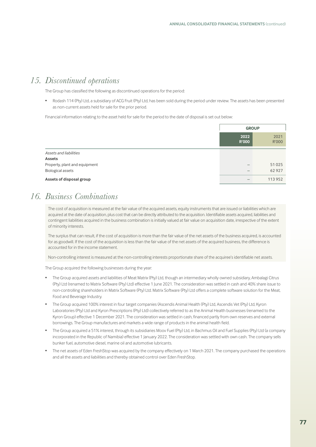### *15. Discontinued operations*

The Group has classified the following as discontinued operations for the period:

• Rodash 114 (Pty) Ltd, a subsidiary of ACG Fruit (Pty) Ltd, has been sold during the period under review. The assets has been presented as non-current assets held for sale for the prior period.

Financial information relating to the asset held for sale for the period to the date of disposal is set out below:

|                               | <b>GROUP</b>         |                      |
|-------------------------------|----------------------|----------------------|
|                               | 2022<br><b>R'000</b> | 2021<br><b>R'000</b> |
| Assets and liabilities        |                      |                      |
| <b>Assets</b>                 |                      |                      |
| Property, plant and equipment |                      | 51025                |
| <b>Biological assets</b>      |                      | 62927                |
| Assets of disposal group      |                      | 113 952              |

### *16. Business Combinations*

The cost of acquisition is measured at the fair value of the acquired assets, equity instruments that are issued or liabilities which are acquired at the date of acquisition, plus cost that can be directly attributed to the acquisition. Identifiable assets acquired, liabilities and contingent liabilities acquired in the business combination is initially valued at fair value on acquisition date, irrespective of the extent of minority interests.

The surplus that can result, if the cost of acquisition is more than the fair value of the net assets of the business acquired, is accounted for as goodwill. If the cost of the acquisition is less than the fair value of the net assets of the acquired business, the difference is accounted for in the income statement.

Non-controlling interest is measured at the non-controlling interests proportionate share of the acquiree's identifiable net assets.

The Group acquired the following businesses during the year:

- The Group acquired assets and liabilities of Meat Matrix (Pty) Ltd, though an intermediary wholly owned subsidiary, Ambalagi Citrus (Pty) Ltd (renamed to Matrix Software (Pty) Ltd) effective 1 June 2021. The consideration was settled in cash and 40% share issue to non-controlling shareholders in Matrix Software (Pty) Ltd. Matrix Software (Pty) Ltd offers a complete software solution for the Meat, Food and Beverage Industry.
- The Group acquired 100% interest in four target companies (Ascendis Animal Health (Pty) Ltd, Ascendis Vet (Pty) Ltd, Kyron Laboratories (Pty) Ltd and Kyron Prescriptions (Pty) Ltd) collectively referred to as the Animal Health businesses (renamed to the Kyron Group) effective 1 December 2021. The consideration was settled in cash, financed partly from own reserves and external borrowings. The Group manufactures and markets a wide range of products in the animal health field.
- The Group acquired a 51% interest, through its subsidiaries Moov Fuel (Pty) Ltd, in Bachmus Oil and Fuel Supplies (Pty) Ltd (a company incorporated in the Republic of Namibia) effective 1 January 2022. The consideration was settled with own cash. The company sells bunker fuel, automotive diesel, marine oil and automotive lubricants.
- The net assets of Eden FreshStop was acquired by the company effectively on 1 March 2021. The company purchased the operations and all the assets and liabilities and thereby obtained control over Eden FreshStop.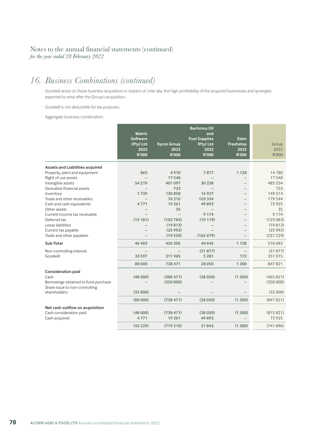# Notes to the annual financial statements (continued)

*for the year ended 28 February 2022*

# *16. Business Combinations (continued)*

Goodwill arose on these business acquisition in respect of, inter alia, the high profitability of the acquired businesses and synergies expected to arise after the Group's acquisition.

Goodwill is not deductible for tax purposes.

Aggregate business combination:

|                                      | <b>Matrix</b><br><b>Software</b><br>(Pty) Ltd<br>2022<br><b>R'000</b> | <b>Kyron Group</b><br>2022<br><b>R'000</b> | <b>Bachmus Oil</b><br>and<br><b>Fuel Supplies</b><br>(Pty) Ltd<br>2022<br><b>R'000</b> | Eden<br>Freshstop<br>2022<br><b>R'000</b> | Group<br>2022<br><b>R'000</b> |
|--------------------------------------|-----------------------------------------------------------------------|--------------------------------------------|----------------------------------------------------------------------------------------|-------------------------------------------|-------------------------------|
| Assets and Liabilities acquired      |                                                                       |                                            |                                                                                        |                                           |                               |
| Property, plant and equipment        | 865                                                                   | 4910                                       | 7877                                                                                   | 1 1 2 8                                   | 14780                         |
| Right of use assets                  |                                                                       | 17 540                                     |                                                                                        |                                           | 17540                         |
| Intangible assets                    | 54 219                                                                | 401 097                                    | 30 238                                                                                 |                                           | 485 554                       |
| Derivative financial assets          |                                                                       | 733                                        |                                                                                        |                                           | 733                           |
| Inventory                            | 1729                                                                  | 130858                                     | 16927                                                                                  |                                           | 149 514                       |
| Trade and other receivables          |                                                                       | 76 210                                     | 103 334                                                                                |                                           | 179544                        |
| Cash and cash equivalents            | 4771                                                                  | 19 261                                     | 49893                                                                                  |                                           | 73925                         |
| Other assets                         |                                                                       | 35                                         |                                                                                        |                                           | 35                            |
| Current income tax receivable        |                                                                       |                                            | 9 1 7 4                                                                                |                                           | 9 1 7 4                       |
| Deferred tax                         | (15181)                                                               | (103783)                                   | (10119)                                                                                |                                           | (129083)                      |
| Lease liabilities                    |                                                                       | (19813)                                    |                                                                                        |                                           | (19813)                       |
| Current tax payable                  |                                                                       | (25992)                                    |                                                                                        |                                           | (25992)                       |
| Trade and other payables             |                                                                       | (74550)                                    | (162679)                                                                               |                                           | (237229)                      |
| Sub-Total                            | 46 403                                                                | 426 506                                    | 44 64 6                                                                                | 1 1 2 8                                   | 518 683                       |
| Non-controlling interest             |                                                                       |                                            | (21877)                                                                                |                                           | (21877)                       |
| Goodwill                             | 33 597                                                                | 311965                                     | 5 2 8 1                                                                                | 172                                       | 351015                        |
|                                      | 80 000                                                                | 738 471                                    | 28 0 50                                                                                | 1 300                                     | 847821                        |
| <b>Consideration paid</b>            |                                                                       |                                            |                                                                                        |                                           |                               |
| Cash                                 | (48000)                                                               | (388471)                                   | (28050)                                                                                | (1300)                                    | (465821)                      |
| Borrowings obtained to fund purchase |                                                                       | (350000)                                   |                                                                                        |                                           | (350000)                      |
| Share issue to non-controlling       |                                                                       |                                            |                                                                                        |                                           |                               |
| shareholders                         | (32000)                                                               |                                            |                                                                                        |                                           | (32000)                       |
|                                      | (80000)                                                               | (738471)                                   | (28050)                                                                                | (1300)                                    | (847821)                      |
| Net cash outflow on acquisition      |                                                                       |                                            |                                                                                        |                                           |                               |
| Cash consideration paid              | (48000)                                                               | (738471)                                   | (28050)                                                                                | (1300)                                    | (815821)                      |
| Cash acquired                        | 4771                                                                  | 19 261                                     | 49893                                                                                  |                                           | 73 9 25                       |
|                                      | (43229)                                                               | (719210)                                   | 21843                                                                                  | (1300)                                    | (741896)                      |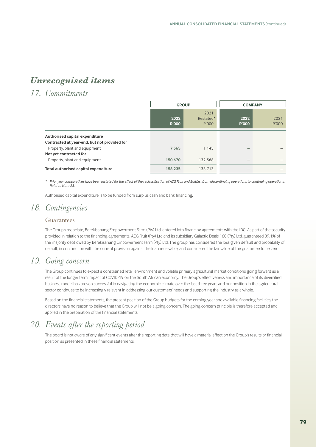# *Unrecognised items*

### *17. Commitments*

|                                              | <b>GROUP</b>         |                            | <b>COMPANY</b>       |                      |
|----------------------------------------------|----------------------|----------------------------|----------------------|----------------------|
|                                              | 2022<br><b>R'000</b> | 2021<br>Restated*<br>R'000 | 2022<br><b>R'000</b> | 2021<br><b>R'000</b> |
| Authorised capital expenditure               |                      |                            |                      |                      |
| Contracted at year-end, but not provided for |                      |                            |                      |                      |
| Property, plant and equipment                | 7565                 | 1 1 4 5                    |                      |                      |
| Not yet contracted for                       |                      |                            |                      |                      |
| Property, plant and equipment                | 150 670              | 132 568                    |                      |                      |
| Total authorised capital expenditure         | 158 235              | 133 713                    |                      | —                    |

*\* Prior year comparatives have been restated for the effect of the reclassification of ACG Fruit and Boltfast from discontinuing operations to continuing operations. Refer to Note 23.*

Authorised capital expenditure is to be funded from surplus cash and bank financing.

# *18. Contingencies*

#### Guarantees

The Group's associate, Berekisanang Empowerment Farm (Pty) Ltd, entered into financing agreements with the IDC. As part of the security provided in relation to the financing agreements, ACG Fruit (Pty) Ltd and its subsidiary Galactic Deals 160 (Pty) Ltd, guaranteed 39.1% of the majority debt owed by Berekisanang Empowerment Farm (Pty) Ltd. The group has considered the loss given default and probability of default, in conjunction with the current provision against the loan receivable, and considered the fair value of the guarantee to be zero.

# *19. Going concern*

The Group continues to expect a constrained retail environment and volatile primary agricultural market conditions going forward as a result of the longer term impact of COVID-19 on the South African economy. The Group's effectiveness and importance of its diversified business model has proven successful in navigating the economic climate over the last three years and our position in the agricultural sector continues to be increasingly relevant in addressing our customers' needs and supporting the industry as a whole.

Based on the financial statements, the present position of the Group budgets for the coming year and available financing facilities, the directors have no reason to believe that the Group will not be a going concern. The going concern principle is therefore accepted and applied in the preparation of the financial statements.

### *20. Events after the reporting period*

The board is not aware of any significant events after the reporting date that will have a material effect on the Group's results or financial position as presented in these financial statements.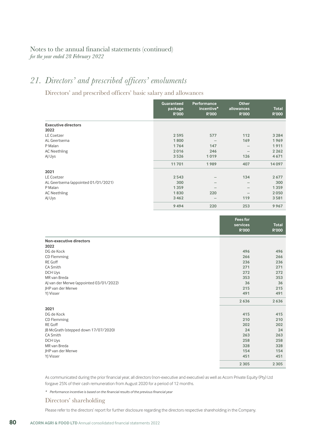# *21. Directors' and prescribed officers' emoluments*

Directors' and prescribed officers' basic salary and allowances

|                                     | <b>Guaranteed</b><br>package<br>R'000 | Performance<br>incentive*<br>R'000 | Other<br>allowances<br>R'000 | <b>Total</b><br>R'000 |
|-------------------------------------|---------------------------------------|------------------------------------|------------------------------|-----------------------|
| <b>Executive directors</b>          |                                       |                                    |                              |                       |
| 2022                                |                                       |                                    |                              |                       |
| <b>LE Coetzer</b>                   | 2595                                  | 577                                | 112                          | 3 2 8 4               |
| AL Geertsema                        | 1800                                  |                                    | 169                          | 1969                  |
| P Malan                             | 1764                                  | 147                                |                              | 1911                  |
| <b>AC Neethling</b>                 | 2016                                  | 246                                |                              | 2 2 6 2               |
| AJ Uys                              | 3526                                  | 1019                               | 126                          | 4671                  |
|                                     | 11701                                 | 1989                               | 407                          | 14 0 9 7              |
| 2021                                |                                       |                                    |                              |                       |
| <b>LE Coetzer</b>                   | 2543                                  |                                    | 134                          | 2677                  |
| AL Geertsema (appointed 01/01/2021) | 300                                   |                                    |                              | 300                   |
| P Malan                             | 1359                                  |                                    |                              | 1359                  |
| <b>AC Neethling</b>                 | 1830                                  | 220                                |                              | 2050                  |
| AJ Uys                              | 3462                                  | $\hspace{0.1mm}-\hspace{0.1mm}$    | 119                          | 3581                  |
|                                     | 9494                                  | 220                                | 253                          | 9967                  |

|                                         | <b>Fees for</b><br>services<br>R'000 | <b>Total</b><br>R'000 |
|-----------------------------------------|--------------------------------------|-----------------------|
| Non-executive directors                 |                                      |                       |
| 2022                                    |                                      |                       |
| DG de Kock                              | 496                                  | 496                   |
| CD Flemming                             | 266                                  | 266                   |
| RE Goff                                 | 236                                  | 236                   |
| CA Smith                                | 271                                  | 271                   |
| DCH Uys                                 | 272                                  | 272                   |
| MR van Breda                            | 353                                  | 353                   |
| AJ van der Merwe (appointed 03/01/2022) | 36                                   | 36                    |
| JHP van der Merwe                       | 215                                  | 215                   |
| YJ Visser                               | 491                                  | 491                   |
|                                         | 2636                                 | 2636                  |
| 2021                                    |                                      |                       |
| DG de Kock                              | 415                                  | 415                   |
| CD Flemming                             | 210                                  | 210                   |
| RE Goff                                 | 202                                  | 202                   |
| JB McGrath (stepped down 17/07/2020)    | 24                                   | 24                    |
| CA Smith                                | 263                                  | 263                   |
| DCH Uys                                 | 258                                  | 258                   |
| MR van Breda                            | 328                                  | 328                   |
| JHP van der Merwe                       | 154                                  | 154                   |
| YJ Visser                               | 451                                  | 451                   |
|                                         | 2 3 0 5                              | 2 3 0 5               |

As communicated during the prior financial year, all directors (non-executive and executive) as well as Acorn Private Equity (Pty) Ltd forgave 25% of their cash remuneration from August 2020 for a period of 12 months.

*\* Performance incentive is based on the financial results of the previous financial year*

#### Directors' shareholding

Please refer to the directors' report for further disclosure regarding the directors respective shareholding in the Company.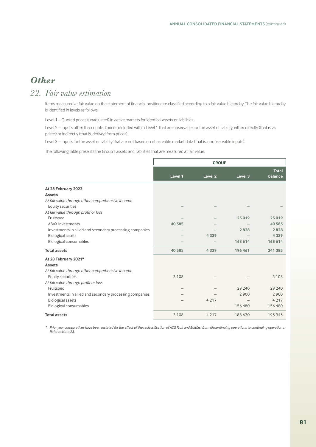### *Other*

# *22. Fair value estimation*

Items measured at fair value on the statement of financial position are classified according to a fair value hierarchy. The fair value hierarchy is identified in levels as follows:

Level 1 – Quoted prices (unadjusted) in active markets for identical assets or liabilities.

Level 2 – Inputs other than quoted prices included within Level 1 that are observable for the asset or liability, either directly (that is, as prices) or indirectly (that is, derived from prices).

Level 3 – Inputs for the asset or liability that are not based on observable market data (that is, unobservable inputs).

The following table presents the Group's assets and liabilities that are measured at fair value:

|                                                          |         | <b>GROUP</b>       |         |                         |
|----------------------------------------------------------|---------|--------------------|---------|-------------------------|
|                                                          | Level 1 | Level <sub>2</sub> | Level 3 | <b>Total</b><br>balance |
| At 28 February 2022                                      |         |                    |         |                         |
| <b>Assets</b>                                            |         |                    |         |                         |
| At fair value through other comprehensive income         |         |                    |         |                         |
| Equity securities                                        |         |                    |         |                         |
| At fair value through profit or loss                     |         |                    |         |                         |
| Fruitspec                                                |         |                    | 25019   | 25019                   |
| <b>ABAX Investments</b>                                  | 40 585  |                    |         | 40 5 8 5                |
| Investments in allied and secondary processing companies |         |                    | 2828    | 2828                    |
| <b>Biological assets</b>                                 |         | 4 3 3 9            |         | 4 3 3 9                 |
| <b>Biological consumables</b>                            |         |                    | 168 614 | 168 614                 |
| <b>Total assets</b>                                      | 40 585  | 4 3 3 9            | 196 461 | 241 385                 |
| At 28 February 2021*                                     |         |                    |         |                         |
| <b>Assets</b>                                            |         |                    |         |                         |
| At fair value through other comprehensive income         |         |                    |         |                         |
| Equity securities                                        | 3 1 0 8 |                    |         | 3 1 0 8                 |
| At fair value through profit or loss                     |         |                    |         |                         |
| Fruitspec                                                |         |                    | 29 240  | 29 240                  |
| Investments in allied and secondary processing companies |         |                    | 2 9 0 0 | 2 9 0 0                 |
| <b>Biological assets</b>                                 |         | 4 2 1 7            |         | 4 2 1 7                 |
| Biological consumables                                   |         |                    | 156 480 | 156 480                 |
| <b>Total assets</b>                                      | 3 1 0 8 | 4 2 1 7            | 188 620 | 195 945                 |

*\* Prior year comparatives have been restated for the effect of the reclassification of ACG Fruit and Boltfast from discontinuing operations to continuing operations. Refer to Note 23.*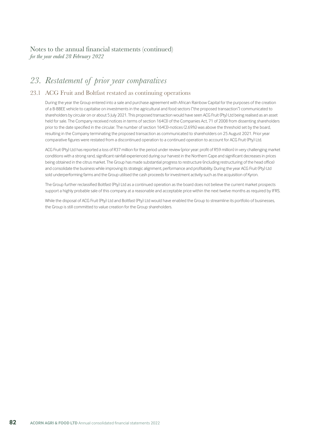### *23. Restatement of prior year comparatives*

#### 23.1 ACG Fruit and Boltfast restated as continuing operations

During the year the Group entered into a sale and purchase agreement with African Rainbow Capital for the purposes of the creation of a B-BBEE vehicle to capitalise on investments in the agricultural and food sectors ("the proposed transaction") communicated to shareholders by circular on or about 5 July 2021. This proposed transaction would have seen ACG Fruit (Pty) Ltd being realised as an asset held for sale. The Company received notices in terms of section 164(3) of the Companies Act, 71 of 2008 from dissenting shareholders prior to the date specified in the circular. The number of section 164(3)-notices (2.69%) was above the threshold set by the board, resulting in the Company terminating the proposed transaction as communicated to shareholders on 25 August 2021. Prior year comparative figures were restated from a discontinued operation to a continued operation to account for ACG Fruit (Pty) Ltd.

ACG Fruit (Pty) Ltd has reported a loss of R37 million for the period under review (prior year: profit of R59 million) in very challenging market conditions with a strong rand, significant rainfall experienced during our harvest in the Northern Cape and significant decreases in prices being obtained in the citrus market. The Group has made substantial progress to restructure (including restructuring of the head office) and consolidate the business while improving its strategic alignment, performance and profitability. During the year ACG Fruit (Pty) Ltd sold underperforming farms and the Group utilised the cash proceeds for investment activity such as the acquisition of Kyron.

The Group further reclassified Boltfast (Pty) Ltd as a continued operation as the board does not believe the current market prospects support a highly probable sale of this company at a reasonable and acceptable price within the next twelve months as required by IFRS.

While the disposal of ACG Fruit (Pty) Ltd and Boltfast (Pty) Ltd would have enabled the Group to streamline its portfolio of businesses, the Group is still committed to value creation for the Group shareholders.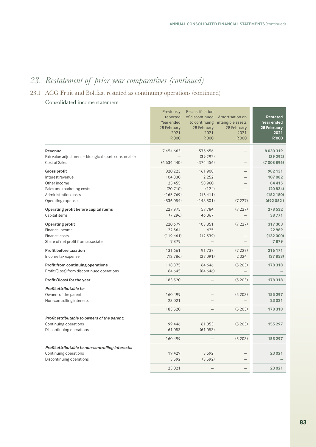# *23. Restatement of prior year comparatives (continued)*

### 23.1 ACG Fruit and Boltfast restated as continuing operations (continued)

### Consolidated income statement

|                                                      | Previously<br>reported<br>Year ended<br>28 February<br>2021<br><b>R'000</b> | Reclassification<br>of discontinued<br>to continuing<br>28 February<br>2021<br>R'000 | Amortisation on<br>intangible assets<br>28 February<br>2021<br><b>R'000</b> | <b>Restated</b><br>Year ended<br><b>28 February</b><br>2021<br>R'000 |
|------------------------------------------------------|-----------------------------------------------------------------------------|--------------------------------------------------------------------------------------|-----------------------------------------------------------------------------|----------------------------------------------------------------------|
| <b>Revenue</b>                                       | 7454663                                                                     | 575 656                                                                              |                                                                             | 8030319                                                              |
| Fair value adjustment - biological asset: consumable |                                                                             | (39292)                                                                              |                                                                             | (39 292)                                                             |
| Cost of Sales                                        | (6634440)                                                                   | (374456)                                                                             |                                                                             | (7008896)                                                            |
| <b>Gross profit</b>                                  | 820 223                                                                     | 161 908                                                                              |                                                                             | 982 131                                                              |
| Interest revenue                                     | 104 830                                                                     | 2 2 5 2                                                                              |                                                                             | 107082                                                               |
| Other income                                         | 25 4 5 5                                                                    | 58 960                                                                               |                                                                             | 84415                                                                |
| Sales and marketing costs                            | (20710)                                                                     | (124)                                                                                |                                                                             | (20834)                                                              |
| Administration costs                                 | (165769)                                                                    | (16411)                                                                              |                                                                             | (182 180)                                                            |
| Operating expenses                                   | (536054)                                                                    | (148801)                                                                             | (7227)                                                                      | (692082)                                                             |
| Operating profit before capital items                | 227 975                                                                     | 57784                                                                                | (7227)                                                                      | 278 532                                                              |
| Capital items                                        | (7296)                                                                      | 46 067                                                                               |                                                                             | 38771                                                                |
| <b>Operating profit</b>                              | 220 679                                                                     | 103 851                                                                              | (7227)                                                                      | 317303                                                               |
| Finance income                                       | 22 5 6 4                                                                    | 425                                                                                  |                                                                             | 22989                                                                |
| Finance costs                                        | (119461)                                                                    | (12539)                                                                              |                                                                             | (132000)                                                             |
| Share of net profit from associate                   | 7879                                                                        |                                                                                      |                                                                             | 7879                                                                 |
| <b>Profit before taxation</b>                        | 131 661                                                                     | 91737                                                                                | (7227)                                                                      | 216 171                                                              |
| Income tax expense                                   | (12786)                                                                     | (27091)                                                                              | 2024                                                                        | (37853)                                                              |
| Profit from continuing operations                    | 118875                                                                      | 64 64 6                                                                              | (5203)                                                                      | 178318                                                               |
| Profit/(Loss) from discontinued operations           | 64 645                                                                      | (64646)                                                                              |                                                                             |                                                                      |
| Profit/(loss) for the year                           | 183 520                                                                     |                                                                                      | (5203)                                                                      | 178318                                                               |
| Profit attributable to:                              |                                                                             |                                                                                      |                                                                             |                                                                      |
| Owners of the parent                                 | 160 499                                                                     |                                                                                      | (5203)                                                                      | 155 297                                                              |
| Non-controlling interests                            | 23 0 21                                                                     |                                                                                      |                                                                             | 23021                                                                |
|                                                      | 183 520                                                                     | $\overline{\phantom{0}}$                                                             | (5203)                                                                      | 178318                                                               |
| Profit attributable to owners of the parent:         |                                                                             |                                                                                      |                                                                             |                                                                      |
| Continuing operations                                | 99 4 4 6                                                                    | 61053                                                                                | (5203)                                                                      | 155 297                                                              |
| Discontinuing operations                             | 61053                                                                       | (61053)                                                                              |                                                                             |                                                                      |
|                                                      | 160 499                                                                     |                                                                                      | (5203)                                                                      | 155 297                                                              |
| Profit attributable to non-controlling interests:    |                                                                             |                                                                                      |                                                                             |                                                                      |
| Continuing operations                                | 19 4 29                                                                     | 3592                                                                                 |                                                                             | 23021                                                                |
| Discontinuing operations                             | 3592                                                                        | (3592)                                                                               |                                                                             |                                                                      |
|                                                      | 23 0 21                                                                     |                                                                                      |                                                                             | 23021                                                                |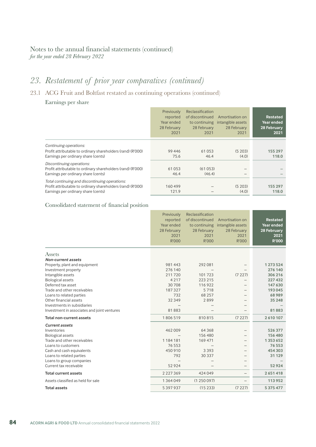# *23. Restatement of prior year comparatives (continued)*

### 23.1 ACG Fruit and Boltfast restated as continuing operations (continued)

### Earnings per share

|                                                                                                                                                      | Previously<br>reported<br>Year ended<br>28 February<br>2021 | Reclassification<br>of discontinued<br>to continuing<br>28 February<br>2021 | Amortisation on<br>intangible assets<br>28 February<br>2021 | <b>Restated</b><br>Year ended<br>28 February<br>2021 |
|------------------------------------------------------------------------------------------------------------------------------------------------------|-------------------------------------------------------------|-----------------------------------------------------------------------------|-------------------------------------------------------------|------------------------------------------------------|
| Continuing operations:                                                                                                                               |                                                             |                                                                             |                                                             |                                                      |
| Profit attributable to ordinary shareholders (rand) (R'000)<br>Earnings per ordinary share (cents)                                                   | 99 44 6<br>75.6                                             | 61 0 53<br>46.4                                                             | (5, 203)<br>(4.0)                                           | 155 297<br>118.0                                     |
| Discontinuing operations:<br>Profit attributable to ordinary shareholders (rand) (R'000)<br>Earnings per ordinary share (cents)                      | 61053<br>46.4                                               | (61053)<br>(46.4)                                                           |                                                             |                                                      |
| Total continuing and discontinuing operations:<br>Profit attributable to ordinary shareholders (rand) (R'000)<br>Earnings per ordinary share (cents) | 160499<br>121.9                                             |                                                                             | (5, 203)<br>(4.0)                                           | 155 297<br>118.0                                     |

#### Consolidated statement of financial position

|                                             | Previously<br>reported<br>Year ended<br>28 February<br>2021<br><b>R'000</b> | Reclassification<br>of discontinued<br>28 February<br>2021<br><b>R'000</b> | Amortisation on<br>to continuing intangible assets<br>28 February<br>2021<br>R'000 | <b>Restated</b><br>Year ended<br><b>28 February</b><br>2021<br><b>R'000</b> |
|---------------------------------------------|-----------------------------------------------------------------------------|----------------------------------------------------------------------------|------------------------------------------------------------------------------------|-----------------------------------------------------------------------------|
| Assets                                      |                                                                             |                                                                            |                                                                                    |                                                                             |
| <b>Non-current assets</b>                   |                                                                             |                                                                            |                                                                                    |                                                                             |
| Property, plant and equipment               | 981 443                                                                     | 292 081                                                                    |                                                                                    | 1 273 524                                                                   |
| Investment property                         | 276 140                                                                     |                                                                            |                                                                                    | 276 140                                                                     |
| Intangible assets                           | 211720                                                                      | 101723                                                                     | (7227)                                                                             | 306 216                                                                     |
| <b>Biological assets</b>                    | 4 2 1 7                                                                     | 223 215                                                                    |                                                                                    | 227 432                                                                     |
| Deferred tax asset                          | 30708                                                                       | 116 922                                                                    |                                                                                    | 147 630                                                                     |
| Trade and other receivables                 | 187327                                                                      | 5718                                                                       |                                                                                    | 193045                                                                      |
| Loans to related parties                    | 732                                                                         | 68 257                                                                     |                                                                                    | 68989                                                                       |
| Other financial assets                      | 32 349                                                                      | 2899                                                                       |                                                                                    | 35 248                                                                      |
| Investments in subsidiaries                 |                                                                             |                                                                            |                                                                                    |                                                                             |
| Investment in associates and joint ventures | 81883                                                                       |                                                                            |                                                                                    | 81883                                                                       |
| <b>Total non-current assets</b>             | 1806519                                                                     | 810815                                                                     | (7227)                                                                             | 2610107                                                                     |
| <b>Current assets</b>                       |                                                                             |                                                                            |                                                                                    |                                                                             |
| Inventories                                 | 462009                                                                      | 64 3 68                                                                    |                                                                                    | 526 377                                                                     |
| <b>Biological assets</b>                    |                                                                             | 156 480                                                                    |                                                                                    | 156 480                                                                     |
| Trade and other receivables                 | 1 1 8 4 1 8 1                                                               | 169 471                                                                    |                                                                                    | 1353652                                                                     |
| Loans to customers                          | 76 553                                                                      |                                                                            |                                                                                    | 76 553                                                                      |
| Cash and cash equivalents                   | 450 910                                                                     | 3 3 9 3                                                                    |                                                                                    | 454 303                                                                     |
| Loans to related parties                    | 792                                                                         | 30 337                                                                     |                                                                                    | 31 1 29                                                                     |
| Loans to group companies                    |                                                                             |                                                                            |                                                                                    |                                                                             |
| Current tax receivable                      | 52 9 24                                                                     |                                                                            | $\overline{\phantom{0}}$                                                           | 52924                                                                       |
| <b>Total current assets</b>                 | 2 2 2 7 3 6 9                                                               | 424 049                                                                    | $\overline{\phantom{m}}$                                                           | 2651418                                                                     |
| Assets classified as held for sale          | 1 3 6 4 0 4 9                                                               | (1250097)                                                                  | $\overline{\phantom{0}}$                                                           | 113952                                                                      |
| <b>Total assets</b>                         | 5 397 937                                                                   | (15233)                                                                    | (7227)                                                                             | 5375477                                                                     |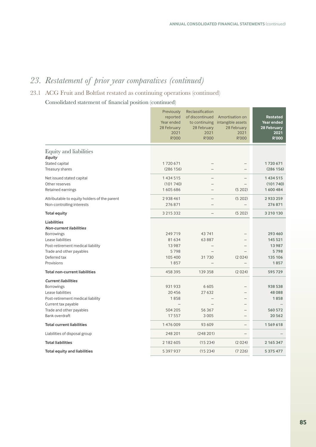# *23. Restatement of prior year comparatives (continued)*

### 23.1 ACG Fruit and Boltfast restated as continuing operations (continued) Consolidated statement of financial position (continued)

Reclassification

|                                                                                                                                                                                               | Previously<br>reported<br>Year ended<br>28 February<br>2021<br><b>R'000</b> | Reclassification<br>of discontinued<br>to continuing<br>28 February<br>2021<br>R'000 | Amortisation on<br>intangible assets<br>28 February<br>2021<br><b>R'000</b> | <b>Restated</b><br>Year ended<br>28 February<br>2021<br><b>R'000</b> |
|-----------------------------------------------------------------------------------------------------------------------------------------------------------------------------------------------|-----------------------------------------------------------------------------|--------------------------------------------------------------------------------------|-----------------------------------------------------------------------------|----------------------------------------------------------------------|
| Equity and liabilities<br>Equity                                                                                                                                                              |                                                                             |                                                                                      |                                                                             |                                                                      |
| Stated capital<br>Treasury shares                                                                                                                                                             | 1720671<br>(286156)                                                         |                                                                                      |                                                                             | 1720671<br>(286 156)                                                 |
| Net issued stated capital<br>Other reserves<br>Retained earnings                                                                                                                              | 1 434 515<br>(101740)<br>1605686                                            | $\overline{\phantom{0}}$                                                             | (5202)                                                                      | 1434515<br>(101740)<br>1600484                                       |
| Attributable to equity holders of the parent<br>Non-controlling interests                                                                                                                     | 2 9 3 8 4 6 1<br>276871                                                     |                                                                                      | (5202)                                                                      | 2933259<br>276871                                                    |
| <b>Total equity</b>                                                                                                                                                                           | 3 2 1 5 3 3 2                                                               |                                                                                      | (5202)                                                                      | 3 2 1 0 1 3 0                                                        |
| <b>Liabilities</b><br><b>Non-current liabilities</b><br><b>Borrowings</b><br>Lease liabilities<br>Post-retirement medical liability<br>Trade and other payables<br>Deferred tax<br>Provisions | 249 719<br>81 634<br>13 9 8 7<br>5798<br>105 400<br>1857                    | 43741<br>63887<br>31730                                                              | (2024)                                                                      | 293460<br>145 521<br>13987<br>5798<br>135 106<br>1857                |
| <b>Total non-current liabilities</b>                                                                                                                                                          | 458 395                                                                     | 139 358                                                                              | (2024)                                                                      | 595729                                                               |
| <b>Current liabilities</b><br><b>Borrowings</b><br>Lease liabilities<br>Post-retirement medical liability<br>Current tax payable<br>Trade and other payables<br>Bank overdraft                | 931 933<br>20456<br>1858<br>504 205<br>17557                                | 6 605<br>27 632<br>56 367<br>3 0 0 5                                                 |                                                                             | 938 538<br>48088<br>1858<br>560 572<br>20562                         |
| <b>Total current liabilities</b>                                                                                                                                                              | 1476009                                                                     | 93 609                                                                               |                                                                             | 1569618                                                              |
| Liabilities of disposal group                                                                                                                                                                 | 248 201                                                                     | (248 201)                                                                            |                                                                             |                                                                      |
| <b>Total liabilities</b>                                                                                                                                                                      | 2 182 605                                                                   | (15234)                                                                              | (2024)                                                                      | 2 165 347                                                            |
| <b>Total equity and liabilities</b>                                                                                                                                                           | 5 397 937                                                                   | (15234)                                                                              | (7226)                                                                      | 5375477                                                              |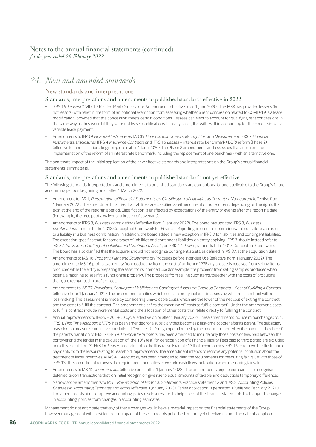### *24. New and amended standards*

### New standards and interpretations

#### Standards, interpretations and amendments to published standards effective in 2022

- IFRS 16, *Leases* COVID-19-Related Rent Concessions Amendment (effective from 1 June 2020). The IASB has provided lessees (but not lessors) with relief in the form of an optional exemption from assessing whether a rent concession related to COVID-19 is a lease modification, provided that the concession meets certain conditions. Lessees can elect to account for qualifying rent concessions in the same way as they would if they were not lease modifications. In many cases, this will result in accounting for the concession as a variable lease payment.
- Amendments to IFRS 9 *Financial Instruments*, IAS 39 *Financial Instruments: Recognition and Measurement*, IFRS 7 *Financial Instruments: Disclosures*, IFRS 4 *Insurance Contracts* and IFRS 16 *Leases* – interest rate benchmark (IBOR) reform (Phase 2) (effective for annual periods beginning on or after 1 June 2020). The Phase 2 amendments address issues that arise from the implementation of the reform of an interest rate benchmark, including the replacement of one benchmark with an alternative one.

The aggregate impact of the initial application of the new effective standards and interpretations on the Group's annual financial statements is immaterial.

#### Standards, interpretations and amendments to published standards not yet effective

The following standards, interpretations and amendments to published standards are compulsory for and applicable to the Group's future accounting periods beginning on or after 1 March 2022:

- Amendment to IAS 1, *Presentation of Financial Statements on Classification of Liabilities as Current or Non-current* (effective from 1 January 2022). The amendment clarifies that liabilities are classified as either current or non-current, depending on the rights that exist at the end of the reporting period. Classification is unaffected by expectations of the entity or events after the reporting date (for example, the receipt of a waiver or a breach of covenant).
- Amendments to IFRS 3, *Business combinations* (effective from 1 January 2022). The board has updated IFRS 3, *Business combinations*, to refer to the 2018 Conceptual Framework for Financial Reporting, in order to determine what constitutes an asset or a liability in a business combination. In addition, the board added a new exception in IFRS 3 for liabilities and contingent liabilities. The exception specifies that, for some types of liabilities and contingent liabilities, an entity applying IFRS 3 should instead refer to IAS 37, *Provisions, Contingent Liabilities and Contingent Asset*s, or IFRIC 21, *Levies*, rather that the 2018 Conceptual Framework. The board has also clarified that the acquirer should not recognise contingent assets, as defined in IAS 37, at the acquisition date.
- Amendments to IAS 16, *Property, Plant and Equipment*, on Proceeds before Intended Use (effective from 1 January 2022). The amendment to IAS 16 prohibits an entity from deducting from the cost of an item of PPE any proceeds received from selling items produced while the entity is preparing the asset for its intended use (for example, the proceeds from selling samples produced when testing a machine to see if it is functioning properly). The proceeds from selling such items, together with the costs of producing them, are recognised in profit or loss.
- Amendments to IAS 37, *Provisions, Contingent Liabilities and Contingent Assets on Onerous Contracts Cost of Fulfilling a Contract* (effective from 1 January 2022). The amendment clarifies which costs an entity includes in assessing whether a contract will be loss-making. This assessment is made by considering unavoidable costs, which are the lower of the net cost of exiting the contract and the costs to fulfil the contract. The amendment clarifies the meaning of "costs to fulfil a contract". Under the amendment, costs to fulfil a contract include incremental costs and the allocation of other costs that relate directly to fulfilling the contract.
- Annual improvements to IFRS's 2018-20 cycle (effective on or after 1 January 2022). These amendments include minor changes to: 1) IFRS 1, *First Time Adoption of IFRS*, has been amended for a subsidiary that becomes a first-time adopter after its parent. The subsidiary may elect to measure cumulative translation differences for foreign operations using the amounts reported by the parent at the date of the parent's transition to IFRS. 2) IFRS 9, *Financial Instruments*, has been amended to include only those costs or fees paid between the borrower and the lender in the calculation of "the 10% test" for derecognition of a financial liability. Fees paid to third parties are excluded from this calculation. 3) IFRS 16, *Leases*, amendment to the Illustrative Example 13 that accompanies IFRS 16 to remove the illustration of payments from the lessor relating to leasehold improvements. The amendment intends to remove any potential confusion about the treatment of lease incentives. 4) IAS 41, *Agriculture*, has been amended to align the requirements for measuring fair value with those of IFRS 13. The amendment removes the requirement for entities to exclude cash flows for taxation when measuring fair value.
- Amendments to IAS 12, *Income Taxes* (effective on or after 1 January 2023). The amendments require companies to recognise deferred tax on transactions that, on initial recognition give rise to equal amounts of taxable and deductible temporary differences.
- Narrow scope amendments to IAS 1 *Presentation of Financial Statements*, Practice statement 2 and IAS 8, Accounting Policies, *Changes in Accounting Estimates and errors* (effective 1 January 2023). Earlier application is permitted. (Published February 2021.) The amendments aim to improve accounting policy disclosures and to help users of the financial statements to distinguish changes in accounting, policies from changes in accounting estimates.

Management do not anticipate that any of these changes would have a material impact on the financial statements of the Group, however management will consider the full impact of these standards published but not yet effective up until the date of adoption.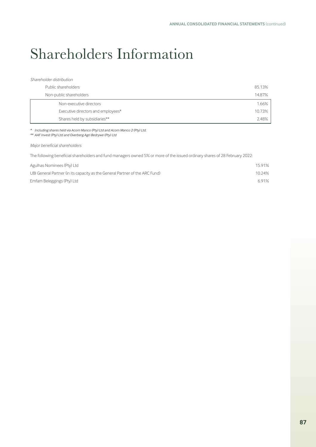# Shareholders Information

*Shareholder distribution*

| Public shareholders                | 85.13% |
|------------------------------------|--------|
| Non-public shareholders            | 14.87% |
| Non-executive directors            | 1.66%  |
| Executive directors and employees* | 10.73% |
| Shares held by subsidiaries**      | 2.48%  |

*\* Including shares held via Acorn Manco (Pty) Ltd and Acorn Manco 2 (Pty) Ltd.*

*\*\* AAF Invest (Pty) Ltd and Overberg Agri Bedrywe (Pty) Ltd*

*Major beneficial shareholders*

The following beneficial shareholders and fund managers owned 5% or more of the issued ordinary shares of 28 February 2022:

| Agulhas Nominees (Pty) Ltd                                                   | 15.91% |
|------------------------------------------------------------------------------|--------|
| UBI General Partner (in its capacity as the General Partner of the ARC Fund) | 10.24% |
| Emfam Beleggings (Pty) Ltd                                                   | 6.91%  |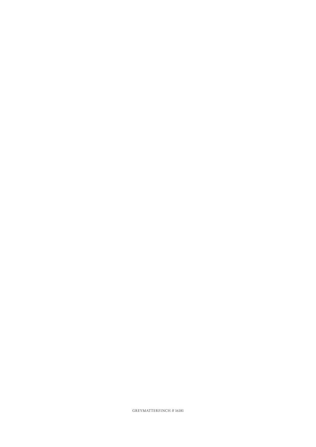GREYMATTERFINCH # 16181